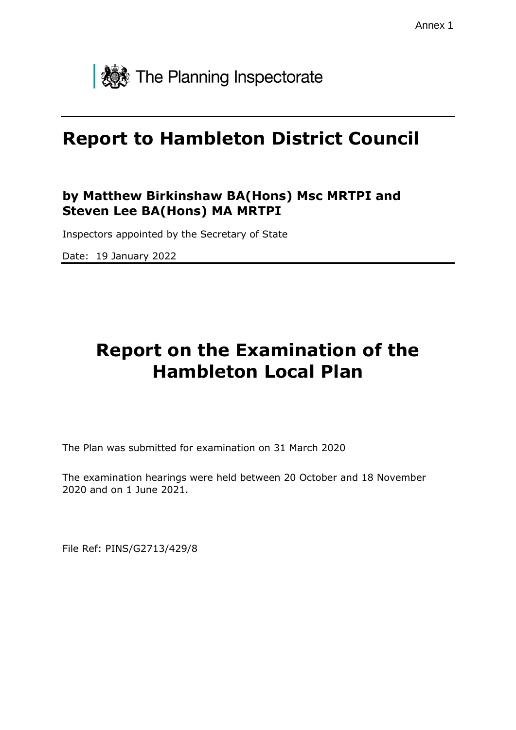

# **Report to Hambleton District Council**

#### **by Matthew Birkinshaw BA(Hons) Msc MRTPI and Steven Lee BA(Hons) MA MRTPI**

Inspectors appointed by the Secretary of State

Date: 19 January 2022

# **Report on the Examination of the Hambleton Local Plan**

The Plan was submitted for examination on 31 March 2020

The examination hearings were held between 20 October and 18 November 2020 and on 1 June 2021.

File Ref: PINS/G2713/429/8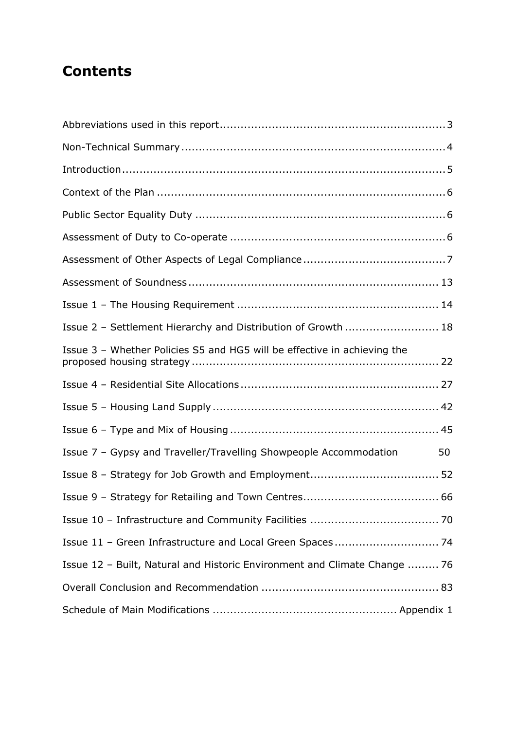## **Contents**

| Issue 2 - Settlement Hierarchy and Distribution of Growth  18             |    |
|---------------------------------------------------------------------------|----|
| Issue 3 - Whether Policies S5 and HG5 will be effective in achieving the  |    |
|                                                                           |    |
|                                                                           |    |
|                                                                           |    |
| Issue 7 - Gypsy and Traveller/Travelling Showpeople Accommodation         | 50 |
|                                                                           |    |
|                                                                           |    |
|                                                                           |    |
|                                                                           |    |
| Issue 12 - Built, Natural and Historic Environment and Climate Change  76 |    |
|                                                                           |    |
|                                                                           |    |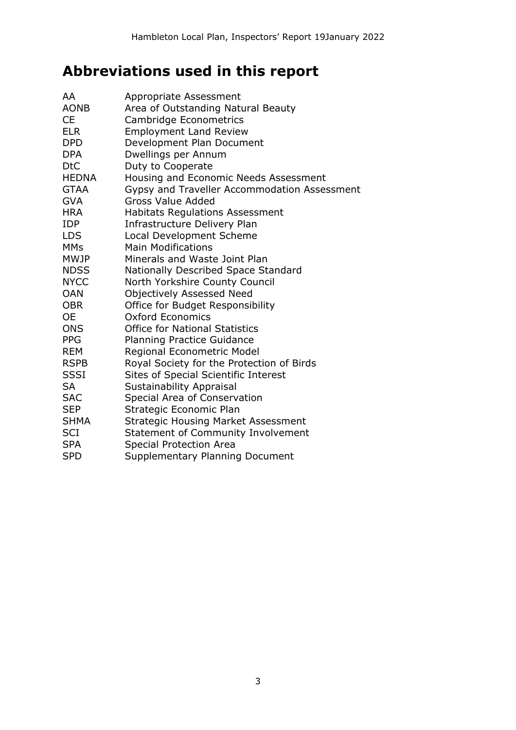## **Abbreviations used in this report**

| AA<br><b>AONB</b><br><b>CE</b><br><b>ELR</b><br><b>DPD</b> | Appropriate Assessment<br>Area of Outstanding Natural Beauty<br>Cambridge Econometrics<br><b>Employment Land Review</b><br>Development Plan Document |
|------------------------------------------------------------|------------------------------------------------------------------------------------------------------------------------------------------------------|
| <b>DPA</b>                                                 | Dwellings per Annum                                                                                                                                  |
| <b>DtC</b>                                                 | Duty to Cooperate                                                                                                                                    |
| <b>HEDNA</b><br><b>GTAA</b>                                | Housing and Economic Needs Assessment                                                                                                                |
| <b>GVA</b>                                                 | Gypsy and Traveller Accommodation Assessment<br><b>Gross Value Added</b>                                                                             |
| <b>HRA</b>                                                 | <b>Habitats Regulations Assessment</b>                                                                                                               |
| <b>IDP</b>                                                 | Infrastructure Delivery Plan                                                                                                                         |
| <b>LDS</b>                                                 | <b>Local Development Scheme</b>                                                                                                                      |
| <b>MMs</b>                                                 | <b>Main Modifications</b>                                                                                                                            |
| <b>MWJP</b>                                                | Minerals and Waste Joint Plan                                                                                                                        |
| <b>NDSS</b>                                                | Nationally Described Space Standard                                                                                                                  |
| <b>NYCC</b>                                                | North Yorkshire County Council                                                                                                                       |
| <b>OAN</b>                                                 | <b>Objectively Assessed Need</b>                                                                                                                     |
| <b>OBR</b>                                                 | Office for Budget Responsibility                                                                                                                     |
| <b>OE</b>                                                  | Oxford Economics                                                                                                                                     |
| <b>ONS</b>                                                 | <b>Office for National Statistics</b>                                                                                                                |
| <b>PPG</b>                                                 | Planning Practice Guidance                                                                                                                           |
| <b>REM</b>                                                 | Regional Econometric Model                                                                                                                           |
| <b>RSPB</b>                                                | Royal Society for the Protection of Birds                                                                                                            |
| <b>SSSI</b>                                                | <b>Sites of Special Scientific Interest</b>                                                                                                          |
| <b>SA</b>                                                  | <b>Sustainability Appraisal</b>                                                                                                                      |
| <b>SAC</b>                                                 | Special Area of Conservation                                                                                                                         |
| <b>SEP</b>                                                 | Strategic Economic Plan                                                                                                                              |
| <b>SHMA</b>                                                | <b>Strategic Housing Market Assessment</b>                                                                                                           |
| <b>SCI</b>                                                 | <b>Statement of Community Involvement</b>                                                                                                            |
| <b>SPA</b>                                                 | <b>Special Protection Area</b>                                                                                                                       |
| <b>SPD</b>                                                 | Supplementary Planning Document                                                                                                                      |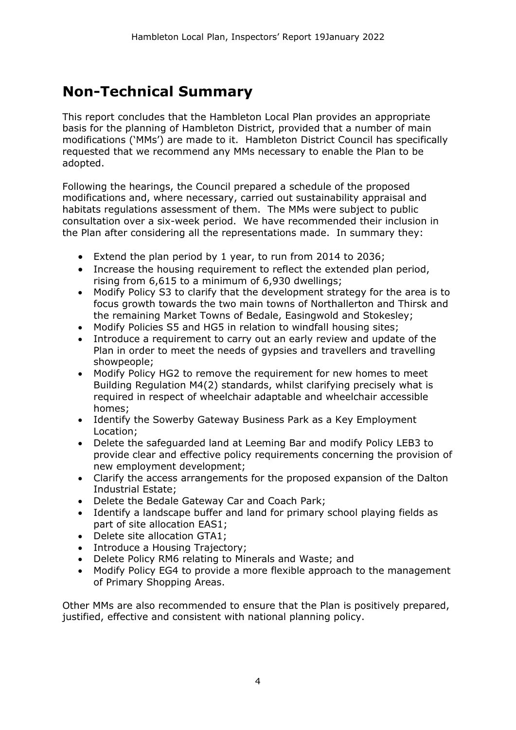## **Non-Technical Summary**

This report concludes that the Hambleton Local Plan provides an appropriate basis for the planning of Hambleton District, provided that a number of main modifications ('MMs') are made to it. Hambleton District Council has specifically requested that we recommend any MMs necessary to enable the Plan to be adopted.

Following the hearings, the Council prepared a schedule of the proposed modifications and, where necessary, carried out sustainability appraisal and habitats regulations assessment of them. The MMs were subject to public consultation over a six-week period. We have recommended their inclusion in the Plan after considering all the representations made. In summary they:

- Extend the plan period by 1 year, to run from 2014 to 2036;
- Increase the housing requirement to reflect the extended plan period, rising from 6,615 to a minimum of 6,930 dwellings;
- Modify Policy S3 to clarify that the development strategy for the area is to focus growth towards the two main towns of Northallerton and Thirsk and the remaining Market Towns of Bedale, Easingwold and Stokesley;
- Modify Policies S5 and HG5 in relation to windfall housing sites;
- Introduce a requirement to carry out an early review and update of the Plan in order to meet the needs of gypsies and travellers and travelling showpeople;
- Modify Policy HG2 to remove the requirement for new homes to meet Building Regulation M4(2) standards, whilst clarifying precisely what is required in respect of wheelchair adaptable and wheelchair accessible homes;
- Identify the Sowerby Gateway Business Park as a Key Employment Location;
- Delete the safeguarded land at Leeming Bar and modify Policy LEB3 to provide clear and effective policy requirements concerning the provision of new employment development;
- Clarify the access arrangements for the proposed expansion of the Dalton Industrial Estate;
- Delete the Bedale Gateway Car and Coach Park;
- Identify a landscape buffer and land for primary school playing fields as part of site allocation EAS1;
- Delete site allocation GTA1;
- Introduce a Housing Trajectory:
- Delete Policy RM6 relating to Minerals and Waste; and
- Modify Policy EG4 to provide a more flexible approach to the management of Primary Shopping Areas.

Other MMs are also recommended to ensure that the Plan is positively prepared, justified, effective and consistent with national planning policy.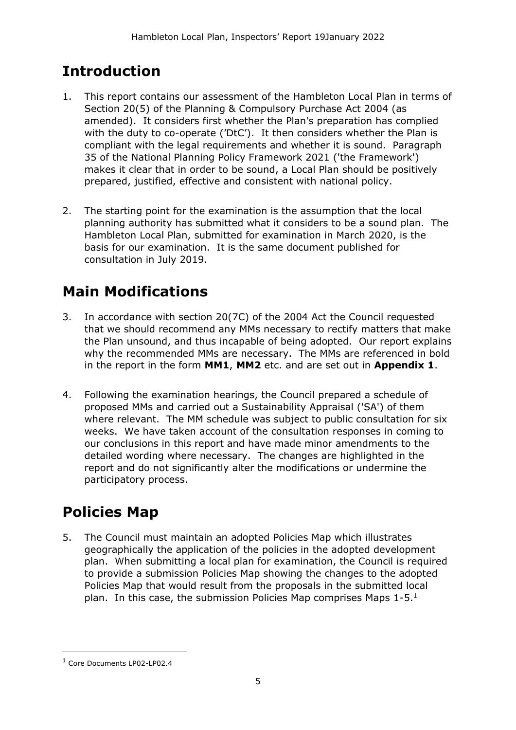## **Introduction**

- 1. This report contains our assessment of the Hambleton Local Plan in terms of Section 20(5) of the Planning & Compulsory Purchase Act 2004 (as amended). It considers first whether the Plan's preparation has complied with the duty to co-operate ('DtC'). It then considers whether the Plan is compliant with the legal requirements and whether it is sound. Paragraph 35 of the National Planning Policy Framework 2021 ('the Framework') makes it clear that in order to be sound, a Local Plan should be positively prepared, justified, effective and consistent with national policy.
- 2. The starting point for the examination is the assumption that the local planning authority has submitted what it considers to be a sound plan. The Hambleton Local Plan, submitted for examination in March 2020, is the basis for our examination. It is the same document published for consultation in July 2019.

## **Main Modifications**

- 3. In accordance with section 20(7C) of the 2004 Act the Council requested that we should recommend any MMs necessary to rectify matters that make the Plan unsound, and thus incapable of being adopted. Our report explains why the recommended MMs are necessary. The MMs are referenced in bold in the report in the form **MM1**, **MM2** etc. and are set out in **Appendix 1**.
- 4. Following the examination hearings, the Council prepared a schedule of proposed MMs and carried out a Sustainability Appraisal ('SA') of them where relevant. The MM schedule was subject to public consultation for six weeks. We have taken account of the consultation responses in coming to our conclusions in this report and have made minor amendments to the detailed wording where necessary. The changes are highlighted in the report and do not significantly alter the modifications or undermine the participatory process.

## **Policies Map**

5. The Council must maintain an adopted Policies Map which illustrates geographically the application of the policies in the adopted development plan. When submitting a local plan for examination, the Council is required to provide a submission Policies Map showing the changes to the adopted Policies Map that would result from the proposals in the submitted local plan. In this case, the submission Policies Map comprises Maps  $1-5<sup>1</sup>$ 

<sup>1</sup> Core Documents LP02-LP02.4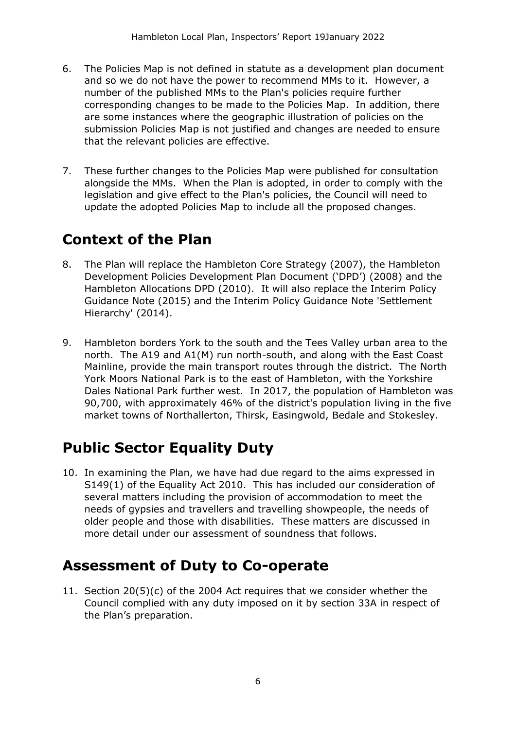- 6. The Policies Map is not defined in statute as a development plan document and so we do not have the power to recommend MMs to it. However, a number of the published MMs to the Plan's policies require further corresponding changes to be made to the Policies Map. In addition, there are some instances where the geographic illustration of policies on the submission Policies Map is not justified and changes are needed to ensure that the relevant policies are effective.
- 7. These further changes to the Policies Map were published for consultation alongside the MMs. When the Plan is adopted, in order to comply with the legislation and give effect to the Plan's policies, the Council will need to update the adopted Policies Map to include all the proposed changes.

## **Context of the Plan**

- 8. The Plan will replace the Hambleton Core Strategy (2007), the Hambleton Development Policies Development Plan Document ('DPD') (2008) and the Hambleton Allocations DPD (2010). It will also replace the Interim Policy Guidance Note (2015) and the Interim Policy Guidance Note 'Settlement Hierarchy' (2014).
- 9. Hambleton borders York to the south and the Tees Valley urban area to the north. The A19 and A1(M) run north-south, and along with the East Coast Mainline, provide the main transport routes through the district. The North York Moors National Park is to the east of Hambleton, with the Yorkshire Dales National Park further west. In 2017, the population of Hambleton was 90,700, with approximately 46% of the district's population living in the five market towns of Northallerton, Thirsk, Easingwold, Bedale and Stokesley.

## **Public Sector Equality Duty**

10. In examining the Plan, we have had due regard to the aims expressed in S149(1) of the Equality Act 2010. This has included our consideration of several matters including the provision of accommodation to meet the needs of gypsies and travellers and travelling showpeople, the needs of older people and those with disabilities. These matters are discussed in more detail under our assessment of soundness that follows.

## **Assessment of Duty to Co-operate**

11. Section 20(5)(c) of the 2004 Act requires that we consider whether the Council complied with any duty imposed on it by section 33A in respect of the Plan's preparation.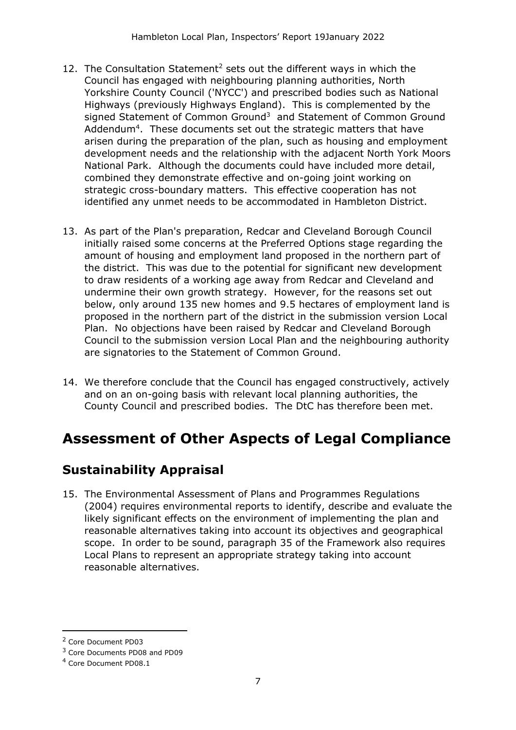- 12. The Consultation Statement<sup>2</sup> sets out the different ways in which the Council has engaged with neighbouring planning authorities, North Yorkshire County Council ('NYCC') and prescribed bodies such as National Highways (previously Highways England). This is complemented by the signed Statement of Common Ground<sup>3</sup> and Statement of Common Ground Addendum<sup>4</sup>. These documents set out the strategic matters that have arisen during the preparation of the plan, such as housing and employment development needs and the relationship with the adjacent North York Moors National Park. Although the documents could have included more detail, combined they demonstrate effective and on-going joint working on strategic cross-boundary matters. This effective cooperation has not identified any unmet needs to be accommodated in Hambleton District.
- 13. As part of the Plan's preparation, Redcar and Cleveland Borough Council initially raised some concerns at the Preferred Options stage regarding the amount of housing and employment land proposed in the northern part of the district. This was due to the potential for significant new development to draw residents of a working age away from Redcar and Cleveland and undermine their own growth strategy. However, for the reasons set out below, only around 135 new homes and 9.5 hectares of employment land is proposed in the northern part of the district in the submission version Local Plan. No objections have been raised by Redcar and Cleveland Borough Council to the submission version Local Plan and the neighbouring authority are signatories to the Statement of Common Ground.
- 14. We therefore conclude that the Council has engaged constructively, actively and on an on-going basis with relevant local planning authorities, the County Council and prescribed bodies. The DtC has therefore been met.

## **Assessment of Other Aspects of Legal Compliance**

### **Sustainability Appraisal**

15. The Environmental Assessment of Plans and Programmes Regulations (2004) requires environmental reports to identify, describe and evaluate the likely significant effects on the environment of implementing the plan and reasonable alternatives taking into account its objectives and geographical scope. In order to be sound, paragraph 35 of the Framework also requires Local Plans to represent an appropriate strategy taking into account reasonable alternatives.

<sup>2</sup> Core Document PD03

<sup>3</sup> Core Documents PD08 and PD09

<sup>4</sup> Core Document PD08.1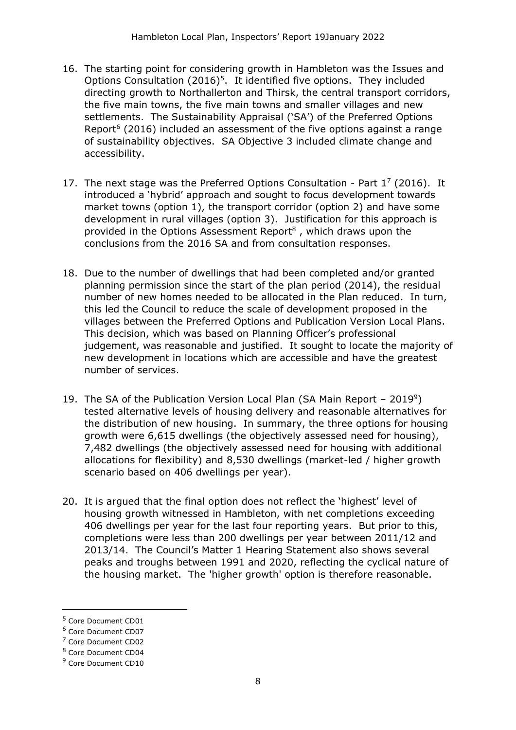- 16. The starting point for considering growth in Hambleton was the Issues and Options Consultation  $(2016)^5$ . It identified five options. They included directing growth to Northallerton and Thirsk, the central transport corridors, the five main towns, the five main towns and smaller villages and new settlements. The Sustainability Appraisal ('SA') of the Preferred Options Report $6$  (2016) included an assessment of the five options against a range of sustainability objectives. SA Objective 3 included climate change and accessibility.
- 17. The next stage was the Preferred Options Consultation Part  $1^7$  (2016). It introduced a 'hybrid' approach and sought to focus development towards market towns (option 1), the transport corridor (option 2) and have some development in rural villages (option 3). Justification for this approach is provided in the Options Assessment Report $8$ , which draws upon the conclusions from the 2016 SA and from consultation responses.
- 18. Due to the number of dwellings that had been completed and/or granted planning permission since the start of the plan period (2014), the residual number of new homes needed to be allocated in the Plan reduced. In turn, this led the Council to reduce the scale of development proposed in the villages between the Preferred Options and Publication Version Local Plans. This decision, which was based on Planning Officer's professional judgement, was reasonable and justified. It sought to locate the majority of new development in locations which are accessible and have the greatest number of services.
- 19. The SA of the Publication Version Local Plan (SA Main Report  $-2019^9$ ) tested alternative levels of housing delivery and reasonable alternatives for the distribution of new housing. In summary, the three options for housing growth were 6,615 dwellings (the objectively assessed need for housing), 7,482 dwellings (the objectively assessed need for housing with additional allocations for flexibility) and 8,530 dwellings (market-led / higher growth scenario based on 406 dwellings per year).
- 20. It is argued that the final option does not reflect the 'highest' level of housing growth witnessed in Hambleton, with net completions exceeding 406 dwellings per year for the last four reporting years. But prior to this, completions were less than 200 dwellings per year between 2011/12 and 2013/14. The Council's Matter 1 Hearing Statement also shows several peaks and troughs between 1991 and 2020, reflecting the cyclical nature of the housing market. The 'higher growth' option is therefore reasonable.

<sup>5</sup> Core Document CD01

<sup>6</sup> Core Document CD07

<sup>7</sup> Core Document CD02

<sup>8</sup> Core Document CD04

<sup>9</sup> Core Document CD10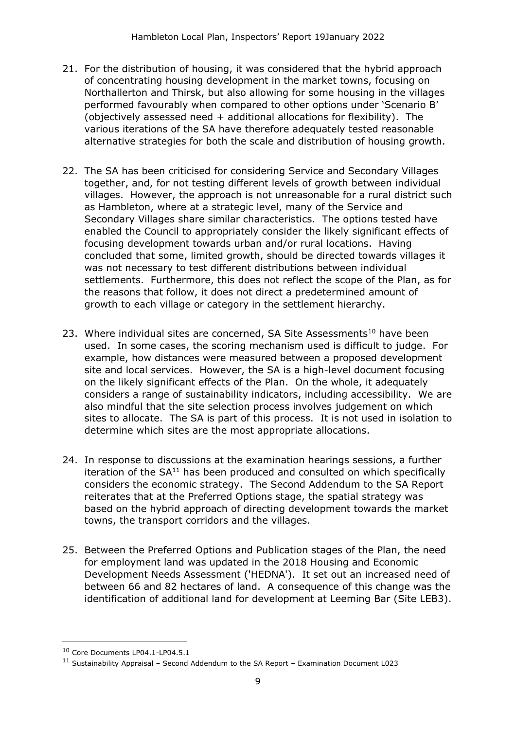- 21. For the distribution of housing, it was considered that the hybrid approach of concentrating housing development in the market towns, focusing on Northallerton and Thirsk, but also allowing for some housing in the villages performed favourably when compared to other options under 'Scenario B' (objectively assessed need + additional allocations for flexibility). The various iterations of the SA have therefore adequately tested reasonable alternative strategies for both the scale and distribution of housing growth.
- 22. The SA has been criticised for considering Service and Secondary Villages together, and, for not testing different levels of growth between individual villages. However, the approach is not unreasonable for a rural district such as Hambleton, where at a strategic level, many of the Service and Secondary Villages share similar characteristics. The options tested have enabled the Council to appropriately consider the likely significant effects of focusing development towards urban and/or rural locations. Having concluded that some, limited growth, should be directed towards villages it was not necessary to test different distributions between individual settlements. Furthermore, this does not reflect the scope of the Plan, as for the reasons that follow, it does not direct a predetermined amount of growth to each village or category in the settlement hierarchy.
- 23. Where individual sites are concerned, SA Site Assessments<sup>10</sup> have been used. In some cases, the scoring mechanism used is difficult to judge. For example, how distances were measured between a proposed development site and local services. However, the SA is a high-level document focusing on the likely significant effects of the Plan. On the whole, it adequately considers a range of sustainability indicators, including accessibility. We are also mindful that the site selection process involves judgement on which sites to allocate. The SA is part of this process. It is not used in isolation to determine which sites are the most appropriate allocations.
- 24. In response to discussions at the examination hearings sessions, a further iteration of the  $SA<sup>11</sup>$  has been produced and consulted on which specifically considers the economic strategy. The Second Addendum to the SA Report reiterates that at the Preferred Options stage, the spatial strategy was based on the hybrid approach of directing development towards the market towns, the transport corridors and the villages.
- 25. Between the Preferred Options and Publication stages of the Plan, the need for employment land was updated in the 2018 Housing and Economic Development Needs Assessment ('HEDNA'). It set out an increased need of between 66 and 82 hectares of land. A consequence of this change was the identification of additional land for development at Leeming Bar (Site LEB3).

<sup>10</sup> Core Documents LP04.1-LP04.5.1

<sup>11</sup> Sustainability Appraisal – Second Addendum to the SA Report – Examination Document L023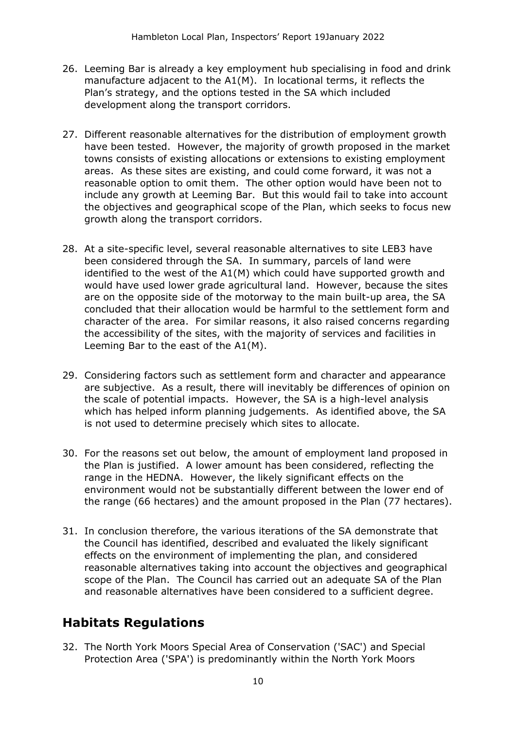- 26. Leeming Bar is already a key employment hub specialising in food and drink manufacture adjacent to the A1(M). In locational terms, it reflects the Plan's strategy, and the options tested in the SA which included development along the transport corridors.
- 27. Different reasonable alternatives for the distribution of employment growth have been tested. However, the majority of growth proposed in the market towns consists of existing allocations or extensions to existing employment areas. As these sites are existing, and could come forward, it was not a reasonable option to omit them. The other option would have been not to include any growth at Leeming Bar. But this would fail to take into account the objectives and geographical scope of the Plan, which seeks to focus new growth along the transport corridors.
- 28. At a site-specific level, several reasonable alternatives to site LEB3 have been considered through the SA. In summary, parcels of land were identified to the west of the A1(M) which could have supported growth and would have used lower grade agricultural land. However, because the sites are on the opposite side of the motorway to the main built-up area, the SA concluded that their allocation would be harmful to the settlement form and character of the area. For similar reasons, it also raised concerns regarding the accessibility of the sites, with the majority of services and facilities in Leeming Bar to the east of the A1(M).
- 29. Considering factors such as settlement form and character and appearance are subjective. As a result, there will inevitably be differences of opinion on the scale of potential impacts. However, the SA is a high-level analysis which has helped inform planning judgements. As identified above, the SA is not used to determine precisely which sites to allocate.
- 30. For the reasons set out below, the amount of employment land proposed in the Plan is justified. A lower amount has been considered, reflecting the range in the HEDNA. However, the likely significant effects on the environment would not be substantially different between the lower end of the range (66 hectares) and the amount proposed in the Plan (77 hectares).
- 31. In conclusion therefore, the various iterations of the SA demonstrate that the Council has identified, described and evaluated the likely significant effects on the environment of implementing the plan, and considered reasonable alternatives taking into account the objectives and geographical scope of the Plan. The Council has carried out an adequate SA of the Plan and reasonable alternatives have been considered to a sufficient degree.

### **Habitats Regulations**

32. The North York Moors Special Area of Conservation ('SAC') and Special Protection Area ('SPA') is predominantly within the North York Moors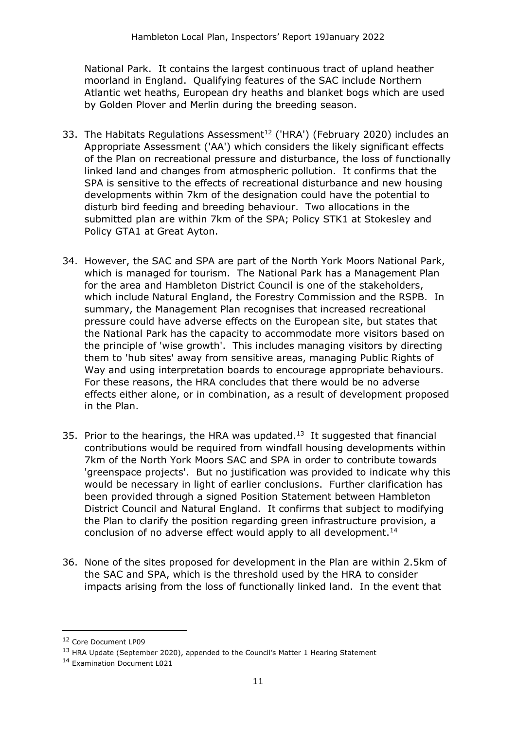National Park. It contains the largest continuous tract of upland heather moorland in England. Qualifying features of the SAC include Northern Atlantic wet heaths, European dry heaths and blanket bogs which are used by Golden Plover and Merlin during the breeding season.

- 33. The Habitats Regulations Assessment<sup>12</sup> ('HRA') (February 2020) includes an Appropriate Assessment ('AA') which considers the likely significant effects of the Plan on recreational pressure and disturbance, the loss of functionally linked land and changes from atmospheric pollution. It confirms that the SPA is sensitive to the effects of recreational disturbance and new housing developments within 7km of the designation could have the potential to disturb bird feeding and breeding behaviour. Two allocations in the submitted plan are within 7km of the SPA; Policy STK1 at Stokesley and Policy GTA1 at Great Ayton.
- 34. However, the SAC and SPA are part of the North York Moors National Park, which is managed for tourism. The National Park has a Management Plan for the area and Hambleton District Council is one of the stakeholders, which include Natural England, the Forestry Commission and the RSPB. In summary, the Management Plan recognises that increased recreational pressure could have adverse effects on the European site, but states that the National Park has the capacity to accommodate more visitors based on the principle of 'wise growth'. This includes managing visitors by directing them to 'hub sites' away from sensitive areas, managing Public Rights of Way and using interpretation boards to encourage appropriate behaviours. For these reasons, the HRA concludes that there would be no adverse effects either alone, or in combination, as a result of development proposed in the Plan.
- 35. Prior to the hearings, the HRA was updated. $13$  It suggested that financial contributions would be required from windfall housing developments within 7km of the North York Moors SAC and SPA in order to contribute towards 'greenspace projects'. But no justification was provided to indicate why this would be necessary in light of earlier conclusions. Further clarification has been provided through a signed Position Statement between Hambleton District Council and Natural England. It confirms that subject to modifying the Plan to clarify the position regarding green infrastructure provision, a conclusion of no adverse effect would apply to all development.<sup>14</sup>
- 36. None of the sites proposed for development in the Plan are within 2.5km of the SAC and SPA, which is the threshold used by the HRA to consider impacts arising from the loss of functionally linked land. In the event that

<sup>12</sup> Core Document LP09

<sup>&</sup>lt;sup>13</sup> HRA Update (September 2020), appended to the Council's Matter 1 Hearing Statement

<sup>14</sup> Examination Document L021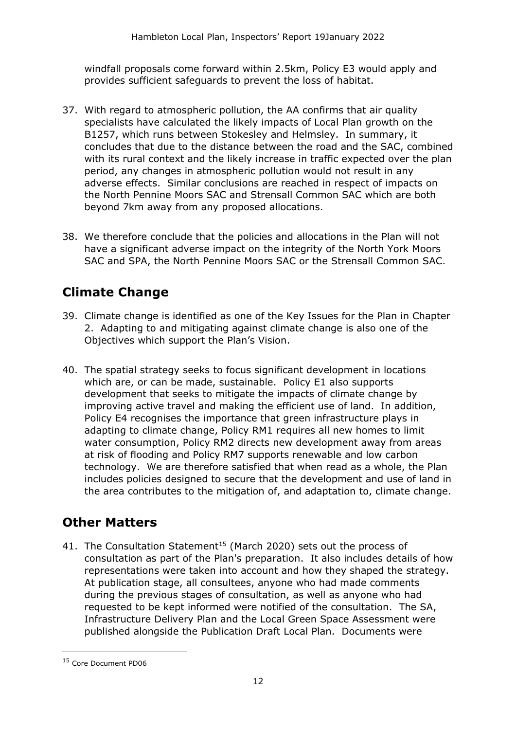windfall proposals come forward within 2.5km, Policy E3 would apply and provides sufficient safeguards to prevent the loss of habitat.

- 37. With regard to atmospheric pollution, the AA confirms that air quality specialists have calculated the likely impacts of Local Plan growth on the B1257, which runs between Stokesley and Helmsley. In summary, it concludes that due to the distance between the road and the SAC, combined with its rural context and the likely increase in traffic expected over the plan period, any changes in atmospheric pollution would not result in any adverse effects. Similar conclusions are reached in respect of impacts on the North Pennine Moors SAC and Strensall Common SAC which are both beyond 7km away from any proposed allocations.
- 38. We therefore conclude that the policies and allocations in the Plan will not have a significant adverse impact on the integrity of the North York Moors SAC and SPA, the North Pennine Moors SAC or the Strensall Common SAC.

## **Climate Change**

- 39. Climate change is identified as one of the Key Issues for the Plan in Chapter 2. Adapting to and mitigating against climate change is also one of the Objectives which support the Plan's Vision.
- 40. The spatial strategy seeks to focus significant development in locations which are, or can be made, sustainable. Policy E1 also supports development that seeks to mitigate the impacts of climate change by improving active travel and making the efficient use of land. In addition, Policy E4 recognises the importance that green infrastructure plays in adapting to climate change, Policy RM1 requires all new homes to limit water consumption, Policy RM2 directs new development away from areas at risk of flooding and Policy RM7 supports renewable and low carbon technology. We are therefore satisfied that when read as a whole, the Plan includes policies designed to secure that the development and use of land in the area contributes to the mitigation of, and adaptation to, climate change.

### **Other Matters**

41. The Consultation Statement<sup>15</sup> (March 2020) sets out the process of consultation as part of the Plan's preparation. It also includes details of how representations were taken into account and how they shaped the strategy. At publication stage, all consultees, anyone who had made comments during the previous stages of consultation, as well as anyone who had requested to be kept informed were notified of the consultation. The SA, Infrastructure Delivery Plan and the Local Green Space Assessment were published alongside the Publication Draft Local Plan. Documents were

<sup>15</sup> Core Document PD06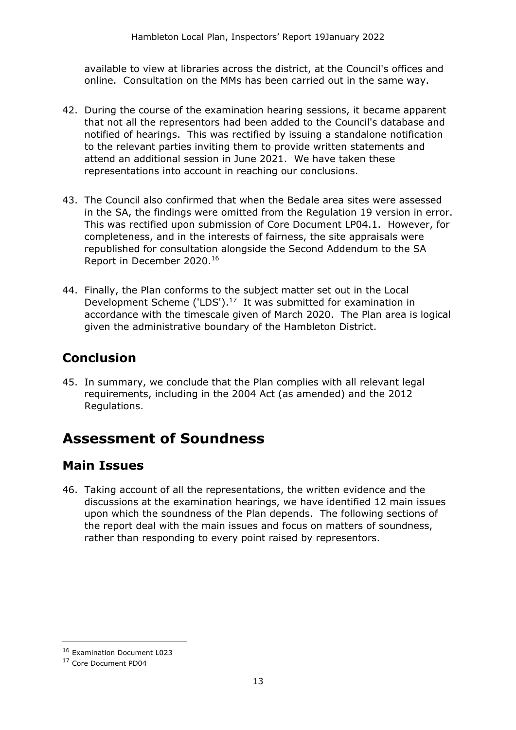available to view at libraries across the district, at the Council's offices and online. Consultation on the MMs has been carried out in the same way.

- 42. During the course of the examination hearing sessions, it became apparent that not all the representors had been added to the Council's database and notified of hearings. This was rectified by issuing a standalone notification to the relevant parties inviting them to provide written statements and attend an additional session in June 2021. We have taken these representations into account in reaching our conclusions.
- 43. The Council also confirmed that when the Bedale area sites were assessed in the SA, the findings were omitted from the Regulation 19 version in error. This was rectified upon submission of Core Document LP04.1. However, for completeness, and in the interests of fairness, the site appraisals were republished for consultation alongside the Second Addendum to the SA Report in December 2020.<sup>16</sup>
- 44. Finally, the Plan conforms to the subject matter set out in the Local Development Scheme ('LDS'). $17$  It was submitted for examination in accordance with the timescale given of March 2020. The Plan area is logical given the administrative boundary of the Hambleton District.

### **Conclusion**

45. In summary, we conclude that the Plan complies with all relevant legal requirements, including in the 2004 Act (as amended) and the 2012 Regulations.

## **Assessment of Soundness**

#### **Main Issues**

46. Taking account of all the representations, the written evidence and the discussions at the examination hearings, we have identified 12 main issues upon which the soundness of the Plan depends. The following sections of the report deal with the main issues and focus on matters of soundness, rather than responding to every point raised by representors.

<sup>16</sup> Examination Document L023

<sup>17</sup> Core Document PD04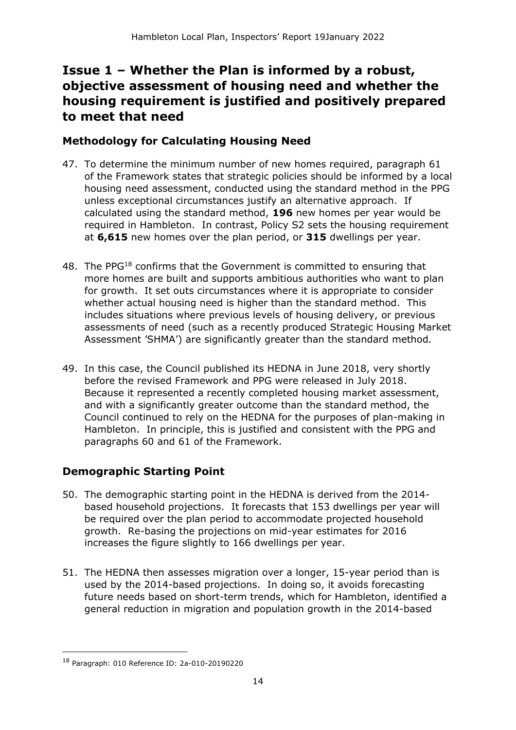### **Issue 1 – Whether the Plan is informed by a robust, objective assessment of housing need and whether the housing requirement is justified and positively prepared to meet that need**

#### **Methodology for Calculating Housing Need**

- 47. To determine the minimum number of new homes required, paragraph 61 of the Framework states that strategic policies should be informed by a local housing need assessment, conducted using the standard method in the PPG unless exceptional circumstances justify an alternative approach. If calculated using the standard method, **196** new homes per year would be required in Hambleton. In contrast, Policy S2 sets the housing requirement at **6,615** new homes over the plan period, or **315** dwellings per year.
- 48. The PPG<sup>18</sup> confirms that the Government is committed to ensuring that more homes are built and supports ambitious authorities who want to plan for growth. It set outs circumstances where it is appropriate to consider whether actual housing need is higher than the standard method. This includes situations where previous levels of housing delivery, or previous assessments of need (such as a recently produced Strategic Housing Market Assessment 'SHMA') are significantly greater than the standard method*.*
- 49. In this case, the Council published its HEDNA in June 2018, very shortly before the revised Framework and PPG were released in July 2018. Because it represented a recently completed housing market assessment, and with a significantly greater outcome than the standard method, the Council continued to rely on the HEDNA for the purposes of plan-making in Hambleton. In principle, this is justified and consistent with the PPG and paragraphs 60 and 61 of the Framework.

#### **Demographic Starting Point**

- 50. The demographic starting point in the HEDNA is derived from the 2014 based household projections. It forecasts that 153 dwellings per year will be required over the plan period to accommodate projected household growth. Re-basing the projections on mid-year estimates for 2016 increases the figure slightly to 166 dwellings per year.
- 51. The HEDNA then assesses migration over a longer, 15-year period than is used by the 2014-based projections. In doing so, it avoids forecasting future needs based on short-term trends, which for Hambleton, identified a general reduction in migration and population growth in the 2014-based

<sup>18</sup> Paragraph: 010 Reference ID: 2a-010-20190220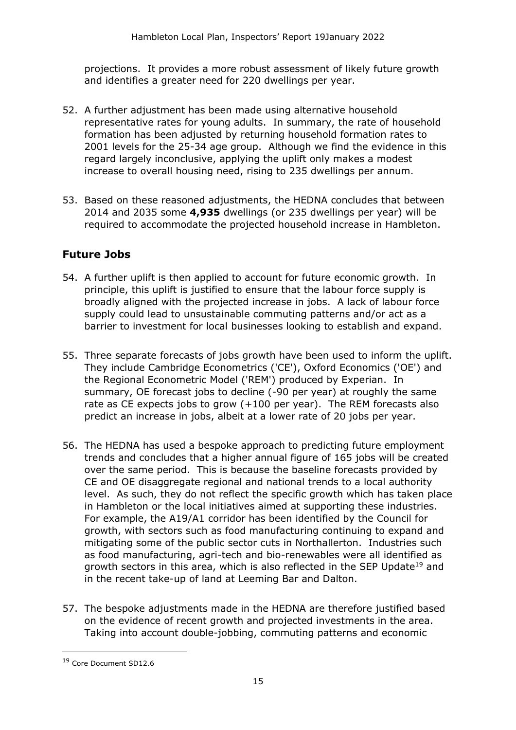projections. It provides a more robust assessment of likely future growth and identifies a greater need for 220 dwellings per year.

- 52. A further adjustment has been made using alternative household representative rates for young adults. In summary, the rate of household formation has been adjusted by returning household formation rates to 2001 levels for the 25-34 age group. Although we find the evidence in this regard largely inconclusive, applying the uplift only makes a modest increase to overall housing need, rising to 235 dwellings per annum.
- 53. Based on these reasoned adjustments, the HEDNA concludes that between 2014 and 2035 some **4,935** dwellings (or 235 dwellings per year) will be required to accommodate the projected household increase in Hambleton.

#### **Future Jobs**

- 54. A further uplift is then applied to account for future economic growth. In principle, this uplift is justified to ensure that the labour force supply is broadly aligned with the projected increase in jobs. A lack of labour force supply could lead to unsustainable commuting patterns and/or act as a barrier to investment for local businesses looking to establish and expand.
- 55. Three separate forecasts of jobs growth have been used to inform the uplift. They include Cambridge Econometrics ('CE'), Oxford Economics ('OE') and the Regional Econometric Model ('REM') produced by Experian. In summary, OE forecast jobs to decline (-90 per year) at roughly the same rate as CE expects jobs to grow (+100 per year). The REM forecasts also predict an increase in jobs, albeit at a lower rate of 20 jobs per year.
- 56. The HEDNA has used a bespoke approach to predicting future employment trends and concludes that a higher annual figure of 165 jobs will be created over the same period. This is because the baseline forecasts provided by CE and OE disaggregate regional and national trends to a local authority level. As such, they do not reflect the specific growth which has taken place in Hambleton or the local initiatives aimed at supporting these industries. For example, the A19/A1 corridor has been identified by the Council for growth, with sectors such as food manufacturing continuing to expand and mitigating some of the public sector cuts in Northallerton. Industries such as food manufacturing, agri-tech and bio-renewables were all identified as growth sectors in this area, which is also reflected in the SEP Update<sup>19</sup> and in the recent take-up of land at Leeming Bar and Dalton.
- 57. The bespoke adjustments made in the HEDNA are therefore justified based on the evidence of recent growth and projected investments in the area. Taking into account double-jobbing, commuting patterns and economic

<sup>19</sup> Core Document SD12.6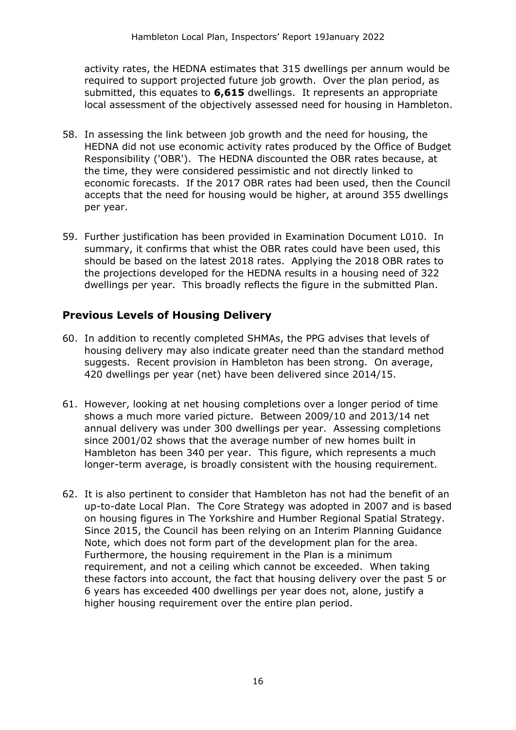activity rates, the HEDNA estimates that 315 dwellings per annum would be required to support projected future job growth. Over the plan period, as submitted, this equates to **6,615** dwellings. It represents an appropriate local assessment of the objectively assessed need for housing in Hambleton.

- 58. In assessing the link between job growth and the need for housing, the HEDNA did not use economic activity rates produced by the Office of Budget Responsibility ('OBR'). The HEDNA discounted the OBR rates because, at the time, they were considered pessimistic and not directly linked to economic forecasts. If the 2017 OBR rates had been used, then the Council accepts that the need for housing would be higher, at around 355 dwellings per year.
- 59. Further justification has been provided in Examination Document L010. In summary, it confirms that whist the OBR rates could have been used, this should be based on the latest 2018 rates. Applying the 2018 OBR rates to the projections developed for the HEDNA results in a housing need of 322 dwellings per year. This broadly reflects the figure in the submitted Plan.

#### **Previous Levels of Housing Delivery**

- 60. In addition to recently completed SHMAs, the PPG advises that levels of housing delivery may also indicate greater need than the standard method suggests. Recent provision in Hambleton has been strong. On average, 420 dwellings per year (net) have been delivered since 2014/15.
- 61. However, looking at net housing completions over a longer period of time shows a much more varied picture. Between 2009/10 and 2013/14 net annual delivery was under 300 dwellings per year. Assessing completions since 2001/02 shows that the average number of new homes built in Hambleton has been 340 per year. This figure, which represents a much longer-term average, is broadly consistent with the housing requirement.
- 62. It is also pertinent to consider that Hambleton has not had the benefit of an up-to-date Local Plan. The Core Strategy was adopted in 2007 and is based on housing figures in The Yorkshire and Humber Regional Spatial Strategy. Since 2015, the Council has been relying on an Interim Planning Guidance Note, which does not form part of the development plan for the area. Furthermore, the housing requirement in the Plan is a minimum requirement, and not a ceiling which cannot be exceeded. When taking these factors into account, the fact that housing delivery over the past 5 or 6 years has exceeded 400 dwellings per year does not, alone, justify a higher housing requirement over the entire plan period.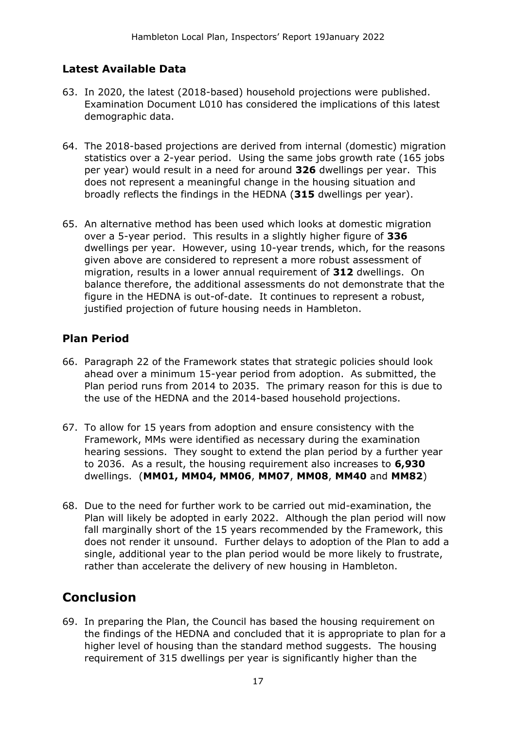#### **Latest Available Data**

- 63. In 2020, the latest (2018-based) household projections were published. Examination Document L010 has considered the implications of this latest demographic data.
- 64. The 2018-based projections are derived from internal (domestic) migration statistics over a 2-year period. Using the same jobs growth rate (165 jobs per year) would result in a need for around **326** dwellings per year. This does not represent a meaningful change in the housing situation and broadly reflects the findings in the HEDNA (**315** dwellings per year).
- 65. An alternative method has been used which looks at domestic migration over a 5-year period. This results in a slightly higher figure of **336** dwellings per year. However, using 10-year trends, which, for the reasons given above are considered to represent a more robust assessment of migration, results in a lower annual requirement of **312** dwellings. On balance therefore, the additional assessments do not demonstrate that the figure in the HEDNA is out-of-date. It continues to represent a robust, justified projection of future housing needs in Hambleton.

#### **Plan Period**

- 66. Paragraph 22 of the Framework states that strategic policies should look ahead over a minimum 15-year period from adoption. As submitted, the Plan period runs from 2014 to 2035. The primary reason for this is due to the use of the HEDNA and the 2014-based household projections.
- 67. To allow for 15 years from adoption and ensure consistency with the Framework, MMs were identified as necessary during the examination hearing sessions. They sought to extend the plan period by a further year to 2036. As a result, the housing requirement also increases to **6,930** dwellings. (**MM01, MM04, MM06**, **MM07**, **MM08**, **MM40** and **MM82**)
- 68. Due to the need for further work to be carried out mid-examination, the Plan will likely be adopted in early 2022. Although the plan period will now fall marginally short of the 15 years recommended by the Framework, this does not render it unsound. Further delays to adoption of the Plan to add a single, additional year to the plan period would be more likely to frustrate, rather than accelerate the delivery of new housing in Hambleton.

### **Conclusion**

69. In preparing the Plan, the Council has based the housing requirement on the findings of the HEDNA and concluded that it is appropriate to plan for a higher level of housing than the standard method suggests. The housing requirement of 315 dwellings per year is significantly higher than the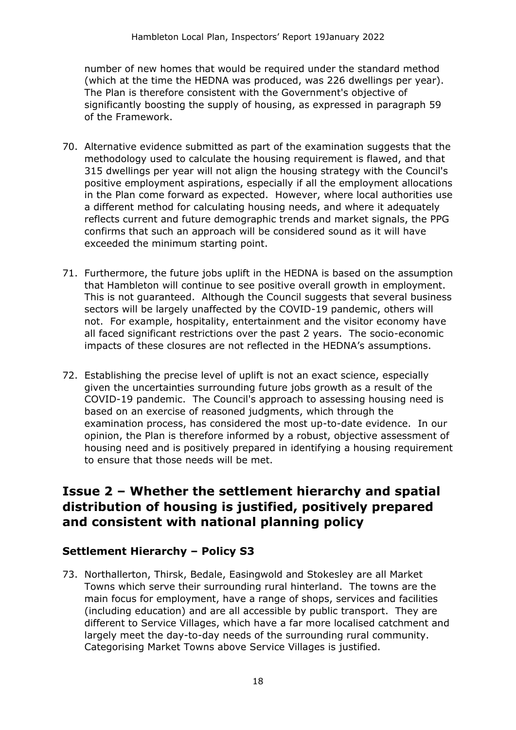number of new homes that would be required under the standard method (which at the time the HEDNA was produced, was 226 dwellings per year). The Plan is therefore consistent with the Government's objective of significantly boosting the supply of housing, as expressed in paragraph 59 of the Framework.

- 70. Alternative evidence submitted as part of the examination suggests that the methodology used to calculate the housing requirement is flawed, and that 315 dwellings per year will not align the housing strategy with the Council's positive employment aspirations, especially if all the employment allocations in the Plan come forward as expected. However, where local authorities use a different method for calculating housing needs, and where it adequately reflects current and future demographic trends and market signals, the PPG confirms that such an approach will be considered sound as it will have exceeded the minimum starting point.
- 71. Furthermore, the future jobs uplift in the HEDNA is based on the assumption that Hambleton will continue to see positive overall growth in employment. This is not guaranteed. Although the Council suggests that several business sectors will be largely unaffected by the COVID-19 pandemic, others will not. For example, hospitality, entertainment and the visitor economy have all faced significant restrictions over the past 2 years. The socio-economic impacts of these closures are not reflected in the HEDNA's assumptions.
- 72. Establishing the precise level of uplift is not an exact science, especially given the uncertainties surrounding future jobs growth as a result of the COVID-19 pandemic. The Council's approach to assessing housing need is based on an exercise of reasoned judgments, which through the examination process, has considered the most up-to-date evidence. In our opinion, the Plan is therefore informed by a robust, objective assessment of housing need and is positively prepared in identifying a housing requirement to ensure that those needs will be met.

### **Issue 2 – Whether the settlement hierarchy and spatial distribution of housing is justified, positively prepared and consistent with national planning policy**

#### **Settlement Hierarchy – Policy S3**

73. Northallerton, Thirsk, Bedale, Easingwold and Stokesley are all Market Towns which serve their surrounding rural hinterland. The towns are the main focus for employment, have a range of shops, services and facilities (including education) and are all accessible by public transport. They are different to Service Villages, which have a far more localised catchment and largely meet the day-to-day needs of the surrounding rural community. Categorising Market Towns above Service Villages is justified.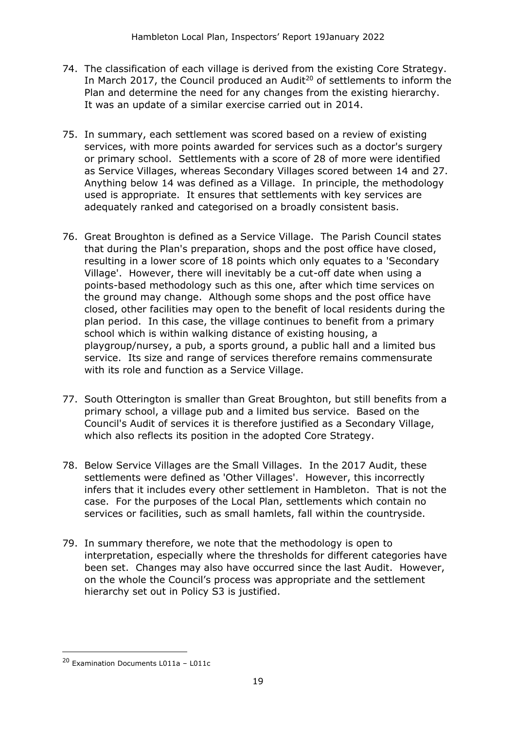- 74. The classification of each village is derived from the existing Core Strategy. In March 2017, the Council produced an Audit<sup>20</sup> of settlements to inform the Plan and determine the need for any changes from the existing hierarchy. It was an update of a similar exercise carried out in 2014.
- 75. In summary, each settlement was scored based on a review of existing services, with more points awarded for services such as a doctor's surgery or primary school. Settlements with a score of 28 of more were identified as Service Villages, whereas Secondary Villages scored between 14 and 27. Anything below 14 was defined as a Village. In principle, the methodology used is appropriate. It ensures that settlements with key services are adequately ranked and categorised on a broadly consistent basis.
- 76. Great Broughton is defined as a Service Village. The Parish Council states that during the Plan's preparation, shops and the post office have closed, resulting in a lower score of 18 points which only equates to a 'Secondary Village'. However, there will inevitably be a cut-off date when using a points-based methodology such as this one, after which time services on the ground may change. Although some shops and the post office have closed, other facilities may open to the benefit of local residents during the plan period. In this case, the village continues to benefit from a primary school which is within walking distance of existing housing, a playgroup/nursey, a pub, a sports ground, a public hall and a limited bus service. Its size and range of services therefore remains commensurate with its role and function as a Service Village.
- 77. South Otterington is smaller than Great Broughton, but still benefits from a primary school, a village pub and a limited bus service. Based on the Council's Audit of services it is therefore justified as a Secondary Village, which also reflects its position in the adopted Core Strategy.
- 78. Below Service Villages are the Small Villages. In the 2017 Audit, these settlements were defined as 'Other Villages'. However, this incorrectly infers that it includes every other settlement in Hambleton. That is not the case. For the purposes of the Local Plan, settlements which contain no services or facilities, such as small hamlets, fall within the countryside.
- 79. In summary therefore, we note that the methodology is open to interpretation, especially where the thresholds for different categories have been set. Changes may also have occurred since the last Audit. However, on the whole the Council's process was appropriate and the settlement hierarchy set out in Policy S3 is justified.

<sup>20</sup> Examination Documents L011a – L011c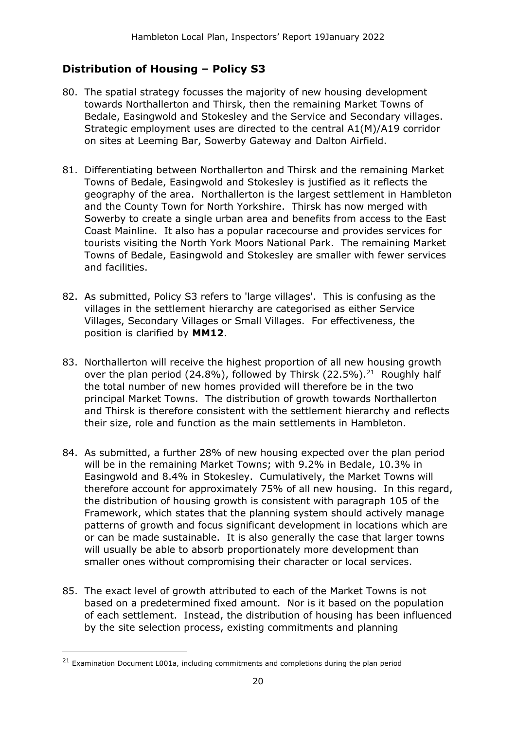#### **Distribution of Housing – Policy S3**

- 80. The spatial strategy focusses the majority of new housing development towards Northallerton and Thirsk, then the remaining Market Towns of Bedale, Easingwold and Stokesley and the Service and Secondary villages. Strategic employment uses are directed to the central A1(M)/A19 corridor on sites at Leeming Bar, Sowerby Gateway and Dalton Airfield.
- 81. Differentiating between Northallerton and Thirsk and the remaining Market Towns of Bedale, Easingwold and Stokesley is justified as it reflects the geography of the area. Northallerton is the largest settlement in Hambleton and the County Town for North Yorkshire. Thirsk has now merged with Sowerby to create a single urban area and benefits from access to the East Coast Mainline. It also has a popular racecourse and provides services for tourists visiting the North York Moors National Park. The remaining Market Towns of Bedale, Easingwold and Stokesley are smaller with fewer services and facilities.
- 82. As submitted, Policy S3 refers to 'large villages'. This is confusing as the villages in the settlement hierarchy are categorised as either Service Villages, Secondary Villages or Small Villages. For effectiveness, the position is clarified by **MM12**.
- 83. Northallerton will receive the highest proportion of all new housing growth over the plan period  $(24.8\%)$ , followed by Thirsk  $(22.5\%)$ .<sup>21</sup> Roughly half the total number of new homes provided will therefore be in the two principal Market Towns. The distribution of growth towards Northallerton and Thirsk is therefore consistent with the settlement hierarchy and reflects their size, role and function as the main settlements in Hambleton.
- 84. As submitted, a further 28% of new housing expected over the plan period will be in the remaining Market Towns; with 9.2% in Bedale, 10.3% in Easingwold and 8.4% in Stokesley. Cumulatively, the Market Towns will therefore account for approximately 75% of all new housing. In this regard, the distribution of housing growth is consistent with paragraph 105 of the Framework, which states that the planning system should actively manage patterns of growth and focus significant development in locations which are or can be made sustainable. It is also generally the case that larger towns will usually be able to absorb proportionately more development than smaller ones without compromising their character or local services.
- 85. The exact level of growth attributed to each of the Market Towns is not based on a predetermined fixed amount. Nor is it based on the population of each settlement. Instead, the distribution of housing has been influenced by the site selection process, existing commitments and planning

<sup>&</sup>lt;sup>21</sup> Examination Document L001a, including commitments and completions during the plan period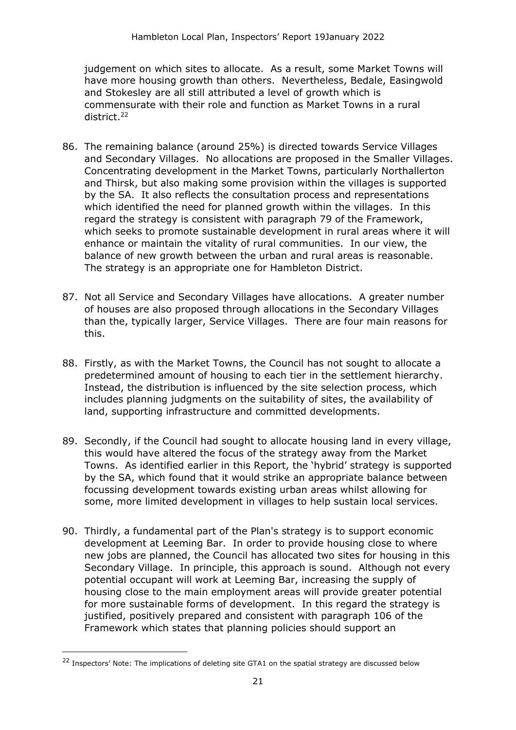judgement on which sites to allocate. As a result, some Market Towns will have more housing growth than others. Nevertheless, Bedale, Easingwold and Stokesley are all still attributed a level of growth which is commensurate with their role and function as Market Towns in a rural district.<sup>22</sup>

- 86. The remaining balance (around 25%) is directed towards Service Villages and Secondary Villages. No allocations are proposed in the Smaller Villages. Concentrating development in the Market Towns, particularly Northallerton and Thirsk, but also making some provision within the villages is supported by the SA. It also reflects the consultation process and representations which identified the need for planned growth within the villages. In this regard the strategy is consistent with paragraph 79 of the Framework, which seeks to promote sustainable development in rural areas where it will enhance or maintain the vitality of rural communities. In our view, the balance of new growth between the urban and rural areas is reasonable. The strategy is an appropriate one for Hambleton District.
- 87. Not all Service and Secondary Villages have allocations. A greater number of houses are also proposed through allocations in the Secondary Villages than the, typically larger, Service Villages. There are four main reasons for this.
- 88. Firstly, as with the Market Towns, the Council has not sought to allocate a predetermined amount of housing to each tier in the settlement hierarchy. Instead, the distribution is influenced by the site selection process, which includes planning judgments on the suitability of sites, the availability of land, supporting infrastructure and committed developments.
- 89. Secondly, if the Council had sought to allocate housing land in every village, this would have altered the focus of the strategy away from the Market Towns. As identified earlier in this Report, the 'hybrid' strategy is supported by the SA, which found that it would strike an appropriate balance between focussing development towards existing urban areas whilst allowing for some, more limited development in villages to help sustain local services.
- 90. Thirdly, a fundamental part of the Plan's strategy is to support economic development at Leeming Bar. In order to provide housing close to where new jobs are planned, the Council has allocated two sites for housing in this Secondary Village. In principle, this approach is sound. Although not every potential occupant will work at Leeming Bar, increasing the supply of housing close to the main employment areas will provide greater potential for more sustainable forms of development. In this regard the strategy is justified, positively prepared and consistent with paragraph 106 of the Framework which states that planning policies should support an

<sup>&</sup>lt;sup>22</sup> Inspectors' Note: The implications of deleting site GTA1 on the spatial strategy are discussed below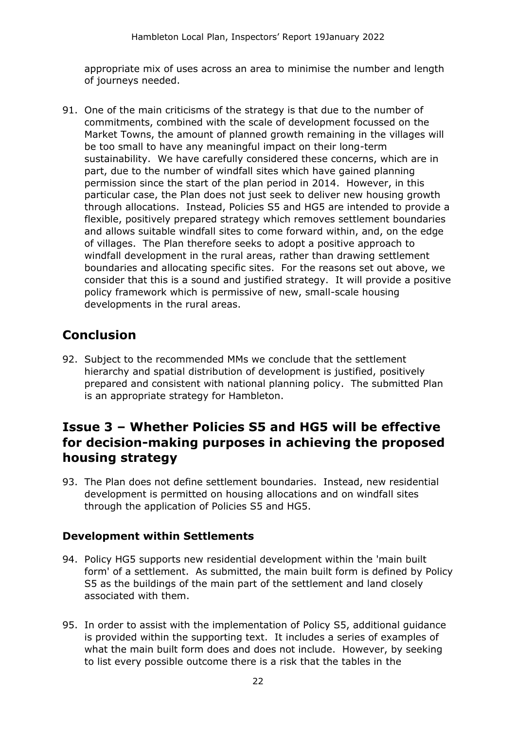appropriate mix of uses across an area to minimise the number and length of journeys needed.

91. One of the main criticisms of the strategy is that due to the number of commitments, combined with the scale of development focussed on the Market Towns, the amount of planned growth remaining in the villages will be too small to have any meaningful impact on their long-term sustainability. We have carefully considered these concerns, which are in part, due to the number of windfall sites which have gained planning permission since the start of the plan period in 2014. However, in this particular case, the Plan does not just seek to deliver new housing growth through allocations. Instead, Policies S5 and HG5 are intended to provide a flexible, positively prepared strategy which removes settlement boundaries and allows suitable windfall sites to come forward within, and, on the edge of villages. The Plan therefore seeks to adopt a positive approach to windfall development in the rural areas, rather than drawing settlement boundaries and allocating specific sites. For the reasons set out above, we consider that this is a sound and justified strategy. It will provide a positive policy framework which is permissive of new, small-scale housing developments in the rural areas.

### **Conclusion**

92. Subject to the recommended MMs we conclude that the settlement hierarchy and spatial distribution of development is justified, positively prepared and consistent with national planning policy. The submitted Plan is an appropriate strategy for Hambleton.

### **Issue 3 – Whether Policies S5 and HG5 will be effective for decision-making purposes in achieving the proposed housing strategy**

93. The Plan does not define settlement boundaries. Instead, new residential development is permitted on housing allocations and on windfall sites through the application of Policies S5 and HG5.

#### **Development within Settlements**

- 94. Policy HG5 supports new residential development within the 'main built form' of a settlement. As submitted, the main built form is defined by Policy S5 as the buildings of the main part of the settlement and land closely associated with them.
- 95. In order to assist with the implementation of Policy S5, additional guidance is provided within the supporting text. It includes a series of examples of what the main built form does and does not include. However, by seeking to list every possible outcome there is a risk that the tables in the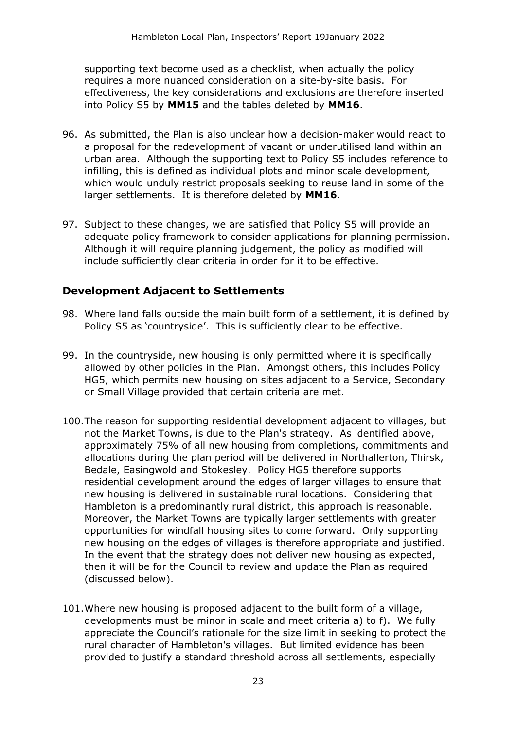supporting text become used as a checklist, when actually the policy requires a more nuanced consideration on a site-by-site basis. For effectiveness, the key considerations and exclusions are therefore inserted into Policy S5 by **MM15** and the tables deleted by **MM16**.

- 96. As submitted, the Plan is also unclear how a decision-maker would react to a proposal for the redevelopment of vacant or underutilised land within an urban area. Although the supporting text to Policy S5 includes reference to infilling, this is defined as individual plots and minor scale development, which would unduly restrict proposals seeking to reuse land in some of the larger settlements. It is therefore deleted by **MM16**.
- 97. Subject to these changes, we are satisfied that Policy S5 will provide an adequate policy framework to consider applications for planning permission. Although it will require planning judgement, the policy as modified will include sufficiently clear criteria in order for it to be effective.

#### **Development Adjacent to Settlements**

- 98. Where land falls outside the main built form of a settlement, it is defined by Policy S5 as 'countryside'. This is sufficiently clear to be effective.
- 99. In the countryside, new housing is only permitted where it is specifically allowed by other policies in the Plan. Amongst others, this includes Policy HG5, which permits new housing on sites adjacent to a Service, Secondary or Small Village provided that certain criteria are met.
- 100.The reason for supporting residential development adjacent to villages, but not the Market Towns, is due to the Plan's strategy. As identified above, approximately 75% of all new housing from completions, commitments and allocations during the plan period will be delivered in Northallerton, Thirsk, Bedale, Easingwold and Stokesley. Policy HG5 therefore supports residential development around the edges of larger villages to ensure that new housing is delivered in sustainable rural locations. Considering that Hambleton is a predominantly rural district, this approach is reasonable. Moreover, the Market Towns are typically larger settlements with greater opportunities for windfall housing sites to come forward. Only supporting new housing on the edges of villages is therefore appropriate and justified. In the event that the strategy does not deliver new housing as expected, then it will be for the Council to review and update the Plan as required (discussed below).
- 101.Where new housing is proposed adjacent to the built form of a village, developments must be minor in scale and meet criteria a) to f). We fully appreciate the Council's rationale for the size limit in seeking to protect the rural character of Hambleton's villages. But limited evidence has been provided to justify a standard threshold across all settlements, especially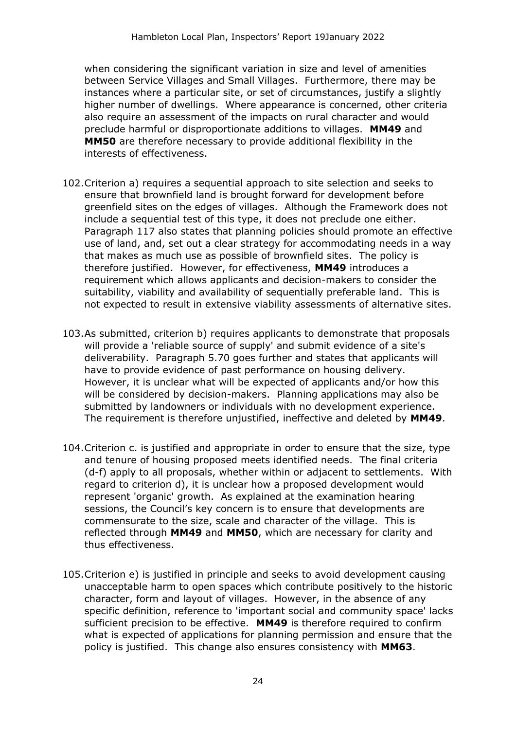when considering the significant variation in size and level of amenities between Service Villages and Small Villages. Furthermore, there may be instances where a particular site, or set of circumstances, justify a slightly higher number of dwellings. Where appearance is concerned, other criteria also require an assessment of the impacts on rural character and would preclude harmful or disproportionate additions to villages. **MM49** and **MM50** are therefore necessary to provide additional flexibility in the interests of effectiveness.

- 102.Criterion a) requires a sequential approach to site selection and seeks to ensure that brownfield land is brought forward for development before greenfield sites on the edges of villages. Although the Framework does not include a sequential test of this type, it does not preclude one either. Paragraph 117 also states that planning policies should promote an effective use of land, and, set out a clear strategy for accommodating needs in a way that makes as much use as possible of brownfield sites. The policy is therefore justified. However, for effectiveness, **MM49** introduces a requirement which allows applicants and decision-makers to consider the suitability, viability and availability of sequentially preferable land. This is not expected to result in extensive viability assessments of alternative sites.
- 103.As submitted, criterion b) requires applicants to demonstrate that proposals will provide a 'reliable source of supply' and submit evidence of a site's deliverability. Paragraph 5.70 goes further and states that applicants will have to provide evidence of past performance on housing delivery. However, it is unclear what will be expected of applicants and/or how this will be considered by decision-makers. Planning applications may also be submitted by landowners or individuals with no development experience. The requirement is therefore unjustified, ineffective and deleted by **MM49**.
- 104.Criterion c. is justified and appropriate in order to ensure that the size, type and tenure of housing proposed meets identified needs. The final criteria (d-f) apply to all proposals, whether within or adjacent to settlements. With regard to criterion d), it is unclear how a proposed development would represent 'organic' growth. As explained at the examination hearing sessions, the Council's key concern is to ensure that developments are commensurate to the size, scale and character of the village. This is reflected through **MM49** and **MM50**, which are necessary for clarity and thus effectiveness.
- 105.Criterion e) is justified in principle and seeks to avoid development causing unacceptable harm to open spaces which contribute positively to the historic character, form and layout of villages. However, in the absence of any specific definition, reference to 'important social and community space' lacks sufficient precision to be effective. **MM49** is therefore required to confirm what is expected of applications for planning permission and ensure that the policy is justified. This change also ensures consistency with **MM63**.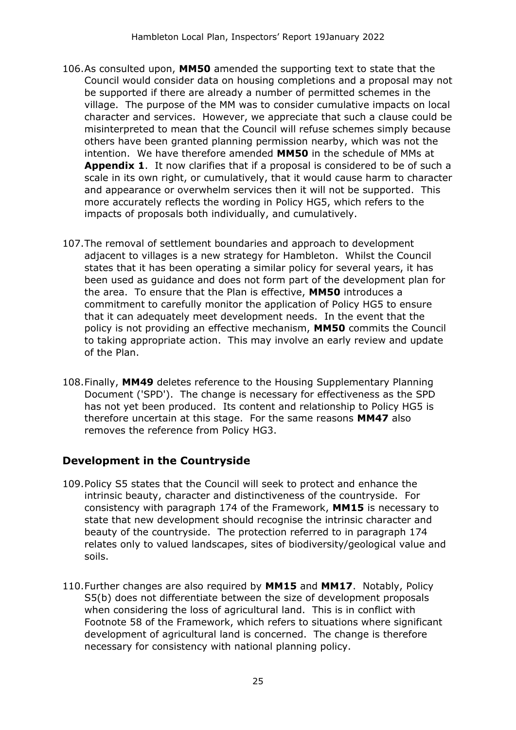- 106.As consulted upon, **MM50** amended the supporting text to state that the Council would consider data on housing completions and a proposal may not be supported if there are already a number of permitted schemes in the village. The purpose of the MM was to consider cumulative impacts on local character and services. However, we appreciate that such a clause could be misinterpreted to mean that the Council will refuse schemes simply because others have been granted planning permission nearby, which was not the intention. We have therefore amended **MM50** in the schedule of MMs at **Appendix 1**. It now clarifies that if a proposal is considered to be of such a scale in its own right, or cumulatively, that it would cause harm to character and appearance or overwhelm services then it will not be supported. This more accurately reflects the wording in Policy HG5, which refers to the impacts of proposals both individually, and cumulatively.
- 107.The removal of settlement boundaries and approach to development adjacent to villages is a new strategy for Hambleton. Whilst the Council states that it has been operating a similar policy for several years, it has been used as guidance and does not form part of the development plan for the area. To ensure that the Plan is effective, **MM50** introduces a commitment to carefully monitor the application of Policy HG5 to ensure that it can adequately meet development needs. In the event that the policy is not providing an effective mechanism, **MM50** commits the Council to taking appropriate action. This may involve an early review and update of the Plan.
- 108.Finally, **MM49** deletes reference to the Housing Supplementary Planning Document ('SPD'). The change is necessary for effectiveness as the SPD has not yet been produced. Its content and relationship to Policy HG5 is therefore uncertain at this stage. For the same reasons **MM47** also removes the reference from Policy HG3.

#### **Development in the Countryside**

- 109.Policy S5 states that the Council will seek to protect and enhance the intrinsic beauty, character and distinctiveness of the countryside. For consistency with paragraph 174 of the Framework, **MM15** is necessary to state that new development should recognise the intrinsic character and beauty of the countryside. The protection referred to in paragraph 174 relates only to valued landscapes, sites of biodiversity/geological value and soils.
- 110.Further changes are also required by **MM15** and **MM17**. Notably, Policy S5(b) does not differentiate between the size of development proposals when considering the loss of agricultural land. This is in conflict with Footnote 58 of the Framework, which refers to situations where significant development of agricultural land is concerned. The change is therefore necessary for consistency with national planning policy.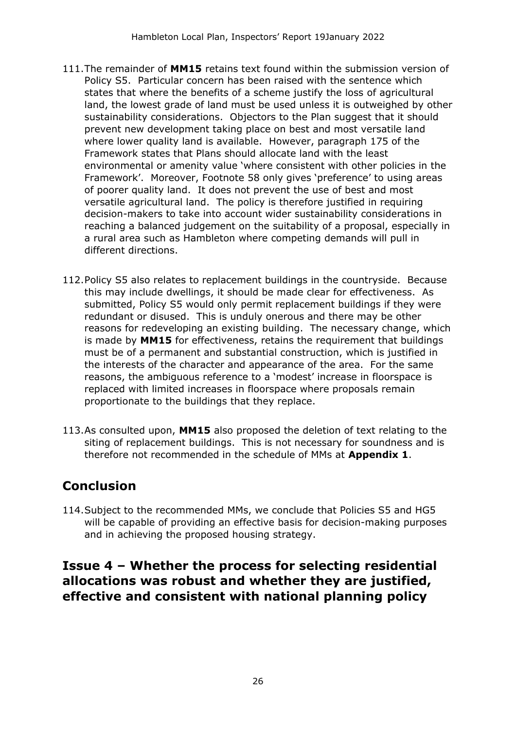- 111.The remainder of **MM15** retains text found within the submission version of Policy S5. Particular concern has been raised with the sentence which states that where the benefits of a scheme justify the loss of agricultural land, the lowest grade of land must be used unless it is outweighed by other sustainability considerations. Objectors to the Plan suggest that it should prevent new development taking place on best and most versatile land where lower quality land is available. However, paragraph 175 of the Framework states that Plans should allocate land with the least environmental or amenity value 'where consistent with other policies in the Framework'. Moreover, Footnote 58 only gives 'preference' to using areas of poorer quality land. It does not prevent the use of best and most versatile agricultural land. The policy is therefore justified in requiring decision-makers to take into account wider sustainability considerations in reaching a balanced judgement on the suitability of a proposal, especially in a rural area such as Hambleton where competing demands will pull in different directions.
- 112.Policy S5 also relates to replacement buildings in the countryside. Because this may include dwellings, it should be made clear for effectiveness. As submitted, Policy S5 would only permit replacement buildings if they were redundant or disused. This is unduly onerous and there may be other reasons for redeveloping an existing building. The necessary change, which is made by **MM15** for effectiveness, retains the requirement that buildings must be of a permanent and substantial construction, which is justified in the interests of the character and appearance of the area. For the same reasons, the ambiguous reference to a 'modest' increase in floorspace is replaced with limited increases in floorspace where proposals remain proportionate to the buildings that they replace.
- 113.As consulted upon, **MM15** also proposed the deletion of text relating to the siting of replacement buildings. This is not necessary for soundness and is therefore not recommended in the schedule of MMs at **Appendix 1**.

## **Conclusion**

114.Subject to the recommended MMs, we conclude that Policies S5 and HG5 will be capable of providing an effective basis for decision-making purposes and in achieving the proposed housing strategy.

### **Issue 4 – Whether the process for selecting residential allocations was robust and whether they are justified, effective and consistent with national planning policy**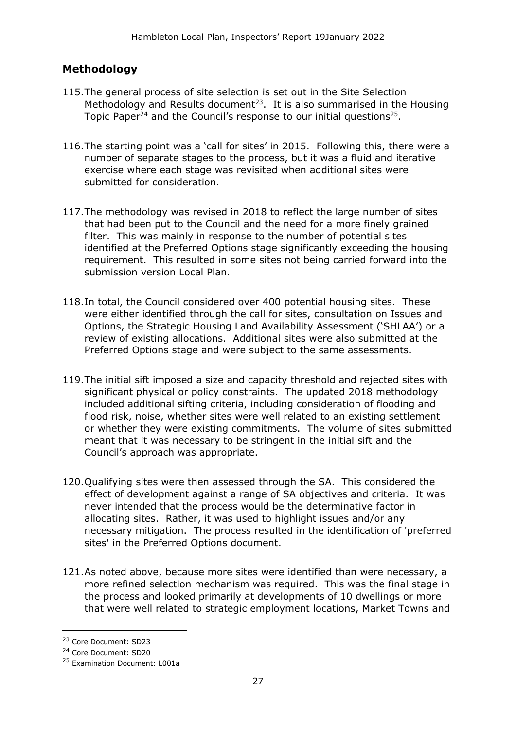#### **Methodology**

- 115.The general process of site selection is set out in the Site Selection Methodology and Results document<sup>23</sup>. It is also summarised in the Housing Topic Paper<sup>24</sup> and the Council's response to our initial questions<sup>25</sup>.
- 116.The starting point was a 'call for sites' in 2015. Following this, there were a number of separate stages to the process, but it was a fluid and iterative exercise where each stage was revisited when additional sites were submitted for consideration.
- 117.The methodology was revised in 2018 to reflect the large number of sites that had been put to the Council and the need for a more finely grained filter. This was mainly in response to the number of potential sites identified at the Preferred Options stage significantly exceeding the housing requirement. This resulted in some sites not being carried forward into the submission version Local Plan.
- 118.In total, the Council considered over 400 potential housing sites. These were either identified through the call for sites, consultation on Issues and Options, the Strategic Housing Land Availability Assessment ('SHLAA') or a review of existing allocations. Additional sites were also submitted at the Preferred Options stage and were subject to the same assessments.
- 119.The initial sift imposed a size and capacity threshold and rejected sites with significant physical or policy constraints. The updated 2018 methodology included additional sifting criteria, including consideration of flooding and flood risk, noise, whether sites were well related to an existing settlement or whether they were existing commitments. The volume of sites submitted meant that it was necessary to be stringent in the initial sift and the Council's approach was appropriate.
- 120.Qualifying sites were then assessed through the SA. This considered the effect of development against a range of SA objectives and criteria. It was never intended that the process would be the determinative factor in allocating sites. Rather, it was used to highlight issues and/or any necessary mitigation. The process resulted in the identification of 'preferred sites' in the Preferred Options document.
- 121.As noted above, because more sites were identified than were necessary, a more refined selection mechanism was required. This was the final stage in the process and looked primarily at developments of 10 dwellings or more that were well related to strategic employment locations, Market Towns and

<sup>23</sup> Core Document: SD23

<sup>24</sup> Core Document: SD20

<sup>25</sup> Examination Document: L001a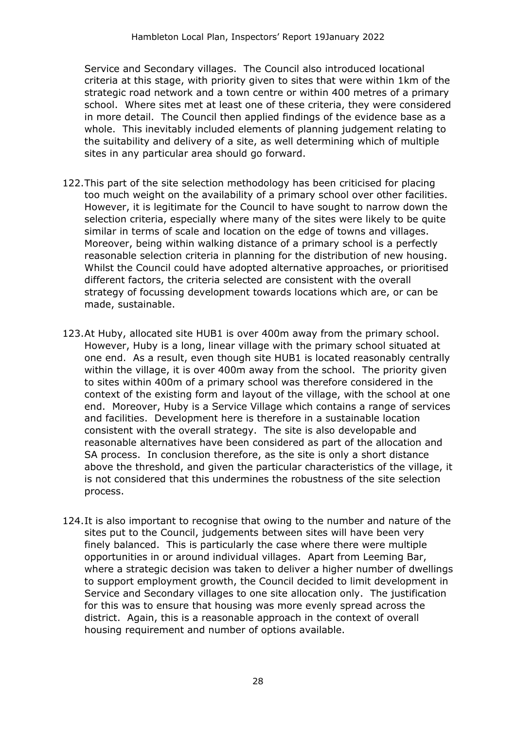Service and Secondary villages. The Council also introduced locational criteria at this stage, with priority given to sites that were within 1km of the strategic road network and a town centre or within 400 metres of a primary school. Where sites met at least one of these criteria, they were considered in more detail. The Council then applied findings of the evidence base as a whole. This inevitably included elements of planning judgement relating to the suitability and delivery of a site, as well determining which of multiple sites in any particular area should go forward.

- 122.This part of the site selection methodology has been criticised for placing too much weight on the availability of a primary school over other facilities. However, it is legitimate for the Council to have sought to narrow down the selection criteria, especially where many of the sites were likely to be quite similar in terms of scale and location on the edge of towns and villages. Moreover, being within walking distance of a primary school is a perfectly reasonable selection criteria in planning for the distribution of new housing. Whilst the Council could have adopted alternative approaches, or prioritised different factors, the criteria selected are consistent with the overall strategy of focussing development towards locations which are, or can be made, sustainable.
- 123.At Huby, allocated site HUB1 is over 400m away from the primary school. However, Huby is a long, linear village with the primary school situated at one end. As a result, even though site HUB1 is located reasonably centrally within the village, it is over 400m away from the school. The priority given to sites within 400m of a primary school was therefore considered in the context of the existing form and layout of the village, with the school at one end. Moreover, Huby is a Service Village which contains a range of services and facilities. Development here is therefore in a sustainable location consistent with the overall strategy. The site is also developable and reasonable alternatives have been considered as part of the allocation and SA process. In conclusion therefore, as the site is only a short distance above the threshold, and given the particular characteristics of the village, it is not considered that this undermines the robustness of the site selection process.
- 124.It is also important to recognise that owing to the number and nature of the sites put to the Council, judgements between sites will have been very finely balanced. This is particularly the case where there were multiple opportunities in or around individual villages. Apart from Leeming Bar, where a strategic decision was taken to deliver a higher number of dwellings to support employment growth, the Council decided to limit development in Service and Secondary villages to one site allocation only. The justification for this was to ensure that housing was more evenly spread across the district. Again, this is a reasonable approach in the context of overall housing requirement and number of options available.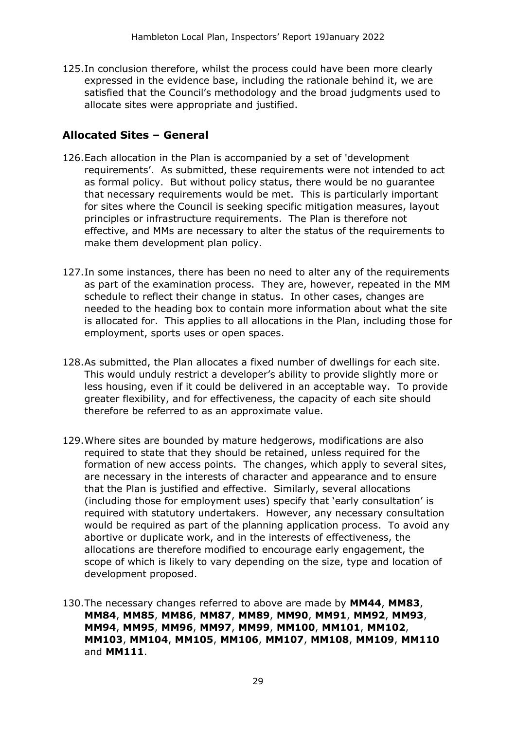125.In conclusion therefore, whilst the process could have been more clearly expressed in the evidence base, including the rationale behind it, we are satisfied that the Council's methodology and the broad judgments used to allocate sites were appropriate and justified.

#### **Allocated Sites – General**

- 126.Each allocation in the Plan is accompanied by a set of 'development requirements'. As submitted, these requirements were not intended to act as formal policy. But without policy status, there would be no guarantee that necessary requirements would be met. This is particularly important for sites where the Council is seeking specific mitigation measures, layout principles or infrastructure requirements. The Plan is therefore not effective, and MMs are necessary to alter the status of the requirements to make them development plan policy.
- 127.In some instances, there has been no need to alter any of the requirements as part of the examination process. They are, however, repeated in the MM schedule to reflect their change in status. In other cases, changes are needed to the heading box to contain more information about what the site is allocated for. This applies to all allocations in the Plan, including those for employment, sports uses or open spaces.
- 128.As submitted, the Plan allocates a fixed number of dwellings for each site. This would unduly restrict a developer's ability to provide slightly more or less housing, even if it could be delivered in an acceptable way. To provide greater flexibility, and for effectiveness, the capacity of each site should therefore be referred to as an approximate value.
- 129.Where sites are bounded by mature hedgerows, modifications are also required to state that they should be retained, unless required for the formation of new access points. The changes, which apply to several sites, are necessary in the interests of character and appearance and to ensure that the Plan is justified and effective. Similarly, several allocations (including those for employment uses) specify that 'early consultation' is required with statutory undertakers. However, any necessary consultation would be required as part of the planning application process. To avoid any abortive or duplicate work, and in the interests of effectiveness, the allocations are therefore modified to encourage early engagement, the scope of which is likely to vary depending on the size, type and location of development proposed.
- 130.The necessary changes referred to above are made by **MM44**, **MM83**, **MM84**, **MM85**, **MM86**, **MM87**, **MM89**, **MM90**, **MM91**, **MM92**, **MM93**, **MM94**, **MM95**, **MM96**, **MM97**, **MM99**, **MM100**, **MM101**, **MM102**, **MM103**, **MM104**, **MM105**, **MM106**, **MM107**, **MM108**, **MM109**, **MM110** and **MM111**.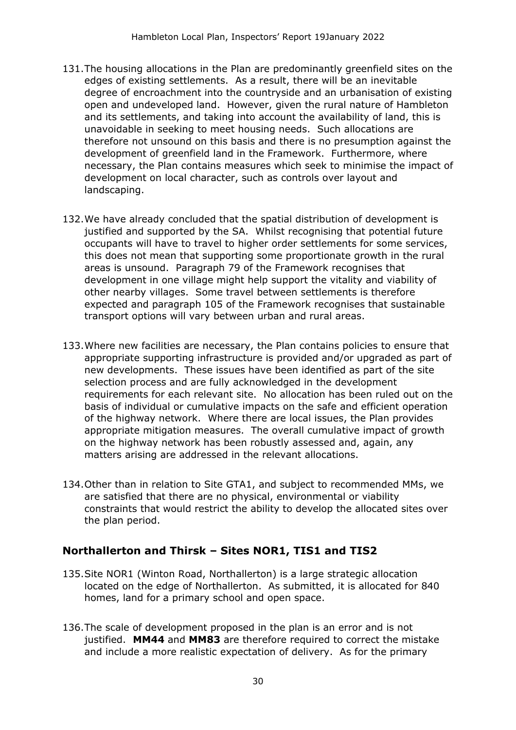- 131.The housing allocations in the Plan are predominantly greenfield sites on the edges of existing settlements. As a result, there will be an inevitable degree of encroachment into the countryside and an urbanisation of existing open and undeveloped land. However, given the rural nature of Hambleton and its settlements, and taking into account the availability of land, this is unavoidable in seeking to meet housing needs. Such allocations are therefore not unsound on this basis and there is no presumption against the development of greenfield land in the Framework. Furthermore, where necessary, the Plan contains measures which seek to minimise the impact of development on local character, such as controls over layout and landscaping.
- 132.We have already concluded that the spatial distribution of development is justified and supported by the SA. Whilst recognising that potential future occupants will have to travel to higher order settlements for some services, this does not mean that supporting some proportionate growth in the rural areas is unsound. Paragraph 79 of the Framework recognises that development in one village might help support the vitality and viability of other nearby villages. Some travel between settlements is therefore expected and paragraph 105 of the Framework recognises that sustainable transport options will vary between urban and rural areas.
- 133.Where new facilities are necessary, the Plan contains policies to ensure that appropriate supporting infrastructure is provided and/or upgraded as part of new developments. These issues have been identified as part of the site selection process and are fully acknowledged in the development requirements for each relevant site. No allocation has been ruled out on the basis of individual or cumulative impacts on the safe and efficient operation of the highway network. Where there are local issues, the Plan provides appropriate mitigation measures. The overall cumulative impact of growth on the highway network has been robustly assessed and, again, any matters arising are addressed in the relevant allocations.
- 134.Other than in relation to Site GTA1, and subject to recommended MMs, we are satisfied that there are no physical, environmental or viability constraints that would restrict the ability to develop the allocated sites over the plan period.

#### **Northallerton and Thirsk – Sites NOR1, TIS1 and TIS2**

- 135.Site NOR1 (Winton Road, Northallerton) is a large strategic allocation located on the edge of Northallerton. As submitted, it is allocated for 840 homes, land for a primary school and open space.
- 136.The scale of development proposed in the plan is an error and is not justified. **MM44** and **MM83** are therefore required to correct the mistake and include a more realistic expectation of delivery. As for the primary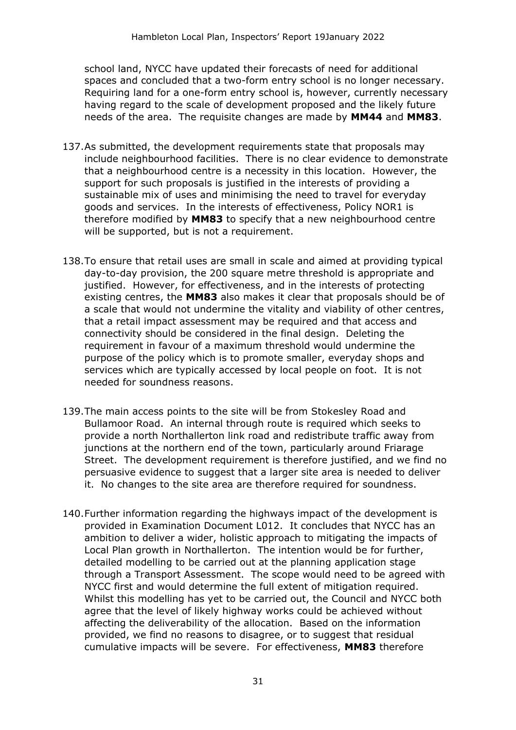school land, NYCC have updated their forecasts of need for additional spaces and concluded that a two-form entry school is no longer necessary. Requiring land for a one-form entry school is, however, currently necessary having regard to the scale of development proposed and the likely future needs of the area. The requisite changes are made by **MM44** and **MM83**.

- 137.As submitted, the development requirements state that proposals may include neighbourhood facilities. There is no clear evidence to demonstrate that a neighbourhood centre is a necessity in this location. However, the support for such proposals is justified in the interests of providing a sustainable mix of uses and minimising the need to travel for everyday goods and services. In the interests of effectiveness, Policy NOR1 is therefore modified by **MM83** to specify that a new neighbourhood centre will be supported, but is not a requirement.
- 138.To ensure that retail uses are small in scale and aimed at providing typical day-to-day provision, the 200 square metre threshold is appropriate and justified. However, for effectiveness, and in the interests of protecting existing centres, the **MM83** also makes it clear that proposals should be of a scale that would not undermine the vitality and viability of other centres, that a retail impact assessment may be required and that access and connectivity should be considered in the final design. Deleting the requirement in favour of a maximum threshold would undermine the purpose of the policy which is to promote smaller, everyday shops and services which are typically accessed by local people on foot. It is not needed for soundness reasons.
- 139.The main access points to the site will be from Stokesley Road and Bullamoor Road. An internal through route is required which seeks to provide a north Northallerton link road and redistribute traffic away from junctions at the northern end of the town, particularly around Friarage Street. The development requirement is therefore justified, and we find no persuasive evidence to suggest that a larger site area is needed to deliver it. No changes to the site area are therefore required for soundness.
- 140.Further information regarding the highways impact of the development is provided in Examination Document L012. It concludes that NYCC has an ambition to deliver a wider, holistic approach to mitigating the impacts of Local Plan growth in Northallerton. The intention would be for further, detailed modelling to be carried out at the planning application stage through a Transport Assessment. The scope would need to be agreed with NYCC first and would determine the full extent of mitigation required. Whilst this modelling has yet to be carried out, the Council and NYCC both agree that the level of likely highway works could be achieved without affecting the deliverability of the allocation. Based on the information provided, we find no reasons to disagree, or to suggest that residual cumulative impacts will be severe. For effectiveness, **MM83** therefore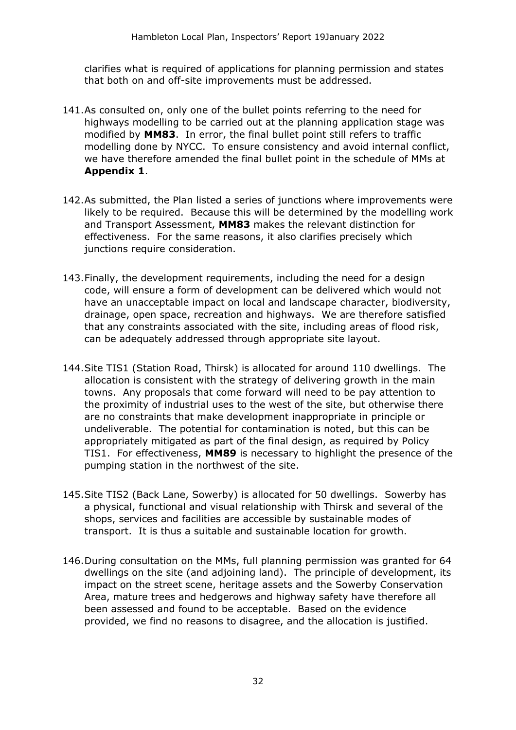clarifies what is required of applications for planning permission and states that both on and off-site improvements must be addressed.

- 141.As consulted on, only one of the bullet points referring to the need for highways modelling to be carried out at the planning application stage was modified by **MM83**. In error, the final bullet point still refers to traffic modelling done by NYCC. To ensure consistency and avoid internal conflict, we have therefore amended the final bullet point in the schedule of MMs at **Appendix 1**.
- 142.As submitted, the Plan listed a series of junctions where improvements were likely to be required. Because this will be determined by the modelling work and Transport Assessment, **MM83** makes the relevant distinction for effectiveness. For the same reasons, it also clarifies precisely which junctions require consideration.
- 143.Finally, the development requirements, including the need for a design code, will ensure a form of development can be delivered which would not have an unacceptable impact on local and landscape character, biodiversity, drainage, open space, recreation and highways. We are therefore satisfied that any constraints associated with the site, including areas of flood risk, can be adequately addressed through appropriate site layout.
- 144.Site TIS1 (Station Road, Thirsk) is allocated for around 110 dwellings. The allocation is consistent with the strategy of delivering growth in the main towns. Any proposals that come forward will need to be pay attention to the proximity of industrial uses to the west of the site, but otherwise there are no constraints that make development inappropriate in principle or undeliverable. The potential for contamination is noted, but this can be appropriately mitigated as part of the final design, as required by Policy TIS1. For effectiveness, **MM89** is necessary to highlight the presence of the pumping station in the northwest of the site.
- 145.Site TIS2 (Back Lane, Sowerby) is allocated for 50 dwellings. Sowerby has a physical, functional and visual relationship with Thirsk and several of the shops, services and facilities are accessible by sustainable modes of transport. It is thus a suitable and sustainable location for growth.
- 146.During consultation on the MMs, full planning permission was granted for 64 dwellings on the site (and adjoining land). The principle of development, its impact on the street scene, heritage assets and the Sowerby Conservation Area, mature trees and hedgerows and highway safety have therefore all been assessed and found to be acceptable. Based on the evidence provided, we find no reasons to disagree, and the allocation is justified.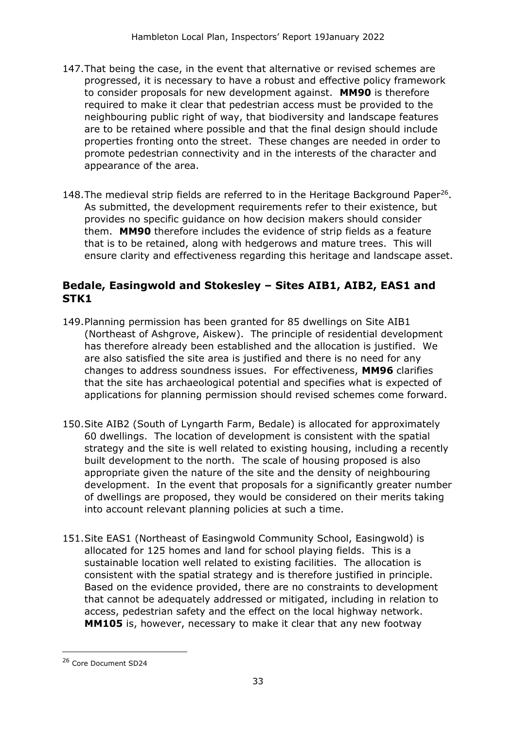- 147.That being the case, in the event that alternative or revised schemes are progressed, it is necessary to have a robust and effective policy framework to consider proposals for new development against. **MM90** is therefore required to make it clear that pedestrian access must be provided to the neighbouring public right of way, that biodiversity and landscape features are to be retained where possible and that the final design should include properties fronting onto the street. These changes are needed in order to promote pedestrian connectivity and in the interests of the character and appearance of the area.
- 148. The medieval strip fields are referred to in the Heritage Background Paper<sup>26</sup>. As submitted, the development requirements refer to their existence, but provides no specific guidance on how decision makers should consider them. **MM90** therefore includes the evidence of strip fields as a feature that is to be retained, along with hedgerows and mature trees. This will ensure clarity and effectiveness regarding this heritage and landscape asset.

#### **Bedale, Easingwold and Stokesley – Sites AIB1, AIB2, EAS1 and STK1**

- 149.Planning permission has been granted for 85 dwellings on Site AIB1 (Northeast of Ashgrove, Aiskew). The principle of residential development has therefore already been established and the allocation is justified. We are also satisfied the site area is justified and there is no need for any changes to address soundness issues. For effectiveness, **MM96** clarifies that the site has archaeological potential and specifies what is expected of applications for planning permission should revised schemes come forward.
- 150.Site AIB2 (South of Lyngarth Farm, Bedale) is allocated for approximately 60 dwellings. The location of development is consistent with the spatial strategy and the site is well related to existing housing, including a recently built development to the north. The scale of housing proposed is also appropriate given the nature of the site and the density of neighbouring development. In the event that proposals for a significantly greater number of dwellings are proposed, they would be considered on their merits taking into account relevant planning policies at such a time.
- 151.Site EAS1 (Northeast of Easingwold Community School, Easingwold) is allocated for 125 homes and land for school playing fields. This is a sustainable location well related to existing facilities. The allocation is consistent with the spatial strategy and is therefore justified in principle. Based on the evidence provided, there are no constraints to development that cannot be adequately addressed or mitigated, including in relation to access, pedestrian safety and the effect on the local highway network. **MM105** is, however, necessary to make it clear that any new footway

<sup>26</sup> Core Document SD24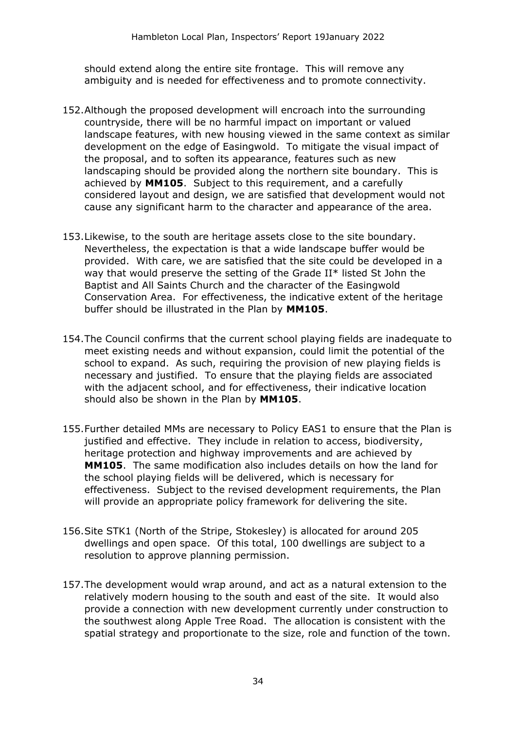should extend along the entire site frontage. This will remove any ambiguity and is needed for effectiveness and to promote connectivity.

- 152.Although the proposed development will encroach into the surrounding countryside, there will be no harmful impact on important or valued landscape features, with new housing viewed in the same context as similar development on the edge of Easingwold. To mitigate the visual impact of the proposal, and to soften its appearance, features such as new landscaping should be provided along the northern site boundary. This is achieved by **MM105**. Subject to this requirement, and a carefully considered layout and design, we are satisfied that development would not cause any significant harm to the character and appearance of the area.
- 153.Likewise, to the south are heritage assets close to the site boundary. Nevertheless, the expectation is that a wide landscape buffer would be provided. With care, we are satisfied that the site could be developed in a way that would preserve the setting of the Grade II\* listed St John the Baptist and All Saints Church and the character of the Easingwold Conservation Area. For effectiveness, the indicative extent of the heritage buffer should be illustrated in the Plan by **MM105**.
- 154.The Council confirms that the current school playing fields are inadequate to meet existing needs and without expansion, could limit the potential of the school to expand. As such, requiring the provision of new playing fields is necessary and justified. To ensure that the playing fields are associated with the adjacent school, and for effectiveness, their indicative location should also be shown in the Plan by **MM105**.
- 155.Further detailed MMs are necessary to Policy EAS1 to ensure that the Plan is justified and effective. They include in relation to access, biodiversity, heritage protection and highway improvements and are achieved by **MM105**. The same modification also includes details on how the land for the school playing fields will be delivered, which is necessary for effectiveness. Subject to the revised development requirements, the Plan will provide an appropriate policy framework for delivering the site.
- 156.Site STK1 (North of the Stripe, Stokesley) is allocated for around 205 dwellings and open space. Of this total, 100 dwellings are subject to a resolution to approve planning permission.
- 157.The development would wrap around, and act as a natural extension to the relatively modern housing to the south and east of the site. It would also provide a connection with new development currently under construction to the southwest along Apple Tree Road. The allocation is consistent with the spatial strategy and proportionate to the size, role and function of the town.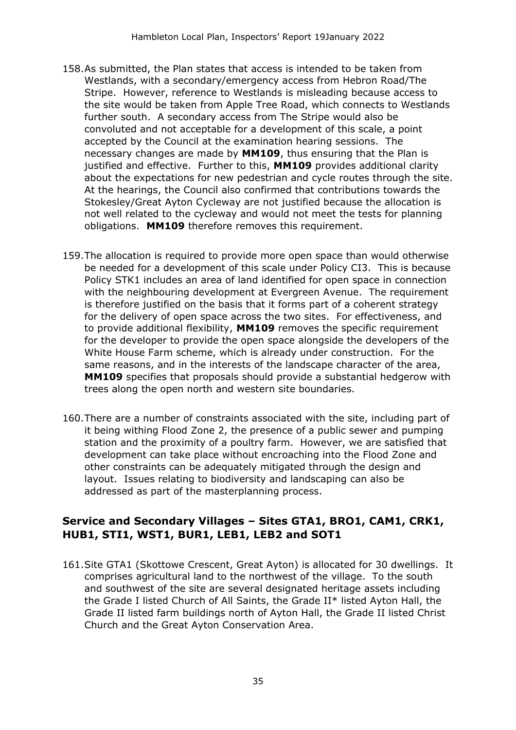- 158.As submitted, the Plan states that access is intended to be taken from Westlands, with a secondary/emergency access from Hebron Road/The Stripe. However, reference to Westlands is misleading because access to the site would be taken from Apple Tree Road, which connects to Westlands further south. A secondary access from The Stripe would also be convoluted and not acceptable for a development of this scale, a point accepted by the Council at the examination hearing sessions. The necessary changes are made by **MM109**, thus ensuring that the Plan is justified and effective. Further to this, **MM109** provides additional clarity about the expectations for new pedestrian and cycle routes through the site. At the hearings, the Council also confirmed that contributions towards the Stokesley/Great Ayton Cycleway are not justified because the allocation is not well related to the cycleway and would not meet the tests for planning obligations. **MM109** therefore removes this requirement.
- 159.The allocation is required to provide more open space than would otherwise be needed for a development of this scale under Policy CI3. This is because Policy STK1 includes an area of land identified for open space in connection with the neighbouring development at Evergreen Avenue. The requirement is therefore justified on the basis that it forms part of a coherent strategy for the delivery of open space across the two sites. For effectiveness, and to provide additional flexibility, **MM109** removes the specific requirement for the developer to provide the open space alongside the developers of the White House Farm scheme, which is already under construction. For the same reasons, and in the interests of the landscape character of the area, **MM109** specifies that proposals should provide a substantial hedgerow with trees along the open north and western site boundaries.
- 160.There are a number of constraints associated with the site, including part of it being withing Flood Zone 2, the presence of a public sewer and pumping station and the proximity of a poultry farm. However, we are satisfied that development can take place without encroaching into the Flood Zone and other constraints can be adequately mitigated through the design and layout. Issues relating to biodiversity and landscaping can also be addressed as part of the masterplanning process.

#### **Service and Secondary Villages – Sites GTA1, BRO1, CAM1, CRK1, HUB1, STI1, WST1, BUR1, LEB1, LEB2 and SOT1**

161.Site GTA1 (Skottowe Crescent, Great Ayton) is allocated for 30 dwellings. It comprises agricultural land to the northwest of the village. To the south and southwest of the site are several designated heritage assets including the Grade I listed Church of All Saints, the Grade II\* listed Ayton Hall, the Grade II listed farm buildings north of Ayton Hall, the Grade II listed Christ Church and the Great Ayton Conservation Area.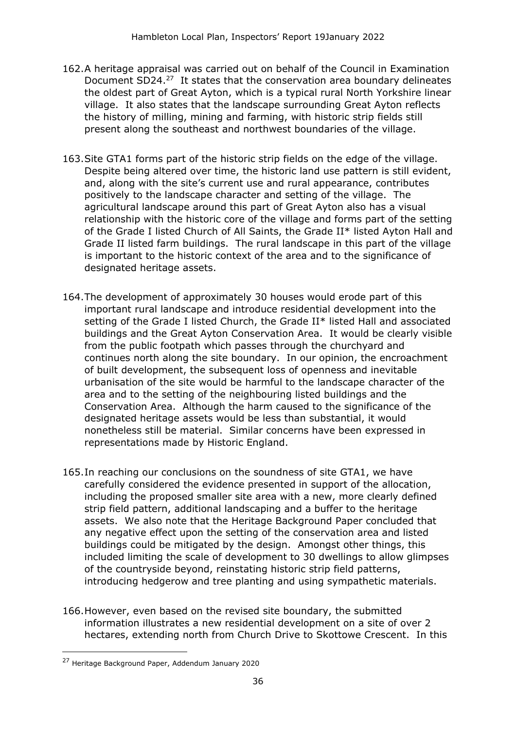- 162.A heritage appraisal was carried out on behalf of the Council in Examination Document SD24.<sup>27</sup> It states that the conservation area boundary delineates the oldest part of Great Ayton, which is a typical rural North Yorkshire linear village. It also states that the landscape surrounding Great Ayton reflects the history of milling, mining and farming, with historic strip fields still present along the southeast and northwest boundaries of the village.
- 163.Site GTA1 forms part of the historic strip fields on the edge of the village. Despite being altered over time, the historic land use pattern is still evident, and, along with the site's current use and rural appearance, contributes positively to the landscape character and setting of the village. The agricultural landscape around this part of Great Ayton also has a visual relationship with the historic core of the village and forms part of the setting of the Grade I listed Church of All Saints, the Grade II\* listed Ayton Hall and Grade II listed farm buildings. The rural landscape in this part of the village is important to the historic context of the area and to the significance of designated heritage assets.
- 164.The development of approximately 30 houses would erode part of this important rural landscape and introduce residential development into the setting of the Grade I listed Church, the Grade II\* listed Hall and associated buildings and the Great Ayton Conservation Area. It would be clearly visible from the public footpath which passes through the churchyard and continues north along the site boundary. In our opinion, the encroachment of built development, the subsequent loss of openness and inevitable urbanisation of the site would be harmful to the landscape character of the area and to the setting of the neighbouring listed buildings and the Conservation Area. Although the harm caused to the significance of the designated heritage assets would be less than substantial, it would nonetheless still be material. Similar concerns have been expressed in representations made by Historic England.
- 165.In reaching our conclusions on the soundness of site GTA1, we have carefully considered the evidence presented in support of the allocation, including the proposed smaller site area with a new, more clearly defined strip field pattern, additional landscaping and a buffer to the heritage assets. We also note that the Heritage Background Paper concluded that any negative effect upon the setting of the conservation area and listed buildings could be mitigated by the design. Amongst other things, this included limiting the scale of development to 30 dwellings to allow glimpses of the countryside beyond, reinstating historic strip field patterns, introducing hedgerow and tree planting and using sympathetic materials.
- 166.However, even based on the revised site boundary, the submitted information illustrates a new residential development on a site of over 2 hectares, extending north from Church Drive to Skottowe Crescent. In this

<sup>27</sup> Heritage Background Paper, Addendum January 2020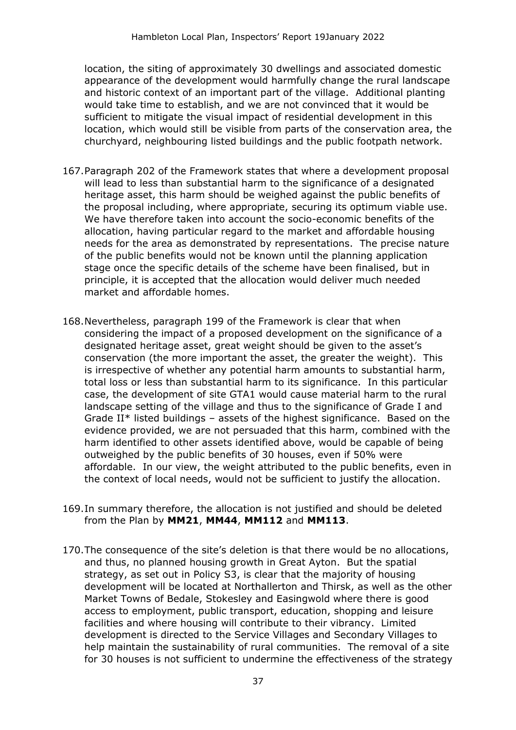location, the siting of approximately 30 dwellings and associated domestic appearance of the development would harmfully change the rural landscape and historic context of an important part of the village. Additional planting would take time to establish, and we are not convinced that it would be sufficient to mitigate the visual impact of residential development in this location, which would still be visible from parts of the conservation area, the churchyard, neighbouring listed buildings and the public footpath network.

- 167.Paragraph 202 of the Framework states that where a development proposal will lead to less than substantial harm to the significance of a designated heritage asset, this harm should be weighed against the public benefits of the proposal including, where appropriate, securing its optimum viable use. We have therefore taken into account the socio-economic benefits of the allocation, having particular regard to the market and affordable housing needs for the area as demonstrated by representations. The precise nature of the public benefits would not be known until the planning application stage once the specific details of the scheme have been finalised, but in principle, it is accepted that the allocation would deliver much needed market and affordable homes.
- 168.Nevertheless, paragraph 199 of the Framework is clear that when considering the impact of a proposed development on the significance of a designated heritage asset, great weight should be given to the asset's conservation (the more important the asset, the greater the weight). This is irrespective of whether any potential harm amounts to substantial harm, total loss or less than substantial harm to its significance. In this particular case, the development of site GTA1 would cause material harm to the rural landscape setting of the village and thus to the significance of Grade I and Grade II\* listed buildings – assets of the highest significance. Based on the evidence provided, we are not persuaded that this harm, combined with the harm identified to other assets identified above, would be capable of being outweighed by the public benefits of 30 houses, even if 50% were affordable. In our view, the weight attributed to the public benefits, even in the context of local needs, would not be sufficient to justify the allocation.
- 169.In summary therefore, the allocation is not justified and should be deleted from the Plan by **MM21**, **MM44**, **MM112** and **MM113**.
- 170.The consequence of the site's deletion is that there would be no allocations, and thus, no planned housing growth in Great Ayton. But the spatial strategy, as set out in Policy S3, is clear that the majority of housing development will be located at Northallerton and Thirsk, as well as the other Market Towns of Bedale, Stokesley and Easingwold where there is good access to employment, public transport, education, shopping and leisure facilities and where housing will contribute to their vibrancy. Limited development is directed to the Service Villages and Secondary Villages to help maintain the sustainability of rural communities. The removal of a site for 30 houses is not sufficient to undermine the effectiveness of the strategy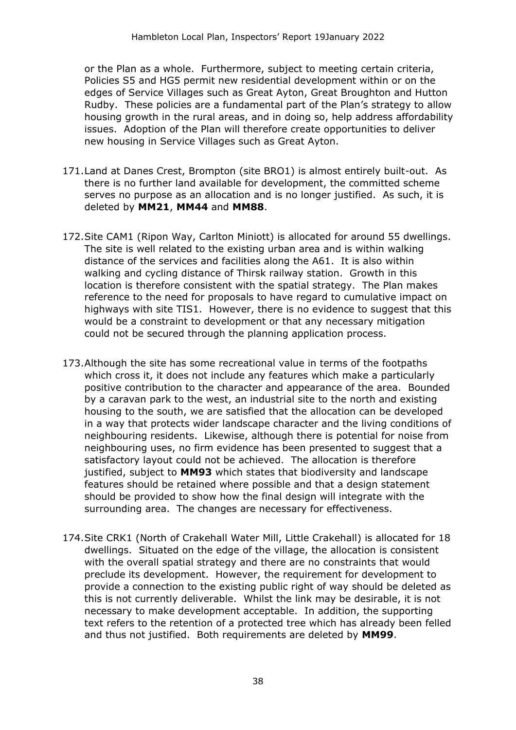or the Plan as a whole. Furthermore, subject to meeting certain criteria, Policies S5 and HG5 permit new residential development within or on the edges of Service Villages such as Great Ayton, Great Broughton and Hutton Rudby. These policies are a fundamental part of the Plan's strategy to allow housing growth in the rural areas, and in doing so, help address affordability issues. Adoption of the Plan will therefore create opportunities to deliver new housing in Service Villages such as Great Ayton.

- 171.Land at Danes Crest, Brompton (site BRO1) is almost entirely built-out. As there is no further land available for development, the committed scheme serves no purpose as an allocation and is no longer justified. As such, it is deleted by **MM21**, **MM44** and **MM88**.
- 172.Site CAM1 (Ripon Way, Carlton Miniott) is allocated for around 55 dwellings. The site is well related to the existing urban area and is within walking distance of the services and facilities along the A61. It is also within walking and cycling distance of Thirsk railway station. Growth in this location is therefore consistent with the spatial strategy. The Plan makes reference to the need for proposals to have regard to cumulative impact on highways with site TIS1. However, there is no evidence to suggest that this would be a constraint to development or that any necessary mitigation could not be secured through the planning application process.
- 173.Although the site has some recreational value in terms of the footpaths which cross it, it does not include any features which make a particularly positive contribution to the character and appearance of the area. Bounded by a caravan park to the west, an industrial site to the north and existing housing to the south, we are satisfied that the allocation can be developed in a way that protects wider landscape character and the living conditions of neighbouring residents. Likewise, although there is potential for noise from neighbouring uses, no firm evidence has been presented to suggest that a satisfactory layout could not be achieved. The allocation is therefore justified, subject to **MM93** which states that biodiversity and landscape features should be retained where possible and that a design statement should be provided to show how the final design will integrate with the surrounding area. The changes are necessary for effectiveness.
- 174.Site CRK1 (North of Crakehall Water Mill, Little Crakehall) is allocated for 18 dwellings. Situated on the edge of the village, the allocation is consistent with the overall spatial strategy and there are no constraints that would preclude its development. However, the requirement for development to provide a connection to the existing public right of way should be deleted as this is not currently deliverable. Whilst the link may be desirable, it is not necessary to make development acceptable. In addition, the supporting text refers to the retention of a protected tree which has already been felled and thus not justified. Both requirements are deleted by **MM99**.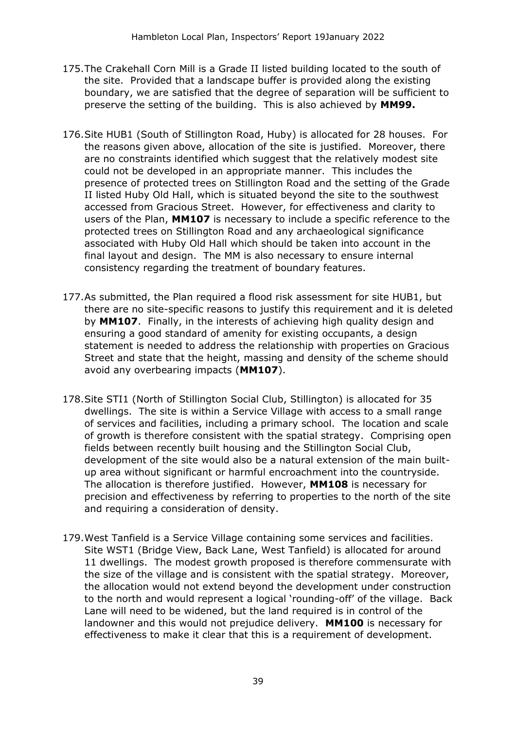- 175.The Crakehall Corn Mill is a Grade II listed building located to the south of the site. Provided that a landscape buffer is provided along the existing boundary, we are satisfied that the degree of separation will be sufficient to preserve the setting of the building. This is also achieved by **MM99.**
- 176.Site HUB1 (South of Stillington Road, Huby) is allocated for 28 houses. For the reasons given above, allocation of the site is justified. Moreover, there are no constraints identified which suggest that the relatively modest site could not be developed in an appropriate manner. This includes the presence of protected trees on Stillington Road and the setting of the Grade II listed Huby Old Hall, which is situated beyond the site to the southwest accessed from Gracious Street. However, for effectiveness and clarity to users of the Plan, **MM107** is necessary to include a specific reference to the protected trees on Stillington Road and any archaeological significance associated with Huby Old Hall which should be taken into account in the final layout and design. The MM is also necessary to ensure internal consistency regarding the treatment of boundary features.
- 177.As submitted, the Plan required a flood risk assessment for site HUB1, but there are no site-specific reasons to justify this requirement and it is deleted by **MM107**. Finally, in the interests of achieving high quality design and ensuring a good standard of amenity for existing occupants, a design statement is needed to address the relationship with properties on Gracious Street and state that the height, massing and density of the scheme should avoid any overbearing impacts (**MM107**).
- 178.Site STI1 (North of Stillington Social Club, Stillington) is allocated for 35 dwellings. The site is within a Service Village with access to a small range of services and facilities, including a primary school. The location and scale of growth is therefore consistent with the spatial strategy. Comprising open fields between recently built housing and the Stillington Social Club, development of the site would also be a natural extension of the main builtup area without significant or harmful encroachment into the countryside. The allocation is therefore justified. However, **MM108** is necessary for precision and effectiveness by referring to properties to the north of the site and requiring a consideration of density.
- 179.West Tanfield is a Service Village containing some services and facilities. Site WST1 (Bridge View, Back Lane, West Tanfield) is allocated for around 11 dwellings. The modest growth proposed is therefore commensurate with the size of the village and is consistent with the spatial strategy. Moreover, the allocation would not extend beyond the development under construction to the north and would represent a logical 'rounding-off' of the village. Back Lane will need to be widened, but the land required is in control of the landowner and this would not prejudice delivery. **MM100** is necessary for effectiveness to make it clear that this is a requirement of development.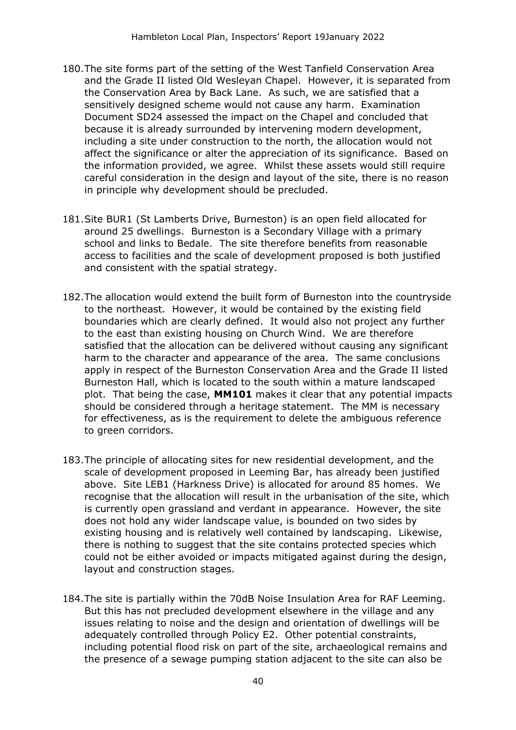- 180.The site forms part of the setting of the West Tanfield Conservation Area and the Grade II listed Old Wesleyan Chapel. However, it is separated from the Conservation Area by Back Lane. As such, we are satisfied that a sensitively designed scheme would not cause any harm. Examination Document SD24 assessed the impact on the Chapel and concluded that because it is already surrounded by intervening modern development, including a site under construction to the north, the allocation would not affect the significance or alter the appreciation of its significance. Based on the information provided, we agree. Whilst these assets would still require careful consideration in the design and layout of the site, there is no reason in principle why development should be precluded.
- 181.Site BUR1 (St Lamberts Drive, Burneston) is an open field allocated for around 25 dwellings. Burneston is a Secondary Village with a primary school and links to Bedale. The site therefore benefits from reasonable access to facilities and the scale of development proposed is both justified and consistent with the spatial strategy.
- 182.The allocation would extend the built form of Burneston into the countryside to the northeast. However, it would be contained by the existing field boundaries which are clearly defined. It would also not project any further to the east than existing housing on Church Wind. We are therefore satisfied that the allocation can be delivered without causing any significant harm to the character and appearance of the area. The same conclusions apply in respect of the Burneston Conservation Area and the Grade II listed Burneston Hall, which is located to the south within a mature landscaped plot. That being the case, **MM101** makes it clear that any potential impacts should be considered through a heritage statement. The MM is necessary for effectiveness, as is the requirement to delete the ambiguous reference to green corridors.
- 183.The principle of allocating sites for new residential development, and the scale of development proposed in Leeming Bar, has already been justified above. Site LEB1 (Harkness Drive) is allocated for around 85 homes. We recognise that the allocation will result in the urbanisation of the site, which is currently open grassland and verdant in appearance. However, the site does not hold any wider landscape value, is bounded on two sides by existing housing and is relatively well contained by landscaping. Likewise, there is nothing to suggest that the site contains protected species which could not be either avoided or impacts mitigated against during the design, layout and construction stages.
- 184.The site is partially within the 70dB Noise Insulation Area for RAF Leeming. But this has not precluded development elsewhere in the village and any issues relating to noise and the design and orientation of dwellings will be adequately controlled through Policy E2. Other potential constraints, including potential flood risk on part of the site, archaeological remains and the presence of a sewage pumping station adjacent to the site can also be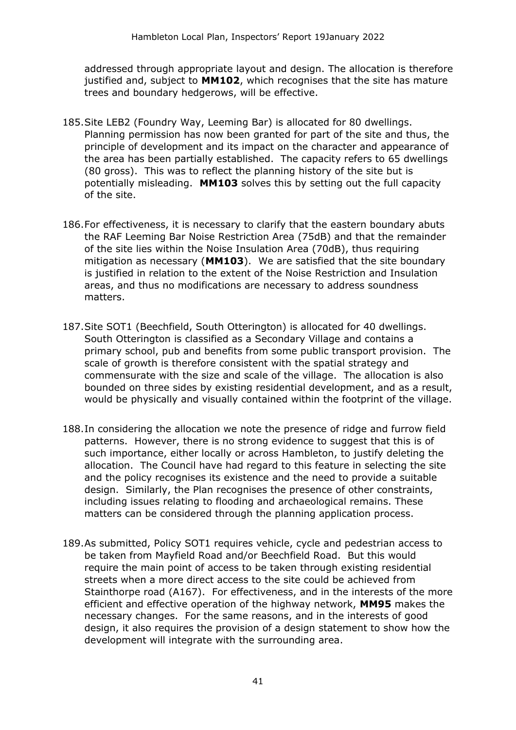addressed through appropriate layout and design. The allocation is therefore justified and, subject to **MM102**, which recognises that the site has mature trees and boundary hedgerows, will be effective.

- 185.Site LEB2 (Foundry Way, Leeming Bar) is allocated for 80 dwellings. Planning permission has now been granted for part of the site and thus, the principle of development and its impact on the character and appearance of the area has been partially established. The capacity refers to 65 dwellings (80 gross). This was to reflect the planning history of the site but is potentially misleading. **MM103** solves this by setting out the full capacity of the site.
- 186.For effectiveness, it is necessary to clarify that the eastern boundary abuts the RAF Leeming Bar Noise Restriction Area (75dB) and that the remainder of the site lies within the Noise Insulation Area (70dB), thus requiring mitigation as necessary (**MM103**). We are satisfied that the site boundary is justified in relation to the extent of the Noise Restriction and Insulation areas, and thus no modifications are necessary to address soundness matters.
- 187.Site SOT1 (Beechfield, South Otterington) is allocated for 40 dwellings. South Otterington is classified as a Secondary Village and contains a primary school, pub and benefits from some public transport provision. The scale of growth is therefore consistent with the spatial strategy and commensurate with the size and scale of the village. The allocation is also bounded on three sides by existing residential development, and as a result, would be physically and visually contained within the footprint of the village.
- 188.In considering the allocation we note the presence of ridge and furrow field patterns. However, there is no strong evidence to suggest that this is of such importance, either locally or across Hambleton, to justify deleting the allocation. The Council have had regard to this feature in selecting the site and the policy recognises its existence and the need to provide a suitable design. Similarly, the Plan recognises the presence of other constraints, including issues relating to flooding and archaeological remains. These matters can be considered through the planning application process.
- 189.As submitted, Policy SOT1 requires vehicle, cycle and pedestrian access to be taken from Mayfield Road and/or Beechfield Road. But this would require the main point of access to be taken through existing residential streets when a more direct access to the site could be achieved from Stainthorpe road (A167). For effectiveness, and in the interests of the more efficient and effective operation of the highway network, **MM95** makes the necessary changes. For the same reasons, and in the interests of good design, it also requires the provision of a design statement to show how the development will integrate with the surrounding area.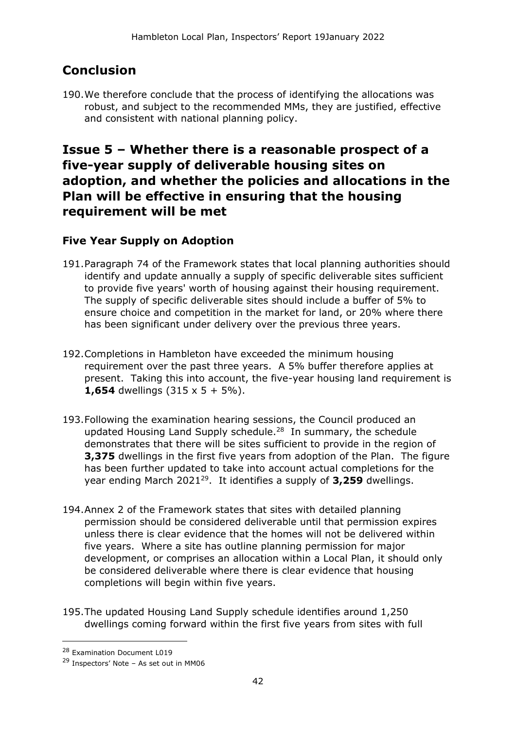# **Conclusion**

190.We therefore conclude that the process of identifying the allocations was robust, and subject to the recommended MMs, they are justified, effective and consistent with national planning policy.

# **Issue 5 – Whether there is a reasonable prospect of a five-year supply of deliverable housing sites on adoption, and whether the policies and allocations in the Plan will be effective in ensuring that the housing requirement will be met**

### **Five Year Supply on Adoption**

- 191.Paragraph 74 of the Framework states that local planning authorities should identify and update annually a supply of specific deliverable sites sufficient to provide five years' worth of housing against their housing requirement. The supply of specific deliverable sites should include a buffer of 5% to ensure choice and competition in the market for land, or 20% where there has been significant under delivery over the previous three years.
- 192.Completions in Hambleton have exceeded the minimum housing requirement over the past three years. A 5% buffer therefore applies at present. Taking this into account, the five-year housing land requirement is **1,654** dwellings  $(315 \times 5 + 5\%)$ .
- 193.Following the examination hearing sessions, the Council produced an updated Housing Land Supply schedule.<sup>28</sup> In summary, the schedule demonstrates that there will be sites sufficient to provide in the region of **3,375** dwellings in the first five years from adoption of the Plan. The figure has been further updated to take into account actual completions for the year ending March 2021<sup>29</sup>. It identifies a supply of **3,259** dwellings.
- 194.Annex 2 of the Framework states that sites with detailed planning permission should be considered deliverable until that permission expires unless there is clear evidence that the homes will not be delivered within five years. Where a site has outline planning permission for major development, or comprises an allocation within a Local Plan, it should only be considered deliverable where there is clear evidence that housing completions will begin within five years.
- 195.The updated Housing Land Supply schedule identifies around 1,250 dwellings coming forward within the first five years from sites with full

<sup>28</sup> Examination Document L019

<sup>29</sup> Inspectors' Note – As set out in MM06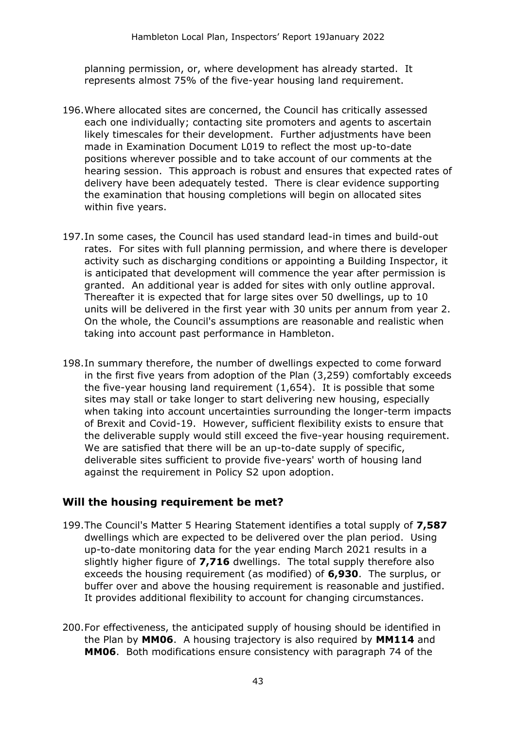planning permission, or, where development has already started. It represents almost 75% of the five-year housing land requirement.

- 196.Where allocated sites are concerned, the Council has critically assessed each one individually; contacting site promoters and agents to ascertain likely timescales for their development. Further adjustments have been made in Examination Document L019 to reflect the most up-to-date positions wherever possible and to take account of our comments at the hearing session. This approach is robust and ensures that expected rates of delivery have been adequately tested. There is clear evidence supporting the examination that housing completions will begin on allocated sites within five years.
- 197.In some cases, the Council has used standard lead-in times and build-out rates. For sites with full planning permission, and where there is developer activity such as discharging conditions or appointing a Building Inspector, it is anticipated that development will commence the year after permission is granted. An additional year is added for sites with only outline approval. Thereafter it is expected that for large sites over 50 dwellings, up to 10 units will be delivered in the first year with 30 units per annum from year 2. On the whole, the Council's assumptions are reasonable and realistic when taking into account past performance in Hambleton.
- 198.In summary therefore, the number of dwellings expected to come forward in the first five years from adoption of the Plan (3,259) comfortably exceeds the five-year housing land requirement (1,654). It is possible that some sites may stall or take longer to start delivering new housing, especially when taking into account uncertainties surrounding the longer-term impacts of Brexit and Covid-19. However, sufficient flexibility exists to ensure that the deliverable supply would still exceed the five-year housing requirement. We are satisfied that there will be an up-to-date supply of specific, deliverable sites sufficient to provide five-years' worth of housing land against the requirement in Policy S2 upon adoption.

#### **Will the housing requirement be met?**

- 199.The Council's Matter 5 Hearing Statement identifies a total supply of **7,587** dwellings which are expected to be delivered over the plan period. Using up-to-date monitoring data for the year ending March 2021 results in a slightly higher figure of **7,716** dwellings. The total supply therefore also exceeds the housing requirement (as modified) of **6,930**. The surplus, or buffer over and above the housing requirement is reasonable and justified. It provides additional flexibility to account for changing circumstances.
- 200.For effectiveness, the anticipated supply of housing should be identified in the Plan by **MM06**. A housing trajectory is also required by **MM114** and **MM06**. Both modifications ensure consistency with paragraph 74 of the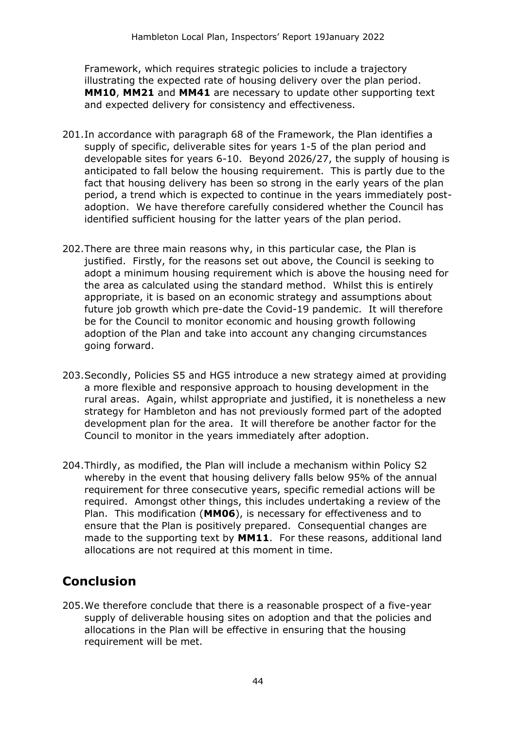Framework, which requires strategic policies to include a trajectory illustrating the expected rate of housing delivery over the plan period. **MM10**, **MM21** and **MM41** are necessary to update other supporting text and expected delivery for consistency and effectiveness.

- 201.In accordance with paragraph 68 of the Framework, the Plan identifies a supply of specific, deliverable sites for years 1-5 of the plan period and developable sites for years 6-10. Beyond 2026/27, the supply of housing is anticipated to fall below the housing requirement. This is partly due to the fact that housing delivery has been so strong in the early years of the plan period, a trend which is expected to continue in the years immediately postadoption. We have therefore carefully considered whether the Council has identified sufficient housing for the latter years of the plan period.
- 202.There are three main reasons why, in this particular case, the Plan is justified. Firstly, for the reasons set out above, the Council is seeking to adopt a minimum housing requirement which is above the housing need for the area as calculated using the standard method. Whilst this is entirely appropriate, it is based on an economic strategy and assumptions about future job growth which pre-date the Covid-19 pandemic. It will therefore be for the Council to monitor economic and housing growth following adoption of the Plan and take into account any changing circumstances going forward.
- 203.Secondly, Policies S5 and HG5 introduce a new strategy aimed at providing a more flexible and responsive approach to housing development in the rural areas. Again, whilst appropriate and justified, it is nonetheless a new strategy for Hambleton and has not previously formed part of the adopted development plan for the area. It will therefore be another factor for the Council to monitor in the years immediately after adoption.
- 204.Thirdly, as modified, the Plan will include a mechanism within Policy S2 whereby in the event that housing delivery falls below 95% of the annual requirement for three consecutive years, specific remedial actions will be required. Amongst other things, this includes undertaking a review of the Plan. This modification (**MM06**), is necessary for effectiveness and to ensure that the Plan is positively prepared. Consequential changes are made to the supporting text by **MM11**. For these reasons, additional land allocations are not required at this moment in time.

# **Conclusion**

205.We therefore conclude that there is a reasonable prospect of a five-year supply of deliverable housing sites on adoption and that the policies and allocations in the Plan will be effective in ensuring that the housing requirement will be met.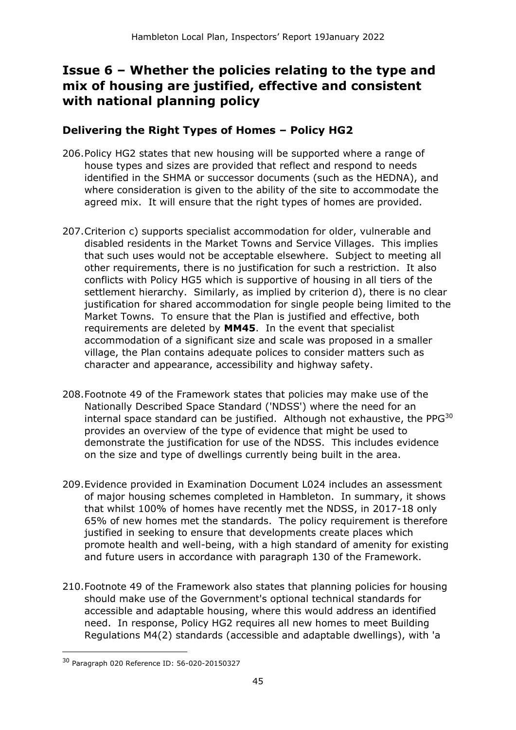# **Issue 6 – Whether the policies relating to the type and mix of housing are justified, effective and consistent with national planning policy**

#### **Delivering the Right Types of Homes – Policy HG2**

- 206.Policy HG2 states that new housing will be supported where a range of house types and sizes are provided that reflect and respond to needs identified in the SHMA or successor documents (such as the HEDNA), and where consideration is given to the ability of the site to accommodate the agreed mix. It will ensure that the right types of homes are provided.
- 207.Criterion c) supports specialist accommodation for older, vulnerable and disabled residents in the Market Towns and Service Villages. This implies that such uses would not be acceptable elsewhere. Subject to meeting all other requirements, there is no justification for such a restriction. It also conflicts with Policy HG5 which is supportive of housing in all tiers of the settlement hierarchy. Similarly, as implied by criterion d), there is no clear justification for shared accommodation for single people being limited to the Market Towns. To ensure that the Plan is justified and effective, both requirements are deleted by **MM45**. In the event that specialist accommodation of a significant size and scale was proposed in a smaller village, the Plan contains adequate polices to consider matters such as character and appearance, accessibility and highway safety.
- 208.Footnote 49 of the Framework states that policies may make use of the Nationally Described Space Standard ('NDSS') where the need for an internal space standard can be justified. Although not exhaustive, the PPG<sup>30</sup> provides an overview of the type of evidence that might be used to demonstrate the justification for use of the NDSS. This includes evidence on the size and type of dwellings currently being built in the area.
- 209.Evidence provided in Examination Document L024 includes an assessment of major housing schemes completed in Hambleton. In summary, it shows that whilst 100% of homes have recently met the NDSS, in 2017-18 only 65% of new homes met the standards. The policy requirement is therefore justified in seeking to ensure that developments create places which promote health and well-being, with a high standard of amenity for existing and future users in accordance with paragraph 130 of the Framework.
- 210.Footnote 49 of the Framework also states that planning policies for housing should make use of the Government's optional technical standards for accessible and adaptable housing, where this would address an identified need. In response, Policy HG2 requires all new homes to meet Building Regulations M4(2) standards (accessible and adaptable dwellings), with 'a

<sup>30</sup> Paragraph 020 Reference ID: 56-020-20150327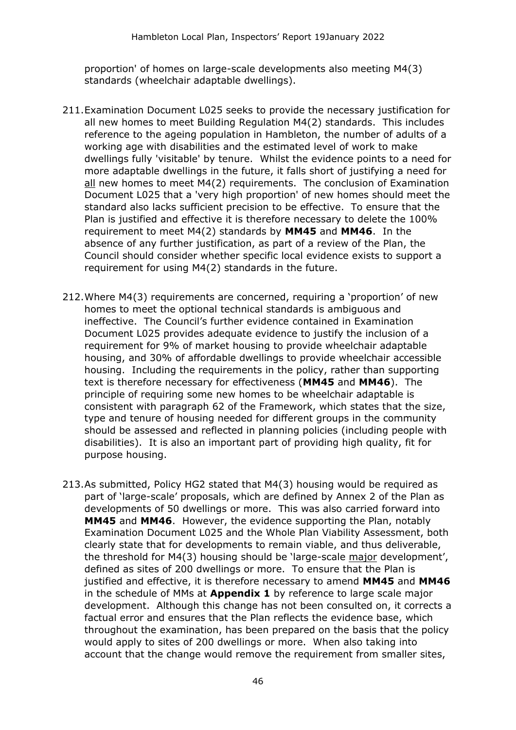proportion' of homes on large-scale developments also meeting M4(3) standards (wheelchair adaptable dwellings).

- 211.Examination Document L025 seeks to provide the necessary justification for all new homes to meet Building Regulation M4(2) standards. This includes reference to the ageing population in Hambleton, the number of adults of a working age with disabilities and the estimated level of work to make dwellings fully 'visitable' by tenure. Whilst the evidence points to a need for more adaptable dwellings in the future, it falls short of justifying a need for all new homes to meet M4(2) requirements. The conclusion of Examination Document L025 that a 'very high proportion' of new homes should meet the standard also lacks sufficient precision to be effective. To ensure that the Plan is justified and effective it is therefore necessary to delete the 100% requirement to meet M4(2) standards by **MM45** and **MM46**. In the absence of any further justification, as part of a review of the Plan, the Council should consider whether specific local evidence exists to support a requirement for using M4(2) standards in the future.
- 212.Where M4(3) requirements are concerned, requiring a 'proportion' of new homes to meet the optional technical standards is ambiguous and ineffective. The Council's further evidence contained in Examination Document L025 provides adequate evidence to justify the inclusion of a requirement for 9% of market housing to provide wheelchair adaptable housing, and 30% of affordable dwellings to provide wheelchair accessible housing. Including the requirements in the policy, rather than supporting text is therefore necessary for effectiveness (**MM45** and **MM46**). The principle of requiring some new homes to be wheelchair adaptable is consistent with paragraph 62 of the Framework, which states that the size, type and tenure of housing needed for different groups in the community should be assessed and reflected in planning policies (including people with disabilities). It is also an important part of providing high quality, fit for purpose housing.
- 213.As submitted, Policy HG2 stated that M4(3) housing would be required as part of 'large-scale' proposals, which are defined by Annex 2 of the Plan as developments of 50 dwellings or more. This was also carried forward into **MM45** and **MM46**. However, the evidence supporting the Plan, notably Examination Document L025 and the Whole Plan Viability Assessment, both clearly state that for developments to remain viable, and thus deliverable, the threshold for M4(3) housing should be 'large-scale major development', defined as sites of 200 dwellings or more. To ensure that the Plan is justified and effective, it is therefore necessary to amend **MM45** and **MM46** in the schedule of MMs at **Appendix 1** by reference to large scale major development. Although this change has not been consulted on, it corrects a factual error and ensures that the Plan reflects the evidence base, which throughout the examination, has been prepared on the basis that the policy would apply to sites of 200 dwellings or more. When also taking into account that the change would remove the requirement from smaller sites,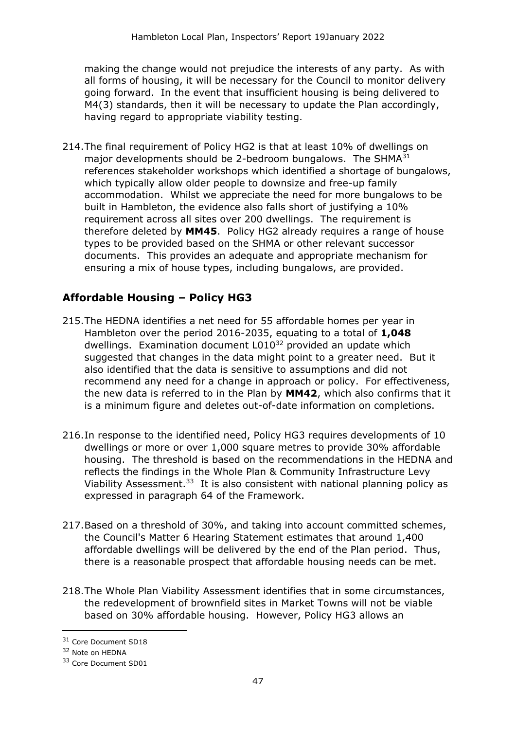making the change would not prejudice the interests of any party. As with all forms of housing, it will be necessary for the Council to monitor delivery going forward. In the event that insufficient housing is being delivered to M4(3) standards, then it will be necessary to update the Plan accordingly, having regard to appropriate viability testing.

214.The final requirement of Policy HG2 is that at least 10% of dwellings on major developments should be 2-bedroom bungalows. The SHMA<sup>31</sup> references stakeholder workshops which identified a shortage of bungalows, which typically allow older people to downsize and free-up family accommodation. Whilst we appreciate the need for more bungalows to be built in Hambleton, the evidence also falls short of justifying a 10% requirement across all sites over 200 dwellings. The requirement is therefore deleted by **MM45**. Policy HG2 already requires a range of house types to be provided based on the SHMA or other relevant successor documents. This provides an adequate and appropriate mechanism for ensuring a mix of house types, including bungalows, are provided.

### **Affordable Housing – Policy HG3**

- 215.The HEDNA identifies a net need for 55 affordable homes per year in Hambleton over the period 2016-2035, equating to a total of **1,048** dwellings. Examination document L010<sup>32</sup> provided an update which suggested that changes in the data might point to a greater need. But it also identified that the data is sensitive to assumptions and did not recommend any need for a change in approach or policy. For effectiveness, the new data is referred to in the Plan by **MM42**, which also confirms that it is a minimum figure and deletes out-of-date information on completions.
- 216.In response to the identified need, Policy HG3 requires developments of 10 dwellings or more or over 1,000 square metres to provide 30% affordable housing. The threshold is based on the recommendations in the HEDNA and reflects the findings in the Whole Plan & Community Infrastructure Levy Viability Assessment. $33$  It is also consistent with national planning policy as expressed in paragraph 64 of the Framework.
- 217.Based on a threshold of 30%, and taking into account committed schemes, the Council's Matter 6 Hearing Statement estimates that around 1,400 affordable dwellings will be delivered by the end of the Plan period. Thus, there is a reasonable prospect that affordable housing needs can be met.
- 218.The Whole Plan Viability Assessment identifies that in some circumstances, the redevelopment of brownfield sites in Market Towns will not be viable based on 30% affordable housing. However, Policy HG3 allows an

<sup>31</sup> Core Document SD18

<sup>32</sup> Note on HEDNA

<sup>33</sup> Core Document SD01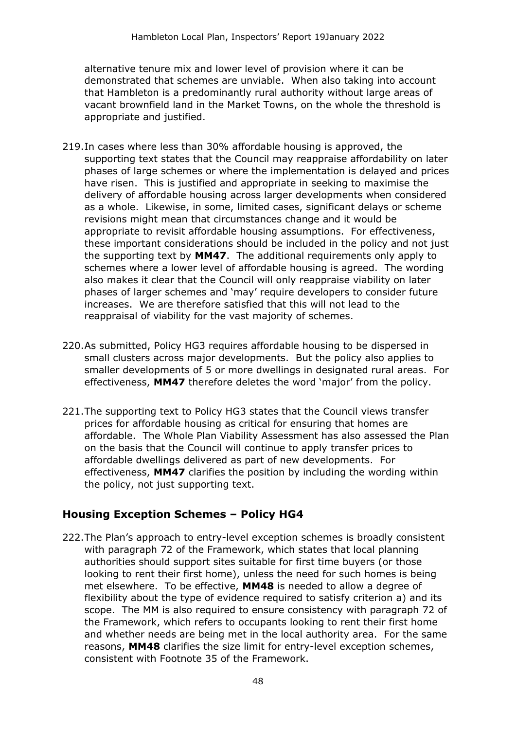alternative tenure mix and lower level of provision where it can be demonstrated that schemes are unviable. When also taking into account that Hambleton is a predominantly rural authority without large areas of vacant brownfield land in the Market Towns, on the whole the threshold is appropriate and justified.

- 219.In cases where less than 30% affordable housing is approved, the supporting text states that the Council may reappraise affordability on later phases of large schemes or where the implementation is delayed and prices have risen. This is justified and appropriate in seeking to maximise the delivery of affordable housing across larger developments when considered as a whole. Likewise, in some, limited cases, significant delays or scheme revisions might mean that circumstances change and it would be appropriate to revisit affordable housing assumptions. For effectiveness, these important considerations should be included in the policy and not just the supporting text by **MM47**. The additional requirements only apply to schemes where a lower level of affordable housing is agreed. The wording also makes it clear that the Council will only reappraise viability on later phases of larger schemes and 'may' require developers to consider future increases. We are therefore satisfied that this will not lead to the reappraisal of viability for the vast majority of schemes.
- 220.As submitted, Policy HG3 requires affordable housing to be dispersed in small clusters across major developments. But the policy also applies to smaller developments of 5 or more dwellings in designated rural areas. For effectiveness, **MM47** therefore deletes the word 'major' from the policy.
- 221.The supporting text to Policy HG3 states that the Council views transfer prices for affordable housing as critical for ensuring that homes are affordable. The Whole Plan Viability Assessment has also assessed the Plan on the basis that the Council will continue to apply transfer prices to affordable dwellings delivered as part of new developments. For effectiveness, **MM47** clarifies the position by including the wording within the policy, not just supporting text.

#### **Housing Exception Schemes – Policy HG4**

222.The Plan's approach to entry-level exception schemes is broadly consistent with paragraph 72 of the Framework, which states that local planning authorities should support sites suitable for first time buyers (or those looking to rent their first home), unless the need for such homes is being met elsewhere. To be effective, **MM48** is needed to allow a degree of flexibility about the type of evidence required to satisfy criterion a) and its scope. The MM is also required to ensure consistency with paragraph 72 of the Framework, which refers to occupants looking to rent their first home and whether needs are being met in the local authority area. For the same reasons, **MM48** clarifies the size limit for entry-level exception schemes, consistent with Footnote 35 of the Framework.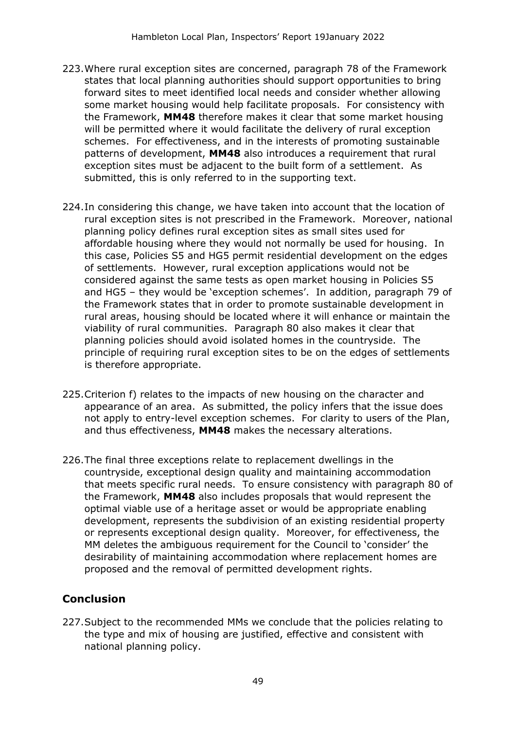- 223.Where rural exception sites are concerned, paragraph 78 of the Framework states that local planning authorities should support opportunities to bring forward sites to meet identified local needs and consider whether allowing some market housing would help facilitate proposals. For consistency with the Framework, **MM48** therefore makes it clear that some market housing will be permitted where it would facilitate the delivery of rural exception schemes. For effectiveness, and in the interests of promoting sustainable patterns of development, **MM48** also introduces a requirement that rural exception sites must be adjacent to the built form of a settlement. As submitted, this is only referred to in the supporting text.
- 224.In considering this change, we have taken into account that the location of rural exception sites is not prescribed in the Framework. Moreover, national planning policy defines rural exception sites as small sites used for affordable housing where they would not normally be used for housing. In this case, Policies S5 and HG5 permit residential development on the edges of settlements. However, rural exception applications would not be considered against the same tests as open market housing in Policies S5 and HG5 – they would be 'exception schemes'. In addition, paragraph 79 of the Framework states that in order to promote sustainable development in rural areas, housing should be located where it will enhance or maintain the viability of rural communities. Paragraph 80 also makes it clear that planning policies should avoid isolated homes in the countryside. The principle of requiring rural exception sites to be on the edges of settlements is therefore appropriate.
- 225.Criterion f) relates to the impacts of new housing on the character and appearance of an area. As submitted, the policy infers that the issue does not apply to entry-level exception schemes. For clarity to users of the Plan, and thus effectiveness, **MM48** makes the necessary alterations.
- 226.The final three exceptions relate to replacement dwellings in the countryside, exceptional design quality and maintaining accommodation that meets specific rural needs. To ensure consistency with paragraph 80 of the Framework, **MM48** also includes proposals that would represent the optimal viable use of a heritage asset or would be appropriate enabling development, represents the subdivision of an existing residential property or represents exceptional design quality. Moreover, for effectiveness, the MM deletes the ambiguous requirement for the Council to 'consider' the desirability of maintaining accommodation where replacement homes are proposed and the removal of permitted development rights.

### **Conclusion**

227.Subject to the recommended MMs we conclude that the policies relating to the type and mix of housing are justified, effective and consistent with national planning policy.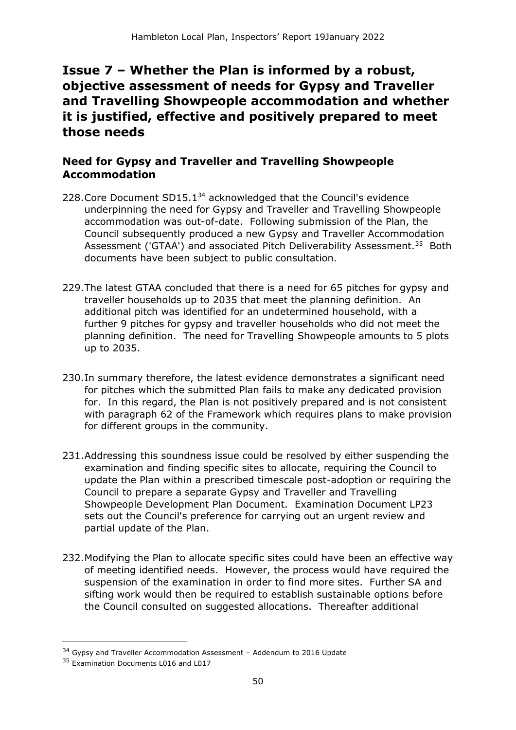# **Issue 7 – Whether the Plan is informed by a robust, objective assessment of needs for Gypsy and Traveller and Travelling Showpeople accommodation and whether it is justified, effective and positively prepared to meet those needs**

### **Need for Gypsy and Traveller and Travelling Showpeople Accommodation**

- 228. Core Document SD15.1<sup>34</sup> acknowledged that the Council's evidence underpinning the need for Gypsy and Traveller and Travelling Showpeople accommodation was out-of-date. Following submission of the Plan, the Council subsequently produced a new Gypsy and Traveller Accommodation Assessment ('GTAA') and associated Pitch Deliverability Assessment.<sup>35</sup> Both documents have been subject to public consultation.
- 229.The latest GTAA concluded that there is a need for 65 pitches for gypsy and traveller households up to 2035 that meet the planning definition. An additional pitch was identified for an undetermined household, with a further 9 pitches for gypsy and traveller households who did not meet the planning definition. The need for Travelling Showpeople amounts to 5 plots up to 2035.
- 230.In summary therefore, the latest evidence demonstrates a significant need for pitches which the submitted Plan fails to make any dedicated provision for. In this regard, the Plan is not positively prepared and is not consistent with paragraph 62 of the Framework which requires plans to make provision for different groups in the community.
- 231.Addressing this soundness issue could be resolved by either suspending the examination and finding specific sites to allocate, requiring the Council to update the Plan within a prescribed timescale post-adoption or requiring the Council to prepare a separate Gypsy and Traveller and Travelling Showpeople Development Plan Document. Examination Document LP23 sets out the Council's preference for carrying out an urgent review and partial update of the Plan.
- 232.Modifying the Plan to allocate specific sites could have been an effective way of meeting identified needs. However, the process would have required the suspension of the examination in order to find more sites. Further SA and sifting work would then be required to establish sustainable options before the Council consulted on suggested allocations. Thereafter additional

<sup>&</sup>lt;sup>34</sup> Gypsy and Traveller Accommodation Assessment - Addendum to 2016 Update

<sup>&</sup>lt;sup>35</sup> Examination Documents L016 and L017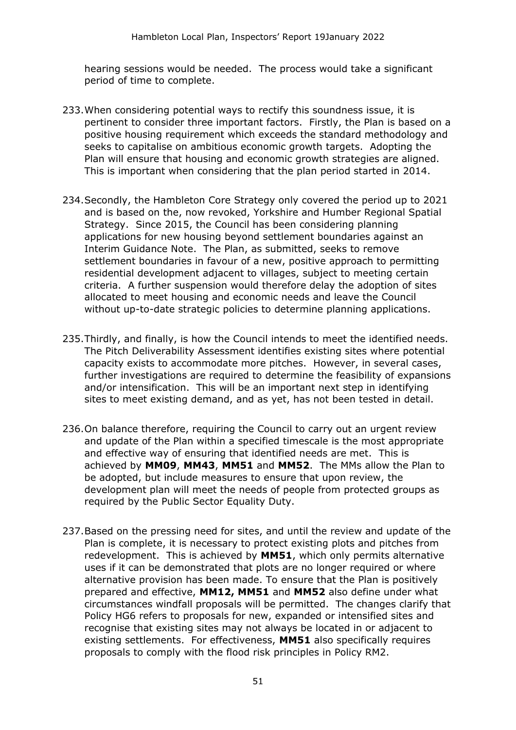hearing sessions would be needed. The process would take a significant period of time to complete.

- 233.When considering potential ways to rectify this soundness issue, it is pertinent to consider three important factors. Firstly, the Plan is based on a positive housing requirement which exceeds the standard methodology and seeks to capitalise on ambitious economic growth targets. Adopting the Plan will ensure that housing and economic growth strategies are aligned. This is important when considering that the plan period started in 2014.
- 234.Secondly, the Hambleton Core Strategy only covered the period up to 2021 and is based on the, now revoked, Yorkshire and Humber Regional Spatial Strategy. Since 2015, the Council has been considering planning applications for new housing beyond settlement boundaries against an Interim Guidance Note. The Plan, as submitted, seeks to remove settlement boundaries in favour of a new, positive approach to permitting residential development adjacent to villages, subject to meeting certain criteria. A further suspension would therefore delay the adoption of sites allocated to meet housing and economic needs and leave the Council without up-to-date strategic policies to determine planning applications.
- 235.Thirdly, and finally, is how the Council intends to meet the identified needs. The Pitch Deliverability Assessment identifies existing sites where potential capacity exists to accommodate more pitches. However, in several cases, further investigations are required to determine the feasibility of expansions and/or intensification. This will be an important next step in identifying sites to meet existing demand, and as yet, has not been tested in detail.
- 236.On balance therefore, requiring the Council to carry out an urgent review and update of the Plan within a specified timescale is the most appropriate and effective way of ensuring that identified needs are met. This is achieved by **MM09**, **MM43**, **MM51** and **MM52**. The MMs allow the Plan to be adopted, but include measures to ensure that upon review, the development plan will meet the needs of people from protected groups as required by the Public Sector Equality Duty.
- 237.Based on the pressing need for sites, and until the review and update of the Plan is complete, it is necessary to protect existing plots and pitches from redevelopment. This is achieved by **MM51**, which only permits alternative uses if it can be demonstrated that plots are no longer required or where alternative provision has been made. To ensure that the Plan is positively prepared and effective, **MM12, MM51** and **MM52** also define under what circumstances windfall proposals will be permitted. The changes clarify that Policy HG6 refers to proposals for new, expanded or intensified sites and recognise that existing sites may not always be located in or adjacent to existing settlements. For effectiveness, **MM51** also specifically requires proposals to comply with the flood risk principles in Policy RM2.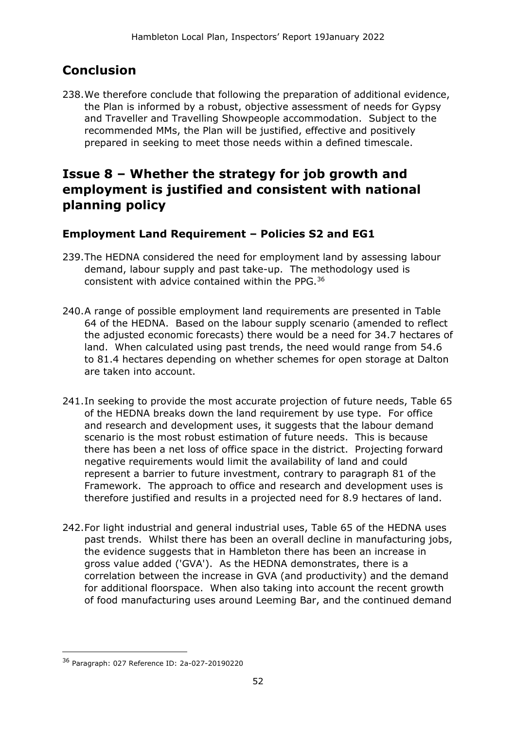# **Conclusion**

238.We therefore conclude that following the preparation of additional evidence, the Plan is informed by a robust, objective assessment of needs for Gypsy and Traveller and Travelling Showpeople accommodation. Subject to the recommended MMs, the Plan will be justified, effective and positively prepared in seeking to meet those needs within a defined timescale.

## **Issue 8 – Whether the strategy for job growth and employment is justified and consistent with national planning policy**

### **Employment Land Requirement – Policies S2 and EG1**

- 239.The HEDNA considered the need for employment land by assessing labour demand, labour supply and past take-up. The methodology used is consistent with advice contained within the PPG.<sup>36</sup>
- 240.A range of possible employment land requirements are presented in Table 64 of the HEDNA. Based on the labour supply scenario (amended to reflect the adjusted economic forecasts) there would be a need for 34.7 hectares of land. When calculated using past trends, the need would range from 54.6 to 81.4 hectares depending on whether schemes for open storage at Dalton are taken into account.
- 241.In seeking to provide the most accurate projection of future needs, Table 65 of the HEDNA breaks down the land requirement by use type. For office and research and development uses, it suggests that the labour demand scenario is the most robust estimation of future needs. This is because there has been a net loss of office space in the district. Projecting forward negative requirements would limit the availability of land and could represent a barrier to future investment, contrary to paragraph 81 of the Framework. The approach to office and research and development uses is therefore justified and results in a projected need for 8.9 hectares of land.
- 242.For light industrial and general industrial uses, Table 65 of the HEDNA uses past trends. Whilst there has been an overall decline in manufacturing jobs, the evidence suggests that in Hambleton there has been an increase in gross value added ('GVA'). As the HEDNA demonstrates, there is a correlation between the increase in GVA (and productivity) and the demand for additional floorspace. When also taking into account the recent growth of food manufacturing uses around Leeming Bar, and the continued demand

<sup>36</sup> Paragraph: 027 Reference ID: 2a-027-20190220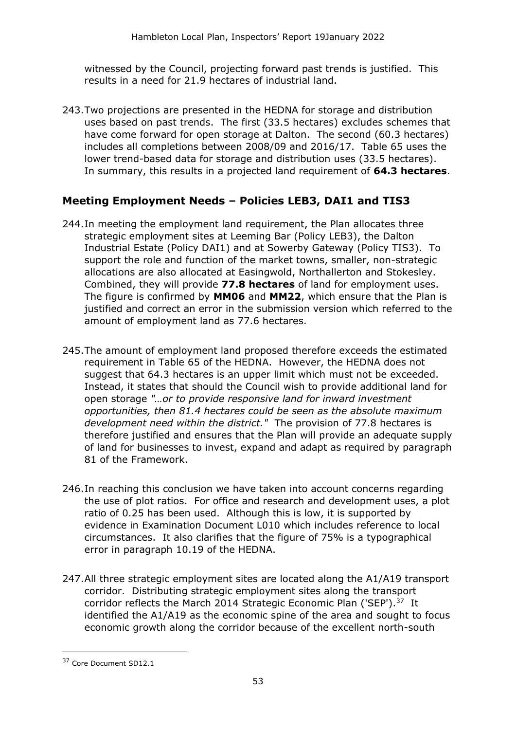witnessed by the Council, projecting forward past trends is justified. This results in a need for 21.9 hectares of industrial land.

243.Two projections are presented in the HEDNA for storage and distribution uses based on past trends. The first (33.5 hectares) excludes schemes that have come forward for open storage at Dalton. The second (60.3 hectares) includes all completions between 2008/09 and 2016/17. Table 65 uses the lower trend-based data for storage and distribution uses (33.5 hectares). In summary, this results in a projected land requirement of **64.3 hectares**.

#### **Meeting Employment Needs – Policies LEB3, DAI1 and TIS3**

- 244.In meeting the employment land requirement, the Plan allocates three strategic employment sites at Leeming Bar (Policy LEB3), the Dalton Industrial Estate (Policy DAI1) and at Sowerby Gateway (Policy TIS3). To support the role and function of the market towns, smaller, non-strategic allocations are also allocated at Easingwold, Northallerton and Stokesley. Combined, they will provide **77.8 hectares** of land for employment uses. The figure is confirmed by **MM06** and **MM22**, which ensure that the Plan is justified and correct an error in the submission version which referred to the amount of employment land as 77.6 hectares.
- 245.The amount of employment land proposed therefore exceeds the estimated requirement in Table 65 of the HEDNA. However, the HEDNA does not suggest that 64.3 hectares is an upper limit which must not be exceeded. Instead, it states that should the Council wish to provide additional land for open storage *"…or to provide responsive land for inward investment opportunities, then 81.4 hectares could be seen as the absolute maximum development need within the district."* The provision of 77.8 hectares is therefore justified and ensures that the Plan will provide an adequate supply of land for businesses to invest, expand and adapt as required by paragraph 81 of the Framework.
- 246.In reaching this conclusion we have taken into account concerns regarding the use of plot ratios. For office and research and development uses, a plot ratio of 0.25 has been used. Although this is low, it is supported by evidence in Examination Document L010 which includes reference to local circumstances. It also clarifies that the figure of 75% is a typographical error in paragraph 10.19 of the HEDNA.
- 247.All three strategic employment sites are located along the A1/A19 transport corridor. Distributing strategic employment sites along the transport corridor reflects the March 2014 Strategic Economic Plan ('SEP').<sup>37</sup> It identified the A1/A19 as the economic spine of the area and sought to focus economic growth along the corridor because of the excellent north-south

<sup>37</sup> Core Document SD12.1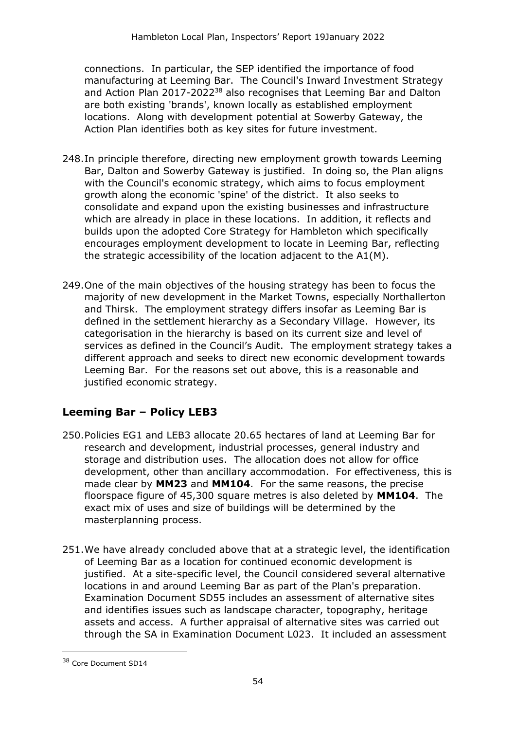connections. In particular, the SEP identified the importance of food manufacturing at Leeming Bar. The Council's Inward Investment Strategy and Action Plan 2017-2022<sup>38</sup> also recognises that Leeming Bar and Dalton are both existing 'brands', known locally as established employment locations. Along with development potential at Sowerby Gateway, the Action Plan identifies both as key sites for future investment.

- 248.In principle therefore, directing new employment growth towards Leeming Bar, Dalton and Sowerby Gateway is justified. In doing so, the Plan aligns with the Council's economic strategy, which aims to focus employment growth along the economic 'spine' of the district. It also seeks to consolidate and expand upon the existing businesses and infrastructure which are already in place in these locations. In addition, it reflects and builds upon the adopted Core Strategy for Hambleton which specifically encourages employment development to locate in Leeming Bar, reflecting the strategic accessibility of the location adjacent to the A1(M).
- 249.One of the main objectives of the housing strategy has been to focus the majority of new development in the Market Towns, especially Northallerton and Thirsk. The employment strategy differs insofar as Leeming Bar is defined in the settlement hierarchy as a Secondary Village. However, its categorisation in the hierarchy is based on its current size and level of services as defined in the Council's Audit. The employment strategy takes a different approach and seeks to direct new economic development towards Leeming Bar. For the reasons set out above, this is a reasonable and justified economic strategy.

### **Leeming Bar – Policy LEB3**

- 250.Policies EG1 and LEB3 allocate 20.65 hectares of land at Leeming Bar for research and development, industrial processes, general industry and storage and distribution uses. The allocation does not allow for office development, other than ancillary accommodation. For effectiveness, this is made clear by **MM23** and **MM104**. For the same reasons, the precise floorspace figure of 45,300 square metres is also deleted by **MM104**. The exact mix of uses and size of buildings will be determined by the masterplanning process.
- 251.We have already concluded above that at a strategic level, the identification of Leeming Bar as a location for continued economic development is justified. At a site-specific level, the Council considered several alternative locations in and around Leeming Bar as part of the Plan's preparation. Examination Document SD55 includes an assessment of alternative sites and identifies issues such as landscape character, topography, heritage assets and access. A further appraisal of alternative sites was carried out through the SA in Examination Document L023. It included an assessment

<sup>38</sup> Core Document SD14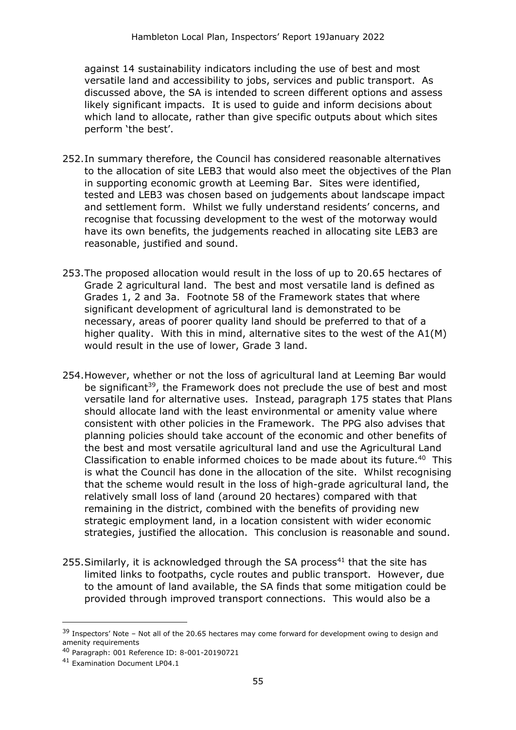against 14 sustainability indicators including the use of best and most versatile land and accessibility to jobs, services and public transport. As discussed above, the SA is intended to screen different options and assess likely significant impacts. It is used to guide and inform decisions about which land to allocate, rather than give specific outputs about which sites perform 'the best'.

- 252.In summary therefore, the Council has considered reasonable alternatives to the allocation of site LEB3 that would also meet the objectives of the Plan in supporting economic growth at Leeming Bar. Sites were identified, tested and LEB3 was chosen based on judgements about landscape impact and settlement form. Whilst we fully understand residents' concerns, and recognise that focussing development to the west of the motorway would have its own benefits, the judgements reached in allocating site LEB3 are reasonable, justified and sound.
- 253.The proposed allocation would result in the loss of up to 20.65 hectares of Grade 2 agricultural land. The best and most versatile land is defined as Grades 1, 2 and 3a. Footnote 58 of the Framework states that where significant development of agricultural land is demonstrated to be necessary, areas of poorer quality land should be preferred to that of a higher quality. With this in mind, alternative sites to the west of the A1(M) would result in the use of lower, Grade 3 land.
- 254.However, whether or not the loss of agricultural land at Leeming Bar would be significant<sup>39</sup>, the Framework does not preclude the use of best and most versatile land for alternative uses. Instead, paragraph 175 states that Plans should allocate land with the least environmental or amenity value where consistent with other policies in the Framework. The PPG also advises that planning policies should take account of the economic and other benefits of the best and most versatile agricultural land and use the Agricultural Land Classification to enable informed choices to be made about its future.<sup>40</sup> This is what the Council has done in the allocation of the site. Whilst recognising that the scheme would result in the loss of high-grade agricultural land, the relatively small loss of land (around 20 hectares) compared with that remaining in the district, combined with the benefits of providing new strategic employment land, in a location consistent with wider economic strategies, justified the allocation. This conclusion is reasonable and sound.
- 255. Similarly, it is acknowledged through the SA process<sup>41</sup> that the site has limited links to footpaths, cycle routes and public transport. However, due to the amount of land available, the SA finds that some mitigation could be provided through improved transport connections. This would also be a

<sup>&</sup>lt;sup>39</sup> Inspectors' Note - Not all of the 20.65 hectares may come forward for development owing to design and amenity requirements

<sup>40</sup> Paragraph: 001 Reference ID: 8-001-20190721

<sup>41</sup> Examination Document LP04.1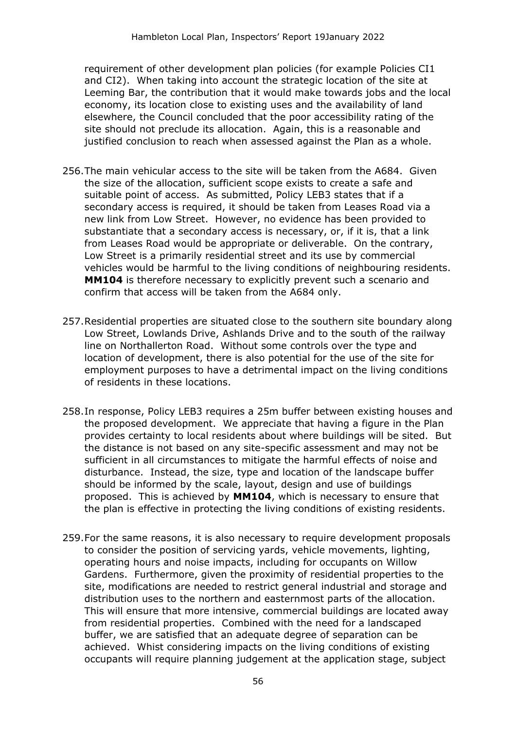requirement of other development plan policies (for example Policies CI1 and CI2). When taking into account the strategic location of the site at Leeming Bar, the contribution that it would make towards jobs and the local economy, its location close to existing uses and the availability of land elsewhere, the Council concluded that the poor accessibility rating of the site should not preclude its allocation. Again, this is a reasonable and justified conclusion to reach when assessed against the Plan as a whole.

- 256.The main vehicular access to the site will be taken from the A684. Given the size of the allocation, sufficient scope exists to create a safe and suitable point of access. As submitted, Policy LEB3 states that if a secondary access is required, it should be taken from Leases Road via a new link from Low Street. However, no evidence has been provided to substantiate that a secondary access is necessary, or, if it is, that a link from Leases Road would be appropriate or deliverable. On the contrary, Low Street is a primarily residential street and its use by commercial vehicles would be harmful to the living conditions of neighbouring residents. **MM104** is therefore necessary to explicitly prevent such a scenario and confirm that access will be taken from the A684 only.
- 257.Residential properties are situated close to the southern site boundary along Low Street, Lowlands Drive, Ashlands Drive and to the south of the railway line on Northallerton Road. Without some controls over the type and location of development, there is also potential for the use of the site for employment purposes to have a detrimental impact on the living conditions of residents in these locations.
- 258.In response, Policy LEB3 requires a 25m buffer between existing houses and the proposed development. We appreciate that having a figure in the Plan provides certainty to local residents about where buildings will be sited. But the distance is not based on any site-specific assessment and may not be sufficient in all circumstances to mitigate the harmful effects of noise and disturbance. Instead, the size, type and location of the landscape buffer should be informed by the scale, layout, design and use of buildings proposed. This is achieved by **MM104**, which is necessary to ensure that the plan is effective in protecting the living conditions of existing residents.
- 259.For the same reasons, it is also necessary to require development proposals to consider the position of servicing yards, vehicle movements, lighting, operating hours and noise impacts, including for occupants on Willow Gardens. Furthermore, given the proximity of residential properties to the site, modifications are needed to restrict general industrial and storage and distribution uses to the northern and easternmost parts of the allocation. This will ensure that more intensive, commercial buildings are located away from residential properties. Combined with the need for a landscaped buffer, we are satisfied that an adequate degree of separation can be achieved. Whist considering impacts on the living conditions of existing occupants will require planning judgement at the application stage, subject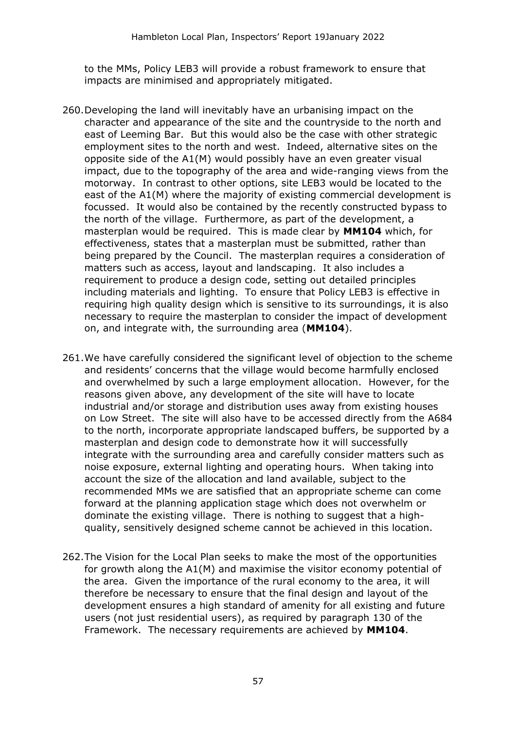to the MMs, Policy LEB3 will provide a robust framework to ensure that impacts are minimised and appropriately mitigated.

- 260.Developing the land will inevitably have an urbanising impact on the character and appearance of the site and the countryside to the north and east of Leeming Bar. But this would also be the case with other strategic employment sites to the north and west. Indeed, alternative sites on the opposite side of the A1(M) would possibly have an even greater visual impact, due to the topography of the area and wide-ranging views from the motorway. In contrast to other options, site LEB3 would be located to the east of the A1(M) where the majority of existing commercial development is focussed. It would also be contained by the recently constructed bypass to the north of the village. Furthermore, as part of the development, a masterplan would be required. This is made clear by **MM104** which, for effectiveness, states that a masterplan must be submitted, rather than being prepared by the Council. The masterplan requires a consideration of matters such as access, layout and landscaping. It also includes a requirement to produce a design code, setting out detailed principles including materials and lighting. To ensure that Policy LEB3 is effective in requiring high quality design which is sensitive to its surroundings, it is also necessary to require the masterplan to consider the impact of development on, and integrate with, the surrounding area (**MM104**).
- 261.We have carefully considered the significant level of objection to the scheme and residents' concerns that the village would become harmfully enclosed and overwhelmed by such a large employment allocation. However, for the reasons given above, any development of the site will have to locate industrial and/or storage and distribution uses away from existing houses on Low Street. The site will also have to be accessed directly from the A684 to the north, incorporate appropriate landscaped buffers, be supported by a masterplan and design code to demonstrate how it will successfully integrate with the surrounding area and carefully consider matters such as noise exposure, external lighting and operating hours. When taking into account the size of the allocation and land available, subject to the recommended MMs we are satisfied that an appropriate scheme can come forward at the planning application stage which does not overwhelm or dominate the existing village. There is nothing to suggest that a highquality, sensitively designed scheme cannot be achieved in this location.
- 262.The Vision for the Local Plan seeks to make the most of the opportunities for growth along the A1(M) and maximise the visitor economy potential of the area. Given the importance of the rural economy to the area, it will therefore be necessary to ensure that the final design and layout of the development ensures a high standard of amenity for all existing and future users (not just residential users), as required by paragraph 130 of the Framework. The necessary requirements are achieved by **MM104**.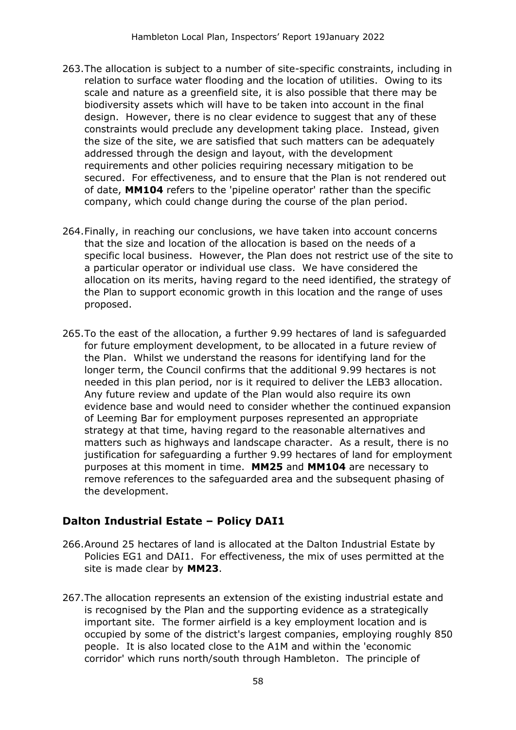- 263.The allocation is subject to a number of site-specific constraints, including in relation to surface water flooding and the location of utilities. Owing to its scale and nature as a greenfield site, it is also possible that there may be biodiversity assets which will have to be taken into account in the final design. However, there is no clear evidence to suggest that any of these constraints would preclude any development taking place. Instead, given the size of the site, we are satisfied that such matters can be adequately addressed through the design and layout, with the development requirements and other policies requiring necessary mitigation to be secured. For effectiveness, and to ensure that the Plan is not rendered out of date, **MM104** refers to the 'pipeline operator' rather than the specific company, which could change during the course of the plan period.
- 264.Finally, in reaching our conclusions, we have taken into account concerns that the size and location of the allocation is based on the needs of a specific local business. However, the Plan does not restrict use of the site to a particular operator or individual use class. We have considered the allocation on its merits, having regard to the need identified, the strategy of the Plan to support economic growth in this location and the range of uses proposed.
- 265.To the east of the allocation, a further 9.99 hectares of land is safeguarded for future employment development, to be allocated in a future review of the Plan. Whilst we understand the reasons for identifying land for the longer term, the Council confirms that the additional 9.99 hectares is not needed in this plan period, nor is it required to deliver the LEB3 allocation. Any future review and update of the Plan would also require its own evidence base and would need to consider whether the continued expansion of Leeming Bar for employment purposes represented an appropriate strategy at that time, having regard to the reasonable alternatives and matters such as highways and landscape character. As a result, there is no justification for safeguarding a further 9.99 hectares of land for employment purposes at this moment in time. **MM25** and **MM104** are necessary to remove references to the safeguarded area and the subsequent phasing of the development.

### **Dalton Industrial Estate – Policy DAI1**

- 266.Around 25 hectares of land is allocated at the Dalton Industrial Estate by Policies EG1 and DAI1. For effectiveness, the mix of uses permitted at the site is made clear by **MM23**.
- 267.The allocation represents an extension of the existing industrial estate and is recognised by the Plan and the supporting evidence as a strategically important site. The former airfield is a key employment location and is occupied by some of the district's largest companies, employing roughly 850 people. It is also located close to the A1M and within the 'economic corridor' which runs north/south through Hambleton. The principle of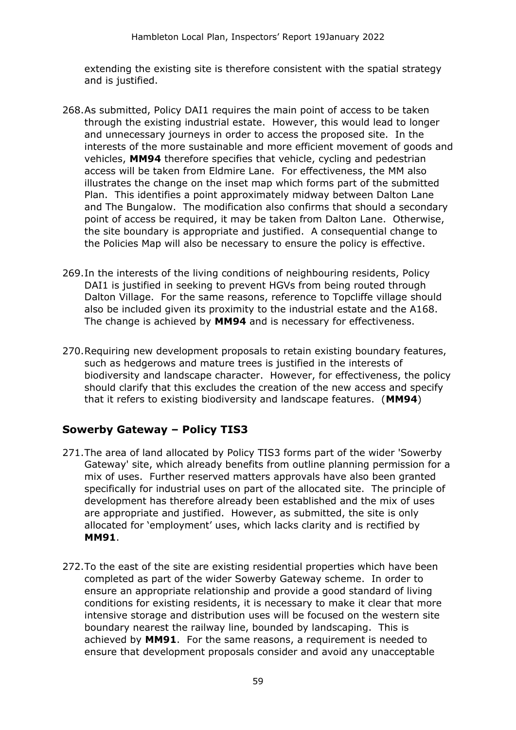extending the existing site is therefore consistent with the spatial strategy and is justified.

- 268.As submitted, Policy DAI1 requires the main point of access to be taken through the existing industrial estate. However, this would lead to longer and unnecessary journeys in order to access the proposed site. In the interests of the more sustainable and more efficient movement of goods and vehicles, **MM94** therefore specifies that vehicle, cycling and pedestrian access will be taken from Eldmire Lane. For effectiveness, the MM also illustrates the change on the inset map which forms part of the submitted Plan. This identifies a point approximately midway between Dalton Lane and The Bungalow. The modification also confirms that should a secondary point of access be required, it may be taken from Dalton Lane. Otherwise, the site boundary is appropriate and justified. A consequential change to the Policies Map will also be necessary to ensure the policy is effective.
- 269.In the interests of the living conditions of neighbouring residents, Policy DAI1 is justified in seeking to prevent HGVs from being routed through Dalton Village. For the same reasons, reference to Topcliffe village should also be included given its proximity to the industrial estate and the A168. The change is achieved by **MM94** and is necessary for effectiveness.
- 270.Requiring new development proposals to retain existing boundary features, such as hedgerows and mature trees is justified in the interests of biodiversity and landscape character. However, for effectiveness, the policy should clarify that this excludes the creation of the new access and specify that it refers to existing biodiversity and landscape features. (**MM94**)

#### **Sowerby Gateway – Policy TIS3**

- 271.The area of land allocated by Policy TIS3 forms part of the wider 'Sowerby Gateway' site, which already benefits from outline planning permission for a mix of uses. Further reserved matters approvals have also been granted specifically for industrial uses on part of the allocated site. The principle of development has therefore already been established and the mix of uses are appropriate and justified. However, as submitted, the site is only allocated for 'employment' uses, which lacks clarity and is rectified by **MM91**.
- 272.To the east of the site are existing residential properties which have been completed as part of the wider Sowerby Gateway scheme. In order to ensure an appropriate relationship and provide a good standard of living conditions for existing residents, it is necessary to make it clear that more intensive storage and distribution uses will be focused on the western site boundary nearest the railway line, bounded by landscaping. This is achieved by **MM91**. For the same reasons, a requirement is needed to ensure that development proposals consider and avoid any unacceptable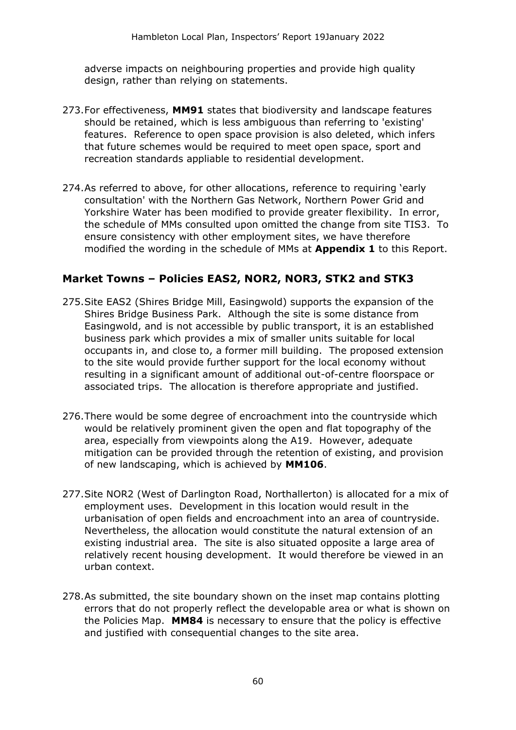adverse impacts on neighbouring properties and provide high quality design, rather than relying on statements.

- 273.For effectiveness, **MM91** states that biodiversity and landscape features should be retained, which is less ambiguous than referring to 'existing' features. Reference to open space provision is also deleted, which infers that future schemes would be required to meet open space, sport and recreation standards appliable to residential development.
- 274.As referred to above, for other allocations, reference to requiring 'early consultation' with the Northern Gas Network, Northern Power Grid and Yorkshire Water has been modified to provide greater flexibility. In error, the schedule of MMs consulted upon omitted the change from site TIS3. To ensure consistency with other employment sites, we have therefore modified the wording in the schedule of MMs at **Appendix 1** to this Report.

#### **Market Towns – Policies EAS2, NOR2, NOR3, STK2 and STK3**

- 275.Site EAS2 (Shires Bridge Mill, Easingwold) supports the expansion of the Shires Bridge Business Park. Although the site is some distance from Easingwold, and is not accessible by public transport, it is an established business park which provides a mix of smaller units suitable for local occupants in, and close to, a former mill building. The proposed extension to the site would provide further support for the local economy without resulting in a significant amount of additional out-of-centre floorspace or associated trips. The allocation is therefore appropriate and justified.
- 276.There would be some degree of encroachment into the countryside which would be relatively prominent given the open and flat topography of the area, especially from viewpoints along the A19. However, adequate mitigation can be provided through the retention of existing, and provision of new landscaping, which is achieved by **MM106**.
- 277.Site NOR2 (West of Darlington Road, Northallerton) is allocated for a mix of employment uses. Development in this location would result in the urbanisation of open fields and encroachment into an area of countryside. Nevertheless, the allocation would constitute the natural extension of an existing industrial area. The site is also situated opposite a large area of relatively recent housing development. It would therefore be viewed in an urban context.
- 278.As submitted, the site boundary shown on the inset map contains plotting errors that do not properly reflect the developable area or what is shown on the Policies Map. **MM84** is necessary to ensure that the policy is effective and justified with consequential changes to the site area.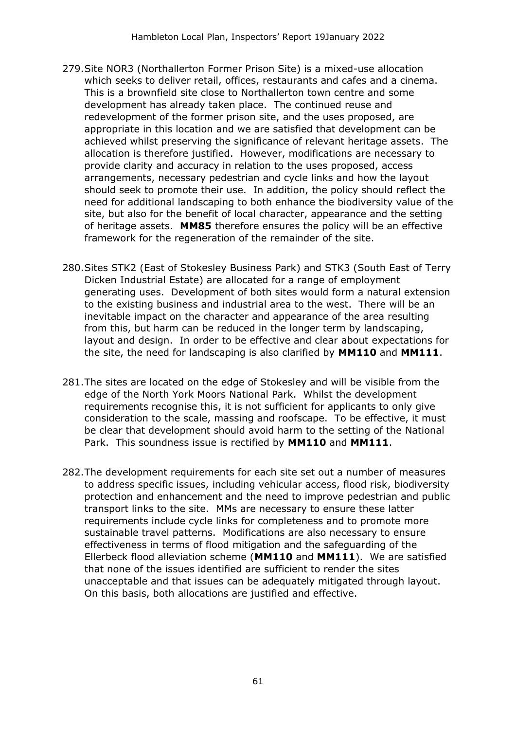- 279.Site NOR3 (Northallerton Former Prison Site) is a mixed-use allocation which seeks to deliver retail, offices, restaurants and cafes and a cinema. This is a brownfield site close to Northallerton town centre and some development has already taken place. The continued reuse and redevelopment of the former prison site, and the uses proposed, are appropriate in this location and we are satisfied that development can be achieved whilst preserving the significance of relevant heritage assets. The allocation is therefore justified. However, modifications are necessary to provide clarity and accuracy in relation to the uses proposed, access arrangements, necessary pedestrian and cycle links and how the layout should seek to promote their use. In addition, the policy should reflect the need for additional landscaping to both enhance the biodiversity value of the site, but also for the benefit of local character, appearance and the setting of heritage assets. **MM85** therefore ensures the policy will be an effective framework for the regeneration of the remainder of the site.
- 280.Sites STK2 (East of Stokesley Business Park) and STK3 (South East of Terry Dicken Industrial Estate) are allocated for a range of employment generating uses. Development of both sites would form a natural extension to the existing business and industrial area to the west. There will be an inevitable impact on the character and appearance of the area resulting from this, but harm can be reduced in the longer term by landscaping, layout and design. In order to be effective and clear about expectations for the site, the need for landscaping is also clarified by **MM110** and **MM111**.
- 281.The sites are located on the edge of Stokesley and will be visible from the edge of the North York Moors National Park. Whilst the development requirements recognise this, it is not sufficient for applicants to only give consideration to the scale, massing and roofscape. To be effective, it must be clear that development should avoid harm to the setting of the National Park. This soundness issue is rectified by **MM110** and **MM111**.
- 282.The development requirements for each site set out a number of measures to address specific issues, including vehicular access, flood risk, biodiversity protection and enhancement and the need to improve pedestrian and public transport links to the site. MMs are necessary to ensure these latter requirements include cycle links for completeness and to promote more sustainable travel patterns. Modifications are also necessary to ensure effectiveness in terms of flood mitigation and the safeguarding of the Ellerbeck flood alleviation scheme (**MM110** and **MM111**). We are satisfied that none of the issues identified are sufficient to render the sites unacceptable and that issues can be adequately mitigated through layout. On this basis, both allocations are justified and effective.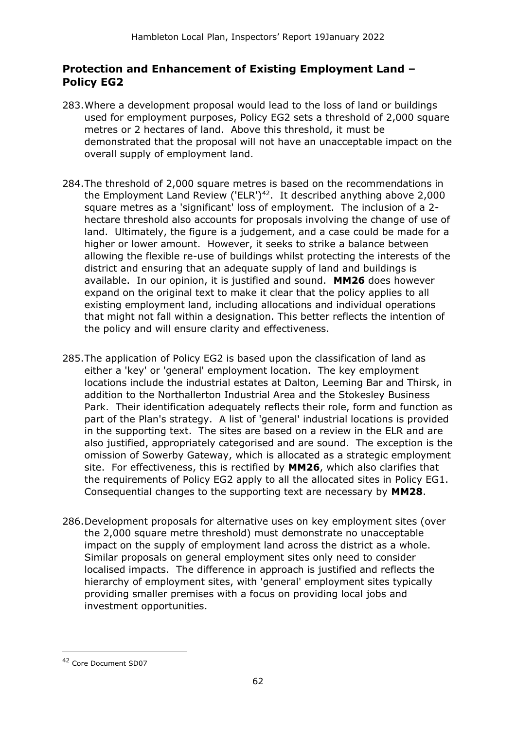#### **Protection and Enhancement of Existing Employment Land – Policy EG2**

- 283.Where a development proposal would lead to the loss of land or buildings used for employment purposes, Policy EG2 sets a threshold of 2,000 square metres or 2 hectares of land. Above this threshold, it must be demonstrated that the proposal will not have an unacceptable impact on the overall supply of employment land.
- 284.The threshold of 2,000 square metres is based on the recommendations in the Employment Land Review ('ELR') $42$ . It described anything above 2,000 square metres as a 'significant' loss of employment. The inclusion of a 2 hectare threshold also accounts for proposals involving the change of use of land. Ultimately, the figure is a judgement, and a case could be made for a higher or lower amount. However, it seeks to strike a balance between allowing the flexible re-use of buildings whilst protecting the interests of the district and ensuring that an adequate supply of land and buildings is available. In our opinion, it is justified and sound. **MM26** does however expand on the original text to make it clear that the policy applies to all existing employment land, including allocations and individual operations that might not fall within a designation. This better reflects the intention of the policy and will ensure clarity and effectiveness.
- 285.The application of Policy EG2 is based upon the classification of land as either a 'key' or 'general' employment location. The key employment locations include the industrial estates at Dalton, Leeming Bar and Thirsk, in addition to the Northallerton Industrial Area and the Stokesley Business Park. Their identification adequately reflects their role, form and function as part of the Plan's strategy. A list of 'general' industrial locations is provided in the supporting text. The sites are based on a review in the ELR and are also justified, appropriately categorised and are sound. The exception is the omission of Sowerby Gateway, which is allocated as a strategic employment site. For effectiveness, this is rectified by **MM26**, which also clarifies that the requirements of Policy EG2 apply to all the allocated sites in Policy EG1. Consequential changes to the supporting text are necessary by **MM28**.
- 286.Development proposals for alternative uses on key employment sites (over the 2,000 square metre threshold) must demonstrate no unacceptable impact on the supply of employment land across the district as a whole. Similar proposals on general employment sites only need to consider localised impacts. The difference in approach is justified and reflects the hierarchy of employment sites, with 'general' employment sites typically providing smaller premises with a focus on providing local jobs and investment opportunities.

<sup>42</sup> Core Document SD07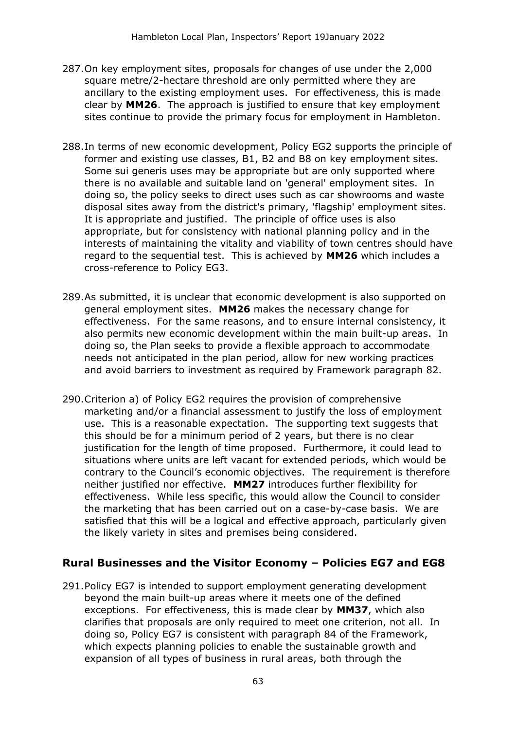- 287.On key employment sites, proposals for changes of use under the 2,000 square metre/2-hectare threshold are only permitted where they are ancillary to the existing employment uses. For effectiveness, this is made clear by **MM26**. The approach is justified to ensure that key employment sites continue to provide the primary focus for employment in Hambleton.
- 288.In terms of new economic development, Policy EG2 supports the principle of former and existing use classes, B1, B2 and B8 on key employment sites. Some sui generis uses may be appropriate but are only supported where there is no available and suitable land on 'general' employment sites. In doing so, the policy seeks to direct uses such as car showrooms and waste disposal sites away from the district's primary, 'flagship' employment sites. It is appropriate and justified. The principle of office uses is also appropriate, but for consistency with national planning policy and in the interests of maintaining the vitality and viability of town centres should have regard to the sequential test. This is achieved by **MM26** which includes a cross-reference to Policy EG3.
- 289.As submitted, it is unclear that economic development is also supported on general employment sites. **MM26** makes the necessary change for effectiveness. For the same reasons, and to ensure internal consistency, it also permits new economic development within the main built-up areas. In doing so, the Plan seeks to provide a flexible approach to accommodate needs not anticipated in the plan period, allow for new working practices and avoid barriers to investment as required by Framework paragraph 82.
- 290.Criterion a) of Policy EG2 requires the provision of comprehensive marketing and/or a financial assessment to justify the loss of employment use. This is a reasonable expectation. The supporting text suggests that this should be for a minimum period of 2 years, but there is no clear justification for the length of time proposed. Furthermore, it could lead to situations where units are left vacant for extended periods, which would be contrary to the Council's economic objectives. The requirement is therefore neither justified nor effective. **MM27** introduces further flexibility for effectiveness. While less specific, this would allow the Council to consider the marketing that has been carried out on a case-by-case basis. We are satisfied that this will be a logical and effective approach, particularly given the likely variety in sites and premises being considered.

#### **Rural Businesses and the Visitor Economy – Policies EG7 and EG8**

291.Policy EG7 is intended to support employment generating development beyond the main built-up areas where it meets one of the defined exceptions. For effectiveness, this is made clear by **MM37**, which also clarifies that proposals are only required to meet one criterion, not all. In doing so, Policy EG7 is consistent with paragraph 84 of the Framework, which expects planning policies to enable the sustainable growth and expansion of all types of business in rural areas, both through the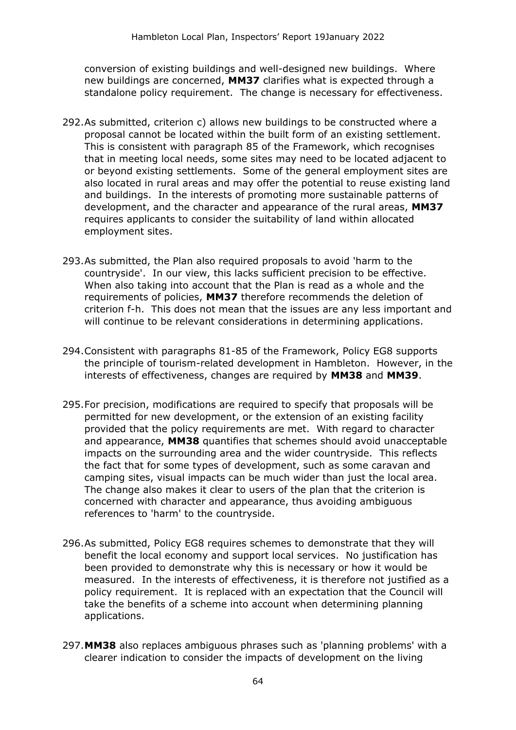conversion of existing buildings and well-designed new buildings. Where new buildings are concerned, **MM37** clarifies what is expected through a standalone policy requirement. The change is necessary for effectiveness.

- 292.As submitted, criterion c) allows new buildings to be constructed where a proposal cannot be located within the built form of an existing settlement. This is consistent with paragraph 85 of the Framework, which recognises that in meeting local needs, some sites may need to be located adjacent to or beyond existing settlements. Some of the general employment sites are also located in rural areas and may offer the potential to reuse existing land and buildings. In the interests of promoting more sustainable patterns of development, and the character and appearance of the rural areas, **MM37** requires applicants to consider the suitability of land within allocated employment sites.
- 293.As submitted, the Plan also required proposals to avoid 'harm to the countryside'. In our view, this lacks sufficient precision to be effective. When also taking into account that the Plan is read as a whole and the requirements of policies, **MM37** therefore recommends the deletion of criterion f-h. This does not mean that the issues are any less important and will continue to be relevant considerations in determining applications.
- 294.Consistent with paragraphs 81-85 of the Framework, Policy EG8 supports the principle of tourism-related development in Hambleton. However, in the interests of effectiveness, changes are required by **MM38** and **MM39**.
- 295.For precision, modifications are required to specify that proposals will be permitted for new development, or the extension of an existing facility provided that the policy requirements are met. With regard to character and appearance, **MM38** quantifies that schemes should avoid unacceptable impacts on the surrounding area and the wider countryside. This reflects the fact that for some types of development, such as some caravan and camping sites, visual impacts can be much wider than just the local area. The change also makes it clear to users of the plan that the criterion is concerned with character and appearance, thus avoiding ambiguous references to 'harm' to the countryside.
- 296.As submitted, Policy EG8 requires schemes to demonstrate that they will benefit the local economy and support local services. No justification has been provided to demonstrate why this is necessary or how it would be measured. In the interests of effectiveness, it is therefore not justified as a policy requirement. It is replaced with an expectation that the Council will take the benefits of a scheme into account when determining planning applications.
- 297.**MM38** also replaces ambiguous phrases such as 'planning problems' with a clearer indication to consider the impacts of development on the living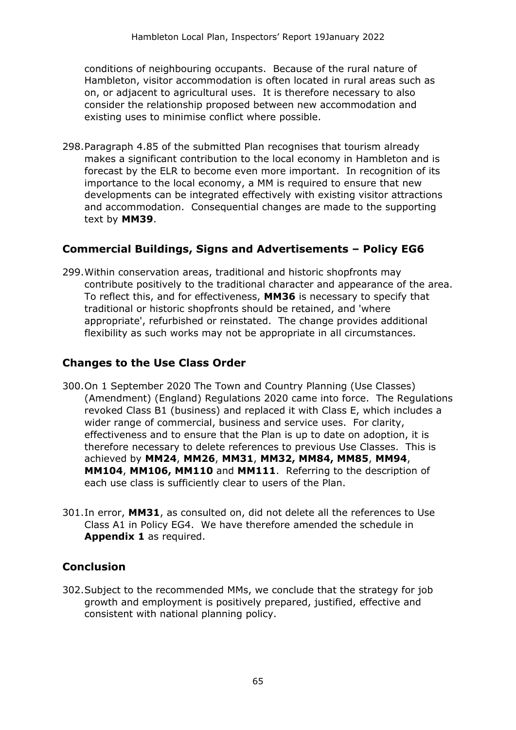conditions of neighbouring occupants. Because of the rural nature of Hambleton, visitor accommodation is often located in rural areas such as on, or adjacent to agricultural uses. It is therefore necessary to also consider the relationship proposed between new accommodation and existing uses to minimise conflict where possible.

298.Paragraph 4.85 of the submitted Plan recognises that tourism already makes a significant contribution to the local economy in Hambleton and is forecast by the ELR to become even more important. In recognition of its importance to the local economy, a MM is required to ensure that new developments can be integrated effectively with existing visitor attractions and accommodation. Consequential changes are made to the supporting text by **MM39**.

#### **Commercial Buildings, Signs and Advertisements – Policy EG6**

299.Within conservation areas, traditional and historic shopfronts may contribute positively to the traditional character and appearance of the area. To reflect this, and for effectiveness, **MM36** is necessary to specify that traditional or historic shopfronts should be retained, and 'where appropriate', refurbished or reinstated. The change provides additional flexibility as such works may not be appropriate in all circumstances.

#### **Changes to the Use Class Order**

- 300.On 1 September 2020 The Town and Country Planning (Use Classes) (Amendment) (England) Regulations 2020 came into force. The Regulations revoked Class B1 (business) and replaced it with Class E, which includes a wider range of commercial, business and service uses. For clarity, effectiveness and to ensure that the Plan is up to date on adoption, it is therefore necessary to delete references to previous Use Classes. This is achieved by **MM24**, **MM26**, **MM31**, **MM32, MM84, MM85**, **MM94**, **MM104**, **MM106, MM110** and **MM111**. Referring to the description of each use class is sufficiently clear to users of the Plan.
- 301.In error, **MM31**, as consulted on, did not delete all the references to Use Class A1 in Policy EG4. We have therefore amended the schedule in **Appendix 1** as required.

#### **Conclusion**

302.Subject to the recommended MMs, we conclude that the strategy for job growth and employment is positively prepared, justified, effective and consistent with national planning policy.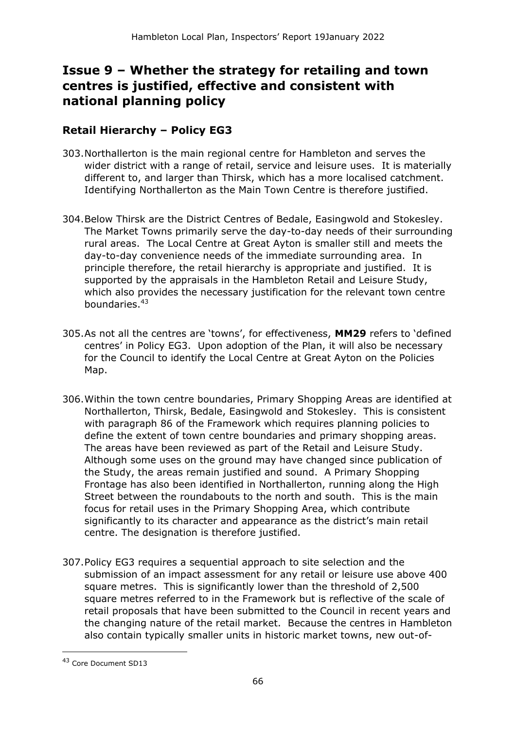# **Issue 9 – Whether the strategy for retailing and town centres is justified, effective and consistent with national planning policy**

### **Retail Hierarchy – Policy EG3**

- 303.Northallerton is the main regional centre for Hambleton and serves the wider district with a range of retail, service and leisure uses. It is materially different to, and larger than Thirsk, which has a more localised catchment. Identifying Northallerton as the Main Town Centre is therefore justified.
- 304.Below Thirsk are the District Centres of Bedale, Easingwold and Stokesley. The Market Towns primarily serve the day-to-day needs of their surrounding rural areas. The Local Centre at Great Ayton is smaller still and meets the day-to-day convenience needs of the immediate surrounding area. In principle therefore, the retail hierarchy is appropriate and justified. It is supported by the appraisals in the Hambleton Retail and Leisure Study, which also provides the necessary justification for the relevant town centre boundaries.<sup>43</sup>
- 305.As not all the centres are 'towns', for effectiveness, **MM29** refers to 'defined centres' in Policy EG3. Upon adoption of the Plan, it will also be necessary for the Council to identify the Local Centre at Great Ayton on the Policies Map.
- 306.Within the town centre boundaries, Primary Shopping Areas are identified at Northallerton, Thirsk, Bedale, Easingwold and Stokesley. This is consistent with paragraph 86 of the Framework which requires planning policies to define the extent of town centre boundaries and primary shopping areas. The areas have been reviewed as part of the Retail and Leisure Study. Although some uses on the ground may have changed since publication of the Study, the areas remain justified and sound. A Primary Shopping Frontage has also been identified in Northallerton, running along the High Street between the roundabouts to the north and south. This is the main focus for retail uses in the Primary Shopping Area, which contribute significantly to its character and appearance as the district's main retail centre. The designation is therefore justified.
- 307.Policy EG3 requires a sequential approach to site selection and the submission of an impact assessment for any retail or leisure use above 400 square metres. This is significantly lower than the threshold of 2,500 square metres referred to in the Framework but is reflective of the scale of retail proposals that have been submitted to the Council in recent years and the changing nature of the retail market. Because the centres in Hambleton also contain typically smaller units in historic market towns, new out-of-

<sup>43</sup> Core Document SD13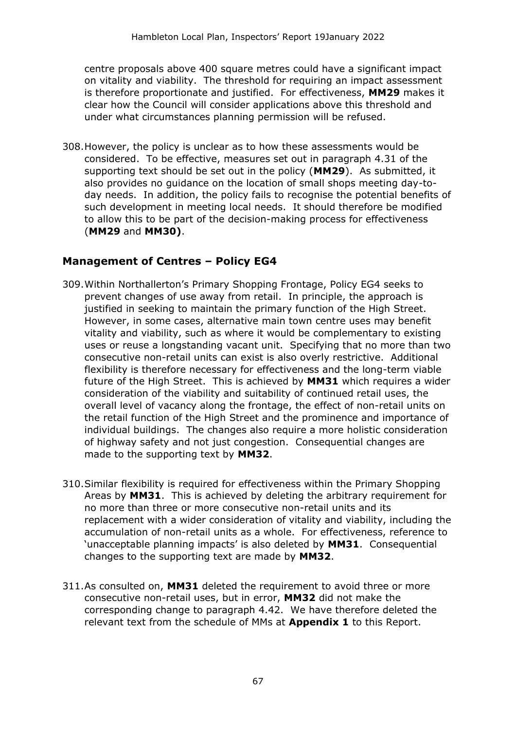centre proposals above 400 square metres could have a significant impact on vitality and viability. The threshold for requiring an impact assessment is therefore proportionate and justified. For effectiveness, **MM29** makes it clear how the Council will consider applications above this threshold and under what circumstances planning permission will be refused.

308.However, the policy is unclear as to how these assessments would be considered. To be effective, measures set out in paragraph 4.31 of the supporting text should be set out in the policy (**MM29**). As submitted, it also provides no guidance on the location of small shops meeting day-today needs. In addition, the policy fails to recognise the potential benefits of such development in meeting local needs. It should therefore be modified to allow this to be part of the decision-making process for effectiveness (**MM29** and **MM30)**.

#### **Management of Centres – Policy EG4**

- 309.Within Northallerton's Primary Shopping Frontage, Policy EG4 seeks to prevent changes of use away from retail. In principle, the approach is justified in seeking to maintain the primary function of the High Street. However, in some cases, alternative main town centre uses may benefit vitality and viability, such as where it would be complementary to existing uses or reuse a longstanding vacant unit. Specifying that no more than two consecutive non-retail units can exist is also overly restrictive. Additional flexibility is therefore necessary for effectiveness and the long-term viable future of the High Street. This is achieved by **MM31** which requires a wider consideration of the viability and suitability of continued retail uses, the overall level of vacancy along the frontage, the effect of non-retail units on the retail function of the High Street and the prominence and importance of individual buildings. The changes also require a more holistic consideration of highway safety and not just congestion. Consequential changes are made to the supporting text by **MM32**.
- 310.Similar flexibility is required for effectiveness within the Primary Shopping Areas by **MM31**. This is achieved by deleting the arbitrary requirement for no more than three or more consecutive non-retail units and its replacement with a wider consideration of vitality and viability, including the accumulation of non-retail units as a whole. For effectiveness, reference to 'unacceptable planning impacts' is also deleted by **MM31**. Consequential changes to the supporting text are made by **MM32**.
- 311.As consulted on, **MM31** deleted the requirement to avoid three or more consecutive non-retail uses, but in error, **MM32** did not make the corresponding change to paragraph 4.42. We have therefore deleted the relevant text from the schedule of MMs at **Appendix 1** to this Report.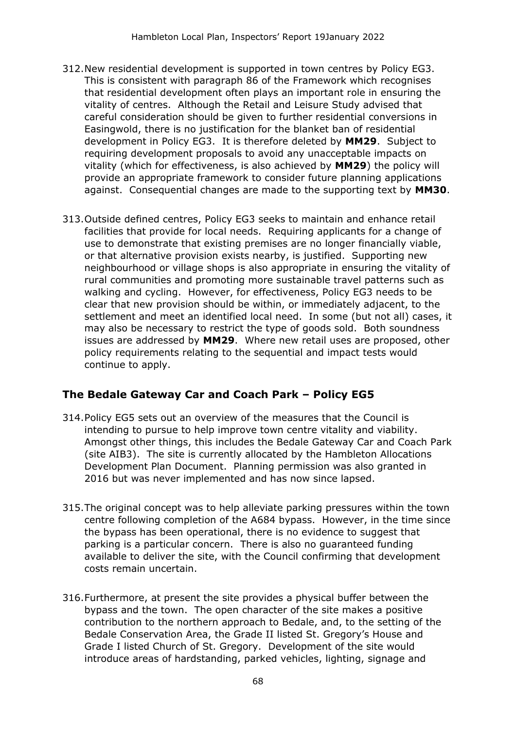- 312.New residential development is supported in town centres by Policy EG3. This is consistent with paragraph 86 of the Framework which recognises that residential development often plays an important role in ensuring the vitality of centres. Although the Retail and Leisure Study advised that careful consideration should be given to further residential conversions in Easingwold, there is no justification for the blanket ban of residential development in Policy EG3. It is therefore deleted by **MM29**. Subject to requiring development proposals to avoid any unacceptable impacts on vitality (which for effectiveness, is also achieved by **MM29**) the policy will provide an appropriate framework to consider future planning applications against. Consequential changes are made to the supporting text by **MM30**.
- 313.Outside defined centres, Policy EG3 seeks to maintain and enhance retail facilities that provide for local needs. Requiring applicants for a change of use to demonstrate that existing premises are no longer financially viable, or that alternative provision exists nearby, is justified. Supporting new neighbourhood or village shops is also appropriate in ensuring the vitality of rural communities and promoting more sustainable travel patterns such as walking and cycling. However, for effectiveness, Policy EG3 needs to be clear that new provision should be within, or immediately adjacent, to the settlement and meet an identified local need. In some (but not all) cases, it may also be necessary to restrict the type of goods sold. Both soundness issues are addressed by **MM29**. Where new retail uses are proposed, other policy requirements relating to the sequential and impact tests would continue to apply.

#### **The Bedale Gateway Car and Coach Park – Policy EG5**

- 314.Policy EG5 sets out an overview of the measures that the Council is intending to pursue to help improve town centre vitality and viability. Amongst other things, this includes the Bedale Gateway Car and Coach Park (site AIB3). The site is currently allocated by the Hambleton Allocations Development Plan Document. Planning permission was also granted in 2016 but was never implemented and has now since lapsed.
- 315.The original concept was to help alleviate parking pressures within the town centre following completion of the A684 bypass. However, in the time since the bypass has been operational, there is no evidence to suggest that parking is a particular concern. There is also no guaranteed funding available to deliver the site, with the Council confirming that development costs remain uncertain.
- 316.Furthermore, at present the site provides a physical buffer between the bypass and the town. The open character of the site makes a positive contribution to the northern approach to Bedale, and, to the setting of the Bedale Conservation Area, the Grade II listed St. Gregory's House and Grade I listed Church of St. Gregory. Development of the site would introduce areas of hardstanding, parked vehicles, lighting, signage and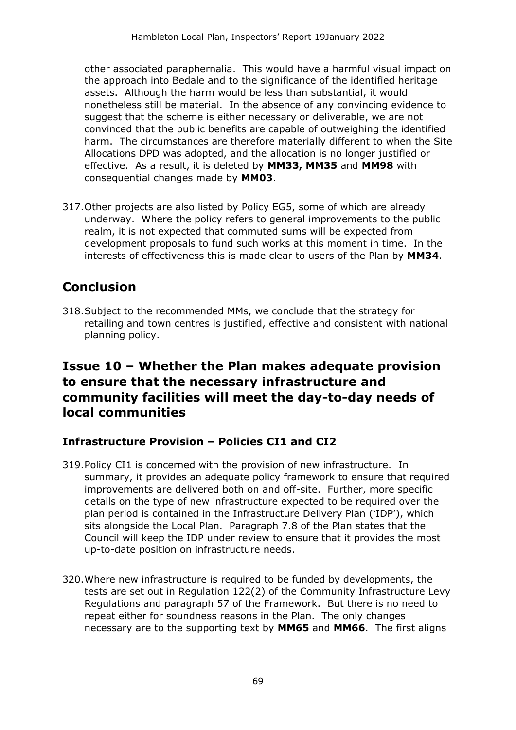other associated paraphernalia. This would have a harmful visual impact on the approach into Bedale and to the significance of the identified heritage assets. Although the harm would be less than substantial, it would nonetheless still be material. In the absence of any convincing evidence to suggest that the scheme is either necessary or deliverable, we are not convinced that the public benefits are capable of outweighing the identified harm. The circumstances are therefore materially different to when the Site Allocations DPD was adopted, and the allocation is no longer justified or effective. As a result, it is deleted by **MM33, MM35** and **MM98** with consequential changes made by **MM03**.

317.Other projects are also listed by Policy EG5, some of which are already underway. Where the policy refers to general improvements to the public realm, it is not expected that commuted sums will be expected from development proposals to fund such works at this moment in time. In the interests of effectiveness this is made clear to users of the Plan by **MM34**.

# **Conclusion**

318.Subject to the recommended MMs, we conclude that the strategy for retailing and town centres is justified, effective and consistent with national planning policy.

# **Issue 10 – Whether the Plan makes adequate provision to ensure that the necessary infrastructure and community facilities will meet the day-to-day needs of local communities**

#### **Infrastructure Provision – Policies CI1 and CI2**

- 319.Policy CI1 is concerned with the provision of new infrastructure. In summary, it provides an adequate policy framework to ensure that required improvements are delivered both on and off-site. Further, more specific details on the type of new infrastructure expected to be required over the plan period is contained in the Infrastructure Delivery Plan ('IDP'), which sits alongside the Local Plan. Paragraph 7.8 of the Plan states that the Council will keep the IDP under review to ensure that it provides the most up-to-date position on infrastructure needs.
- 320.Where new infrastructure is required to be funded by developments, the tests are set out in Regulation 122(2) of the Community Infrastructure Levy Regulations and paragraph 57 of the Framework. But there is no need to repeat either for soundness reasons in the Plan. The only changes necessary are to the supporting text by **MM65** and **MM66**. The first aligns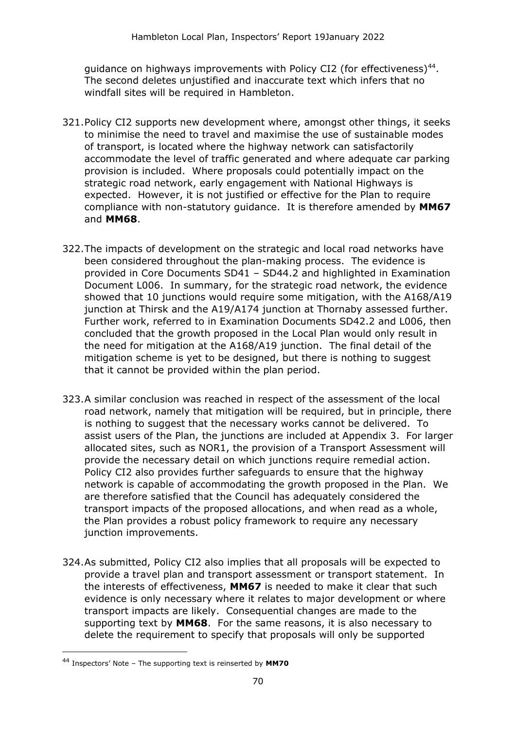guidance on highways improvements with Policy CI2 (for effectiveness)<sup>44</sup>. The second deletes unjustified and inaccurate text which infers that no windfall sites will be required in Hambleton.

- 321.Policy CI2 supports new development where, amongst other things, it seeks to minimise the need to travel and maximise the use of sustainable modes of transport, is located where the highway network can satisfactorily accommodate the level of traffic generated and where adequate car parking provision is included. Where proposals could potentially impact on the strategic road network, early engagement with National Highways is expected. However, it is not justified or effective for the Plan to require compliance with non-statutory guidance. It is therefore amended by **MM67** and **MM68**.
- 322.The impacts of development on the strategic and local road networks have been considered throughout the plan-making process. The evidence is provided in Core Documents SD41 – SD44.2 and highlighted in Examination Document L006. In summary, for the strategic road network, the evidence showed that 10 junctions would require some mitigation, with the A168/A19 junction at Thirsk and the A19/A174 junction at Thornaby assessed further. Further work, referred to in Examination Documents SD42.2 and L006, then concluded that the growth proposed in the Local Plan would only result in the need for mitigation at the A168/A19 junction. The final detail of the mitigation scheme is yet to be designed, but there is nothing to suggest that it cannot be provided within the plan period.
- 323.A similar conclusion was reached in respect of the assessment of the local road network, namely that mitigation will be required, but in principle, there is nothing to suggest that the necessary works cannot be delivered. To assist users of the Plan, the junctions are included at Appendix 3. For larger allocated sites, such as NOR1, the provision of a Transport Assessment will provide the necessary detail on which junctions require remedial action. Policy CI2 also provides further safeguards to ensure that the highway network is capable of accommodating the growth proposed in the Plan. We are therefore satisfied that the Council has adequately considered the transport impacts of the proposed allocations, and when read as a whole, the Plan provides a robust policy framework to require any necessary junction improvements.
- 324.As submitted, Policy CI2 also implies that all proposals will be expected to provide a travel plan and transport assessment or transport statement. In the interests of effectiveness, **MM67** is needed to make it clear that such evidence is only necessary where it relates to major development or where transport impacts are likely. Consequential changes are made to the supporting text by **MM68**. For the same reasons, it is also necessary to delete the requirement to specify that proposals will only be supported

<sup>44</sup> Inspectors' Note – The supporting text is reinserted by **MM70**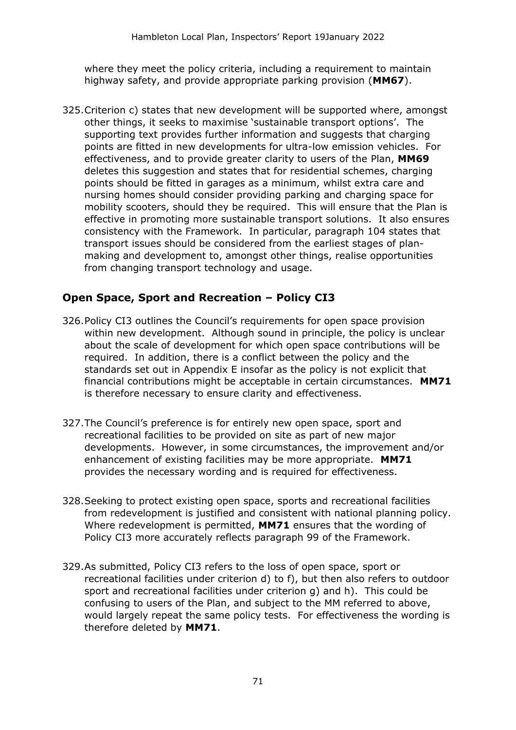where they meet the policy criteria, including a requirement to maintain highway safety, and provide appropriate parking provision (**MM67**).

325.Criterion c) states that new development will be supported where, amongst other things, it seeks to maximise 'sustainable transport options'. The supporting text provides further information and suggests that charging points are fitted in new developments for ultra-low emission vehicles. For effectiveness, and to provide greater clarity to users of the Plan, **MM69** deletes this suggestion and states that for residential schemes, charging points should be fitted in garages as a minimum, whilst extra care and nursing homes should consider providing parking and charging space for mobility scooters, should they be required. This will ensure that the Plan is effective in promoting more sustainable transport solutions. It also ensures consistency with the Framework. In particular, paragraph 104 states that transport issues should be considered from the earliest stages of planmaking and development to, amongst other things, realise opportunities from changing transport technology and usage.

#### **Open Space, Sport and Recreation – Policy CI3**

- 326.Policy CI3 outlines the Council's requirements for open space provision within new development. Although sound in principle, the policy is unclear about the scale of development for which open space contributions will be required. In addition, there is a conflict between the policy and the standards set out in Appendix E insofar as the policy is not explicit that financial contributions might be acceptable in certain circumstances. **MM71** is therefore necessary to ensure clarity and effectiveness.
- 327.The Council's preference is for entirely new open space, sport and recreational facilities to be provided on site as part of new major developments. However, in some circumstances, the improvement and/or enhancement of existing facilities may be more appropriate. **MM71** provides the necessary wording and is required for effectiveness.
- 328.Seeking to protect existing open space, sports and recreational facilities from redevelopment is justified and consistent with national planning policy. Where redevelopment is permitted, **MM71** ensures that the wording of Policy CI3 more accurately reflects paragraph 99 of the Framework.
- 329.As submitted, Policy CI3 refers to the loss of open space, sport or recreational facilities under criterion d) to f), but then also refers to outdoor sport and recreational facilities under criterion g) and h). This could be confusing to users of the Plan, and subject to the MM referred to above, would largely repeat the same policy tests. For effectiveness the wording is therefore deleted by **MM71**.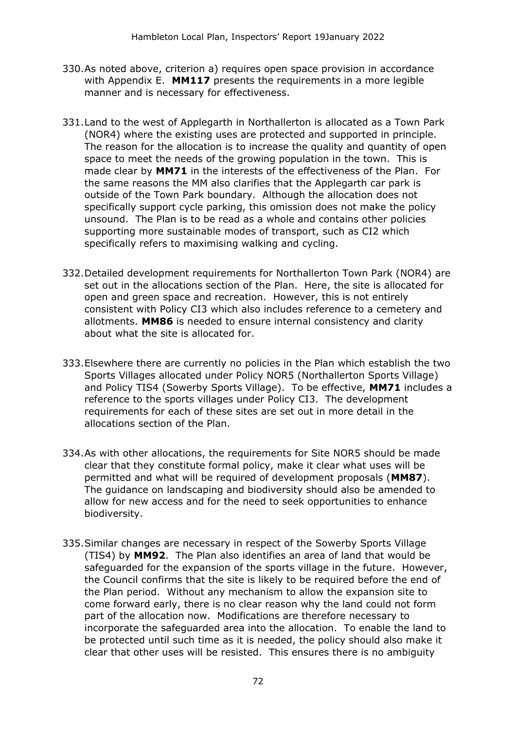- 330.As noted above, criterion a) requires open space provision in accordance with Appendix E. **MM117** presents the requirements in a more legible manner and is necessary for effectiveness.
- 331.Land to the west of Applegarth in Northallerton is allocated as a Town Park (NOR4) where the existing uses are protected and supported in principle. The reason for the allocation is to increase the quality and quantity of open space to meet the needs of the growing population in the town. This is made clear by **MM71** in the interests of the effectiveness of the Plan. For the same reasons the MM also clarifies that the Applegarth car park is outside of the Town Park boundary. Although the allocation does not specifically support cycle parking, this omission does not make the policy unsound. The Plan is to be read as a whole and contains other policies supporting more sustainable modes of transport, such as CI2 which specifically refers to maximising walking and cycling.
- 332.Detailed development requirements for Northallerton Town Park (NOR4) are set out in the allocations section of the Plan. Here, the site is allocated for open and green space and recreation. However, this is not entirely consistent with Policy CI3 which also includes reference to a cemetery and allotments. **MM86** is needed to ensure internal consistency and clarity about what the site is allocated for.
- 333.Elsewhere there are currently no policies in the Plan which establish the two Sports Villages allocated under Policy NOR5 (Northallerton Sports Village) and Policy TIS4 (Sowerby Sports Village). To be effective, **MM71** includes a reference to the sports villages under Policy CI3. The development requirements for each of these sites are set out in more detail in the allocations section of the Plan.
- 334.As with other allocations, the requirements for Site NOR5 should be made clear that they constitute formal policy, make it clear what uses will be permitted and what will be required of development proposals (**MM87**). The guidance on landscaping and biodiversity should also be amended to allow for new access and for the need to seek opportunities to enhance biodiversity.
- 335.Similar changes are necessary in respect of the Sowerby Sports Village (TIS4) by **MM92**. The Plan also identifies an area of land that would be safeguarded for the expansion of the sports village in the future. However, the Council confirms that the site is likely to be required before the end of the Plan period. Without any mechanism to allow the expansion site to come forward early, there is no clear reason why the land could not form part of the allocation now. Modifications are therefore necessary to incorporate the safeguarded area into the allocation. To enable the land to be protected until such time as it is needed, the policy should also make it clear that other uses will be resisted. This ensures there is no ambiguity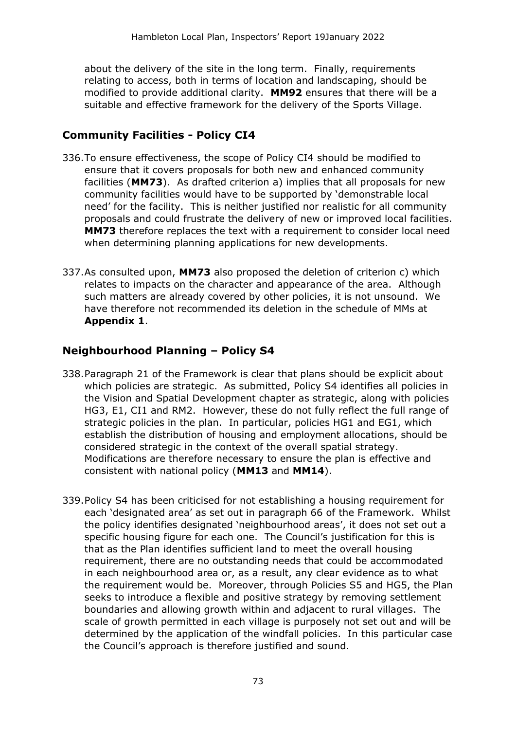about the delivery of the site in the long term. Finally, requirements relating to access, both in terms of location and landscaping, should be modified to provide additional clarity. **MM92** ensures that there will be a suitable and effective framework for the delivery of the Sports Village.

#### **Community Facilities - Policy CI4**

- 336.To ensure effectiveness, the scope of Policy CI4 should be modified to ensure that it covers proposals for both new and enhanced community facilities (**MM73**). As drafted criterion a) implies that all proposals for new community facilities would have to be supported by 'demonstrable local need' for the facility. This is neither justified nor realistic for all community proposals and could frustrate the delivery of new or improved local facilities. **MM73** therefore replaces the text with a requirement to consider local need when determining planning applications for new developments.
- 337.As consulted upon, **MM73** also proposed the deletion of criterion c) which relates to impacts on the character and appearance of the area. Although such matters are already covered by other policies, it is not unsound. We have therefore not recommended its deletion in the schedule of MMs at **Appendix 1**.

#### **Neighbourhood Planning – Policy S4**

- 338.Paragraph 21 of the Framework is clear that plans should be explicit about which policies are strategic. As submitted, Policy S4 identifies all policies in the Vision and Spatial Development chapter as strategic, along with policies HG3, E1, CI1 and RM2. However, these do not fully reflect the full range of strategic policies in the plan. In particular, policies HG1 and EG1, which establish the distribution of housing and employment allocations, should be considered strategic in the context of the overall spatial strategy. Modifications are therefore necessary to ensure the plan is effective and consistent with national policy (**MM13** and **MM14**).
- 339.Policy S4 has been criticised for not establishing a housing requirement for each 'designated area' as set out in paragraph 66 of the Framework. Whilst the policy identifies designated 'neighbourhood areas', it does not set out a specific housing figure for each one. The Council's justification for this is that as the Plan identifies sufficient land to meet the overall housing requirement, there are no outstanding needs that could be accommodated in each neighbourhood area or, as a result, any clear evidence as to what the requirement would be. Moreover, through Policies S5 and HG5, the Plan seeks to introduce a flexible and positive strategy by removing settlement boundaries and allowing growth within and adjacent to rural villages. The scale of growth permitted in each village is purposely not set out and will be determined by the application of the windfall policies. In this particular case the Council's approach is therefore justified and sound.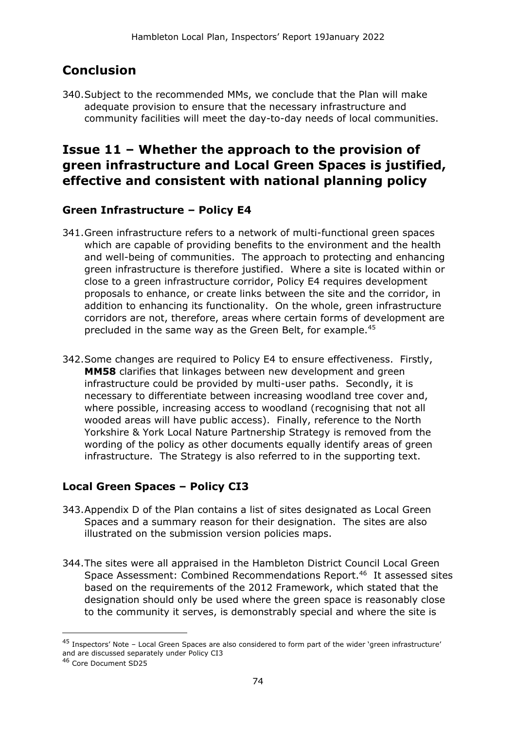# **Conclusion**

340.Subject to the recommended MMs, we conclude that the Plan will make adequate provision to ensure that the necessary infrastructure and community facilities will meet the day-to-day needs of local communities.

## **Issue 11 – Whether the approach to the provision of green infrastructure and Local Green Spaces is justified, effective and consistent with national planning policy**

#### **Green Infrastructure – Policy E4**

- 341.Green infrastructure refers to a network of multi-functional green spaces which are capable of providing benefits to the environment and the health and well-being of communities. The approach to protecting and enhancing green infrastructure is therefore justified. Where a site is located within or close to a green infrastructure corridor, Policy E4 requires development proposals to enhance, or create links between the site and the corridor, in addition to enhancing its functionality. On the whole, green infrastructure corridors are not, therefore, areas where certain forms of development are precluded in the same way as the Green Belt, for example.<sup>45</sup>
- 342.Some changes are required to Policy E4 to ensure effectiveness. Firstly, **MM58** clarifies that linkages between new development and green infrastructure could be provided by multi-user paths. Secondly, it is necessary to differentiate between increasing woodland tree cover and, where possible, increasing access to woodland (recognising that not all wooded areas will have public access). Finally, reference to the North Yorkshire & York Local Nature Partnership Strategy is removed from the wording of the policy as other documents equally identify areas of green infrastructure. The Strategy is also referred to in the supporting text.

### **Local Green Spaces – Policy CI3**

- 343.Appendix D of the Plan contains a list of sites designated as Local Green Spaces and a summary reason for their designation. The sites are also illustrated on the submission version policies maps.
- 344.The sites were all appraised in the Hambleton District Council Local Green Space Assessment: Combined Recommendations Report.<sup>46</sup> It assessed sites based on the requirements of the 2012 Framework, which stated that the designation should only be used where the green space is reasonably close to the community it serves, is demonstrably special and where the site is

<sup>45</sup> Inspectors' Note – Local Green Spaces are also considered to form part of the wider 'green infrastructure' and are discussed separately under Policy CI3

<sup>46</sup> Core Document SD25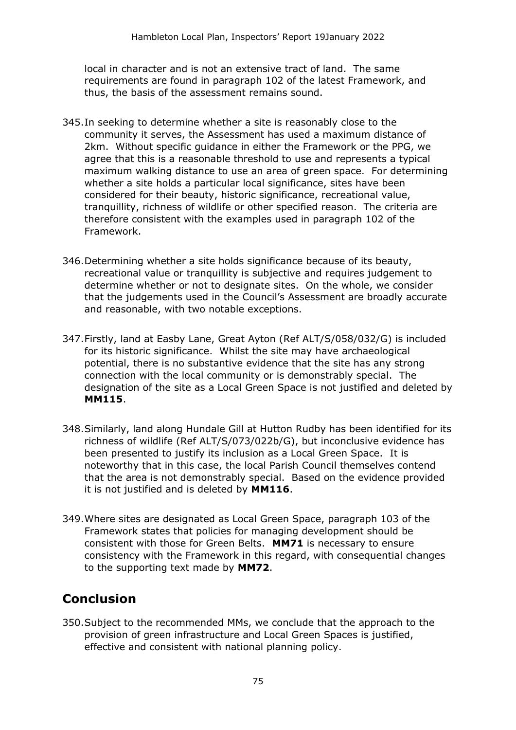local in character and is not an extensive tract of land. The same requirements are found in paragraph 102 of the latest Framework, and thus, the basis of the assessment remains sound.

- 345.In seeking to determine whether a site is reasonably close to the community it serves, the Assessment has used a maximum distance of 2km. Without specific guidance in either the Framework or the PPG, we agree that this is a reasonable threshold to use and represents a typical maximum walking distance to use an area of green space. For determining whether a site holds a particular local significance, sites have been considered for their beauty, historic significance, recreational value, tranquillity, richness of wildlife or other specified reason. The criteria are therefore consistent with the examples used in paragraph 102 of the Framework.
- 346.Determining whether a site holds significance because of its beauty, recreational value or tranquillity is subjective and requires judgement to determine whether or not to designate sites. On the whole, we consider that the judgements used in the Council's Assessment are broadly accurate and reasonable, with two notable exceptions.
- 347.Firstly, land at Easby Lane, Great Ayton (Ref ALT/S/058/032/G) is included for its historic significance. Whilst the site may have archaeological potential, there is no substantive evidence that the site has any strong connection with the local community or is demonstrably special. The designation of the site as a Local Green Space is not justified and deleted by **MM115**.
- 348.Similarly, land along Hundale Gill at Hutton Rudby has been identified for its richness of wildlife (Ref ALT/S/073/022b/G), but inconclusive evidence has been presented to justify its inclusion as a Local Green Space. It is noteworthy that in this case, the local Parish Council themselves contend that the area is not demonstrably special. Based on the evidence provided it is not justified and is deleted by **MM116**.
- 349.Where sites are designated as Local Green Space, paragraph 103 of the Framework states that policies for managing development should be consistent with those for Green Belts. **MM71** is necessary to ensure consistency with the Framework in this regard, with consequential changes to the supporting text made by **MM72**.

# **Conclusion**

350.Subject to the recommended MMs, we conclude that the approach to the provision of green infrastructure and Local Green Spaces is justified, effective and consistent with national planning policy.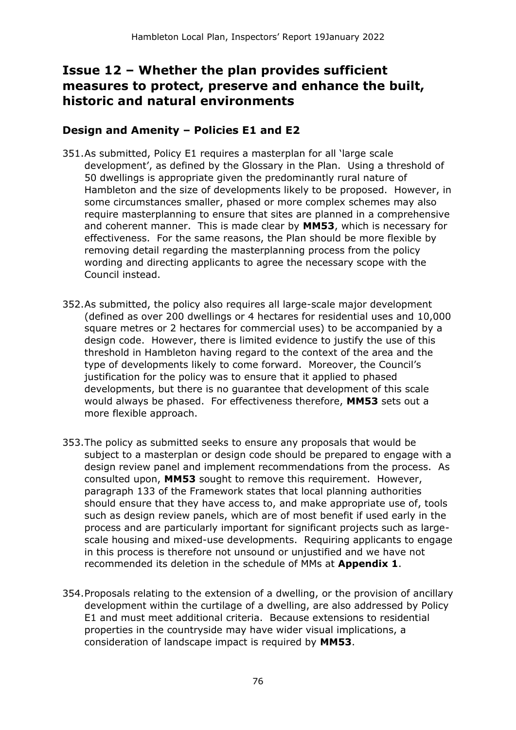## **Issue 12 – Whether the plan provides sufficient measures to protect, preserve and enhance the built, historic and natural environments**

#### **Design and Amenity – Policies E1 and E2**

- 351.As submitted, Policy E1 requires a masterplan for all 'large scale development', as defined by the Glossary in the Plan. Using a threshold of 50 dwellings is appropriate given the predominantly rural nature of Hambleton and the size of developments likely to be proposed. However, in some circumstances smaller, phased or more complex schemes may also require masterplanning to ensure that sites are planned in a comprehensive and coherent manner. This is made clear by **MM53**, which is necessary for effectiveness. For the same reasons, the Plan should be more flexible by removing detail regarding the masterplanning process from the policy wording and directing applicants to agree the necessary scope with the Council instead.
- 352.As submitted, the policy also requires all large-scale major development (defined as over 200 dwellings or 4 hectares for residential uses and 10,000 square metres or 2 hectares for commercial uses) to be accompanied by a design code. However, there is limited evidence to justify the use of this threshold in Hambleton having regard to the context of the area and the type of developments likely to come forward. Moreover, the Council's justification for the policy was to ensure that it applied to phased developments, but there is no guarantee that development of this scale would always be phased. For effectiveness therefore, **MM53** sets out a more flexible approach.
- 353.The policy as submitted seeks to ensure any proposals that would be subject to a masterplan or design code should be prepared to engage with a design review panel and implement recommendations from the process. As consulted upon, **MM53** sought to remove this requirement. However, paragraph 133 of the Framework states that local planning authorities should ensure that they have access to, and make appropriate use of, tools such as design review panels, which are of most benefit if used early in the process and are particularly important for significant projects such as largescale housing and mixed-use developments. Requiring applicants to engage in this process is therefore not unsound or unjustified and we have not recommended its deletion in the schedule of MMs at **Appendix 1**.
- 354.Proposals relating to the extension of a dwelling, or the provision of ancillary development within the curtilage of a dwelling, are also addressed by Policy E1 and must meet additional criteria. Because extensions to residential properties in the countryside may have wider visual implications, a consideration of landscape impact is required by **MM53**.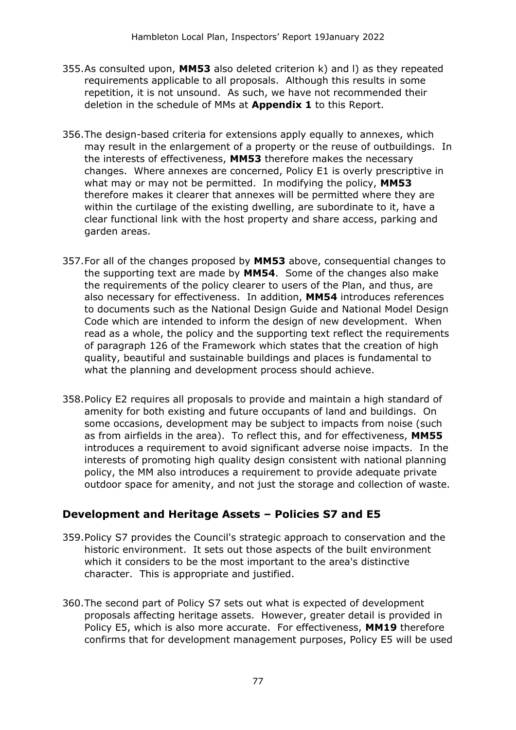- 355.As consulted upon, **MM53** also deleted criterion k) and l) as they repeated requirements applicable to all proposals. Although this results in some repetition, it is not unsound. As such, we have not recommended their deletion in the schedule of MMs at **Appendix 1** to this Report.
- 356.The design-based criteria for extensions apply equally to annexes, which may result in the enlargement of a property or the reuse of outbuildings. In the interests of effectiveness, **MM53** therefore makes the necessary changes. Where annexes are concerned, Policy E1 is overly prescriptive in what may or may not be permitted. In modifying the policy, **MM53** therefore makes it clearer that annexes will be permitted where they are within the curtilage of the existing dwelling, are subordinate to it, have a clear functional link with the host property and share access, parking and garden areas.
- 357.For all of the changes proposed by **MM53** above, consequential changes to the supporting text are made by **MM54**. Some of the changes also make the requirements of the policy clearer to users of the Plan, and thus, are also necessary for effectiveness. In addition, **MM54** introduces references to documents such as the National Design Guide and National Model Design Code which are intended to inform the design of new development. When read as a whole, the policy and the supporting text reflect the requirements of paragraph 126 of the Framework which states that the creation of high quality, beautiful and sustainable buildings and places is fundamental to what the planning and development process should achieve.
- 358.Policy E2 requires all proposals to provide and maintain a high standard of amenity for both existing and future occupants of land and buildings. On some occasions, development may be subject to impacts from noise (such as from airfields in the area). To reflect this, and for effectiveness, **MM55** introduces a requirement to avoid significant adverse noise impacts. In the interests of promoting high quality design consistent with national planning policy, the MM also introduces a requirement to provide adequate private outdoor space for amenity, and not just the storage and collection of waste.

#### **Development and Heritage Assets – Policies S7 and E5**

- 359.Policy S7 provides the Council's strategic approach to conservation and the historic environment. It sets out those aspects of the built environment which it considers to be the most important to the area's distinctive character. This is appropriate and justified.
- 360.The second part of Policy S7 sets out what is expected of development proposals affecting heritage assets. However, greater detail is provided in Policy E5, which is also more accurate. For effectiveness, **MM19** therefore confirms that for development management purposes, Policy E5 will be used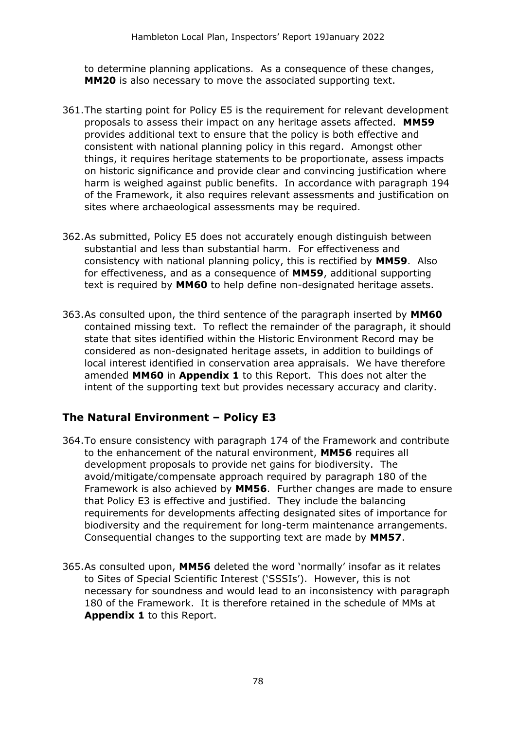to determine planning applications. As a consequence of these changes, **MM20** is also necessary to move the associated supporting text.

- 361.The starting point for Policy E5 is the requirement for relevant development proposals to assess their impact on any heritage assets affected. **MM59**  provides additional text to ensure that the policy is both effective and consistent with national planning policy in this regard. Amongst other things, it requires heritage statements to be proportionate, assess impacts on historic significance and provide clear and convincing justification where harm is weighed against public benefits. In accordance with paragraph 194 of the Framework, it also requires relevant assessments and justification on sites where archaeological assessments may be required.
- 362.As submitted, Policy E5 does not accurately enough distinguish between substantial and less than substantial harm. For effectiveness and consistency with national planning policy, this is rectified by **MM59**. Also for effectiveness, and as a consequence of **MM59**, additional supporting text is required by **MM60** to help define non-designated heritage assets.
- 363.As consulted upon, the third sentence of the paragraph inserted by **MM60**  contained missing text. To reflect the remainder of the paragraph, it should state that sites identified within the Historic Environment Record may be considered as non-designated heritage assets, in addition to buildings of local interest identified in conservation area appraisals. We have therefore amended **MM60** in **Appendix 1** to this Report. This does not alter the intent of the supporting text but provides necessary accuracy and clarity.

#### **The Natural Environment – Policy E3**

- 364.To ensure consistency with paragraph 174 of the Framework and contribute to the enhancement of the natural environment, **MM56** requires all development proposals to provide net gains for biodiversity. The avoid/mitigate/compensate approach required by paragraph 180 of the Framework is also achieved by **MM56**. Further changes are made to ensure that Policy E3 is effective and justified. They include the balancing requirements for developments affecting designated sites of importance for biodiversity and the requirement for long-term maintenance arrangements. Consequential changes to the supporting text are made by **MM57**.
- 365.As consulted upon, **MM56** deleted the word 'normally' insofar as it relates to Sites of Special Scientific Interest ('SSSIs'). However, this is not necessary for soundness and would lead to an inconsistency with paragraph 180 of the Framework. It is therefore retained in the schedule of MMs at **Appendix 1** to this Report.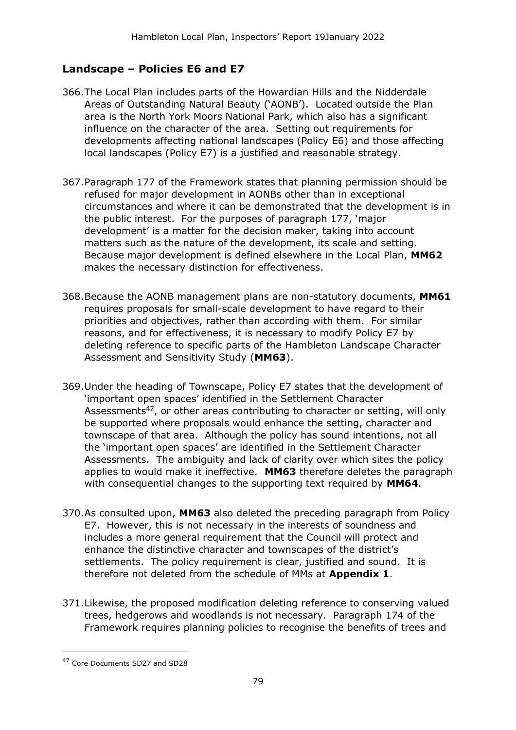#### **Landscape – Policies E6 and E7**

- 366.The Local Plan includes parts of the Howardian Hills and the Nidderdale Areas of Outstanding Natural Beauty ('AONB'). Located outside the Plan area is the North York Moors National Park, which also has a significant influence on the character of the area. Setting out requirements for developments affecting national landscapes (Policy E6) and those affecting local landscapes (Policy E7) is a justified and reasonable strategy.
- 367.Paragraph 177 of the Framework states that planning permission should be refused for major development in AONBs other than in exceptional circumstances and where it can be demonstrated that the development is in the public interest. For the purposes of paragraph 177, 'major development' is a matter for the decision maker, taking into account matters such as the nature of the development, its scale and setting. Because major development is defined elsewhere in the Local Plan, **MM62** makes the necessary distinction for effectiveness.
- 368.Because the AONB management plans are non-statutory documents, **MM61** requires proposals for small-scale development to have regard to their priorities and objectives, rather than according with them. For similar reasons, and for effectiveness, it is necessary to modify Policy E7 by deleting reference to specific parts of the Hambleton Landscape Character Assessment and Sensitivity Study (**MM63**).
- 369.Under the heading of Townscape, Policy E7 states that the development of 'important open spaces' identified in the Settlement Character Assessments<sup>47</sup>, or other areas contributing to character or setting, will only be supported where proposals would enhance the setting, character and townscape of that area. Although the policy has sound intentions, not all the 'important open spaces' are identified in the Settlement Character Assessments. The ambiguity and lack of clarity over which sites the policy applies to would make it ineffective. **MM63** therefore deletes the paragraph with consequential changes to the supporting text required by **MM64**.
- 370.As consulted upon, **MM63** also deleted the preceding paragraph from Policy E7. However, this is not necessary in the interests of soundness and includes a more general requirement that the Council will protect and enhance the distinctive character and townscapes of the district's settlements. The policy requirement is clear, justified and sound. It is therefore not deleted from the schedule of MMs at **Appendix 1**.
- 371.Likewise, the proposed modification deleting reference to conserving valued trees, hedgerows and woodlands is not necessary. Paragraph 174 of the Framework requires planning policies to recognise the benefits of trees and

<sup>47</sup> Core Documents SD27 and SD28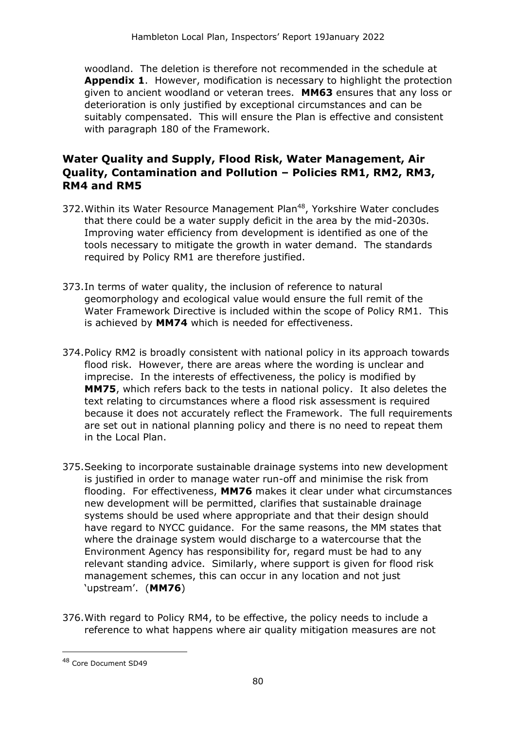woodland. The deletion is therefore not recommended in the schedule at **Appendix 1**. However, modification is necessary to highlight the protection given to ancient woodland or veteran trees. **MM63** ensures that any loss or deterioration is only justified by exceptional circumstances and can be suitably compensated. This will ensure the Plan is effective and consistent with paragraph 180 of the Framework.

#### **Water Quality and Supply, Flood Risk, Water Management, Air Quality, Contamination and Pollution – Policies RM1, RM2, RM3, RM4 and RM5**

- 372. Within its Water Resource Management Plan<sup>48</sup>, Yorkshire Water concludes that there could be a water supply deficit in the area by the mid-2030s. Improving water efficiency from development is identified as one of the tools necessary to mitigate the growth in water demand. The standards required by Policy RM1 are therefore justified.
- 373.In terms of water quality, the inclusion of reference to natural geomorphology and ecological value would ensure the full remit of the Water Framework Directive is included within the scope of Policy RM1. This is achieved by **MM74** which is needed for effectiveness.
- 374.Policy RM2 is broadly consistent with national policy in its approach towards flood risk. However, there are areas where the wording is unclear and imprecise. In the interests of effectiveness, the policy is modified by **MM75**, which refers back to the tests in national policy. It also deletes the text relating to circumstances where a flood risk assessment is required because it does not accurately reflect the Framework. The full requirements are set out in national planning policy and there is no need to repeat them in the Local Plan.
- 375.Seeking to incorporate sustainable drainage systems into new development is justified in order to manage water run-off and minimise the risk from flooding. For effectiveness, **MM76** makes it clear under what circumstances new development will be permitted, clarifies that sustainable drainage systems should be used where appropriate and that their design should have regard to NYCC guidance. For the same reasons, the MM states that where the drainage system would discharge to a watercourse that the Environment Agency has responsibility for, regard must be had to any relevant standing advice. Similarly, where support is given for flood risk management schemes, this can occur in any location and not just 'upstream'. (**MM76**)
- 376.With regard to Policy RM4, to be effective, the policy needs to include a reference to what happens where air quality mitigation measures are not

<sup>48</sup> Core Document SD49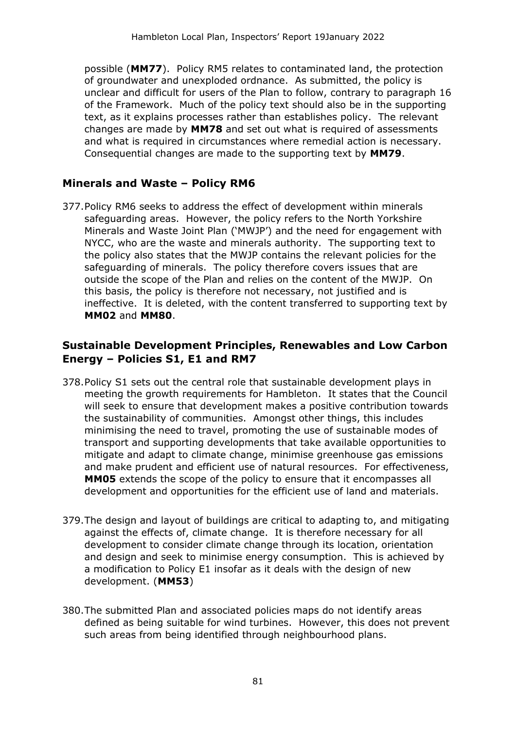possible (**MM77**). Policy RM5 relates to contaminated land, the protection of groundwater and unexploded ordnance. As submitted, the policy is unclear and difficult for users of the Plan to follow, contrary to paragraph 16 of the Framework. Much of the policy text should also be in the supporting text, as it explains processes rather than establishes policy. The relevant changes are made by **MM78** and set out what is required of assessments and what is required in circumstances where remedial action is necessary. Consequential changes are made to the supporting text by **MM79**.

#### **Minerals and Waste – Policy RM6**

377.Policy RM6 seeks to address the effect of development within minerals safeguarding areas. However, the policy refers to the North Yorkshire Minerals and Waste Joint Plan ('MWJP') and the need for engagement with NYCC, who are the waste and minerals authority. The supporting text to the policy also states that the MWJP contains the relevant policies for the safeguarding of minerals. The policy therefore covers issues that are outside the scope of the Plan and relies on the content of the MWJP. On this basis, the policy is therefore not necessary, not justified and is ineffective. It is deleted, with the content transferred to supporting text by **MM02** and **MM80**.

#### **Sustainable Development Principles, Renewables and Low Carbon Energy – Policies S1, E1 and RM7**

- 378.Policy S1 sets out the central role that sustainable development plays in meeting the growth requirements for Hambleton. It states that the Council will seek to ensure that development makes a positive contribution towards the sustainability of communities. Amongst other things, this includes minimising the need to travel, promoting the use of sustainable modes of transport and supporting developments that take available opportunities to mitigate and adapt to climate change, minimise greenhouse gas emissions and make prudent and efficient use of natural resources. For effectiveness, **MM05** extends the scope of the policy to ensure that it encompasses all development and opportunities for the efficient use of land and materials.
- 379.The design and layout of buildings are critical to adapting to, and mitigating against the effects of, climate change. It is therefore necessary for all development to consider climate change through its location, orientation and design and seek to minimise energy consumption. This is achieved by a modification to Policy E1 insofar as it deals with the design of new development. (**MM53**)
- 380.The submitted Plan and associated policies maps do not identify areas defined as being suitable for wind turbines. However, this does not prevent such areas from being identified through neighbourhood plans.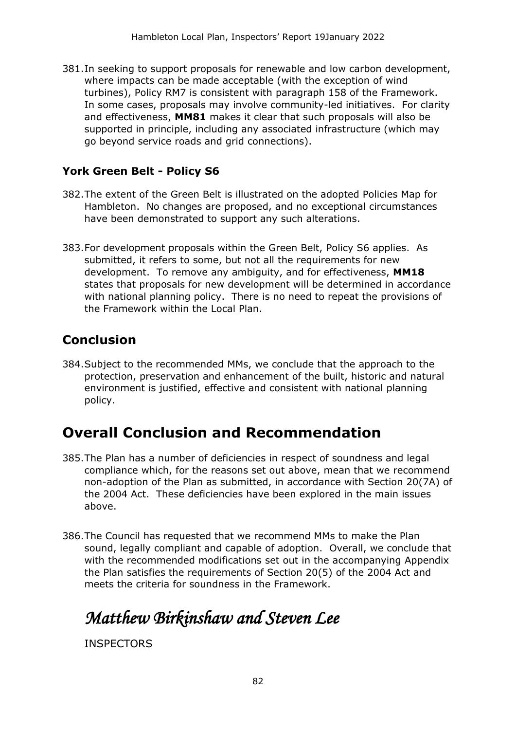381.In seeking to support proposals for renewable and low carbon development, where impacts can be made acceptable (with the exception of wind turbines), Policy RM7 is consistent with paragraph 158 of the Framework. In some cases, proposals may involve community-led initiatives. For clarity and effectiveness, **MM81** makes it clear that such proposals will also be supported in principle, including any associated infrastructure (which may go beyond service roads and grid connections).

#### **York Green Belt - Policy S6**

- 382.The extent of the Green Belt is illustrated on the adopted Policies Map for Hambleton. No changes are proposed, and no exceptional circumstances have been demonstrated to support any such alterations.
- 383.For development proposals within the Green Belt, Policy S6 applies. As submitted, it refers to some, but not all the requirements for new development. To remove any ambiguity, and for effectiveness, **MM18**  states that proposals for new development will be determined in accordance with national planning policy. There is no need to repeat the provisions of the Framework within the Local Plan.

## **Conclusion**

384.Subject to the recommended MMs, we conclude that the approach to the protection, preservation and enhancement of the built, historic and natural environment is justified, effective and consistent with national planning policy.

# **Overall Conclusion and Recommendation**

- 385.The Plan has a number of deficiencies in respect of soundness and legal compliance which, for the reasons set out above, mean that we recommend non-adoption of the Plan as submitted, in accordance with Section 20(7A) of the 2004 Act. These deficiencies have been explored in the main issues above.
- 386.The Council has requested that we recommend MMs to make the Plan sound, legally compliant and capable of adoption. Overall, we conclude that with the recommended modifications set out in the accompanying Appendix the Plan satisfies the requirements of Section 20(5) of the 2004 Act and meets the criteria for soundness in the Framework.

# *Matthew Birkinshaw and Steven Lee*

**INSPECTORS**